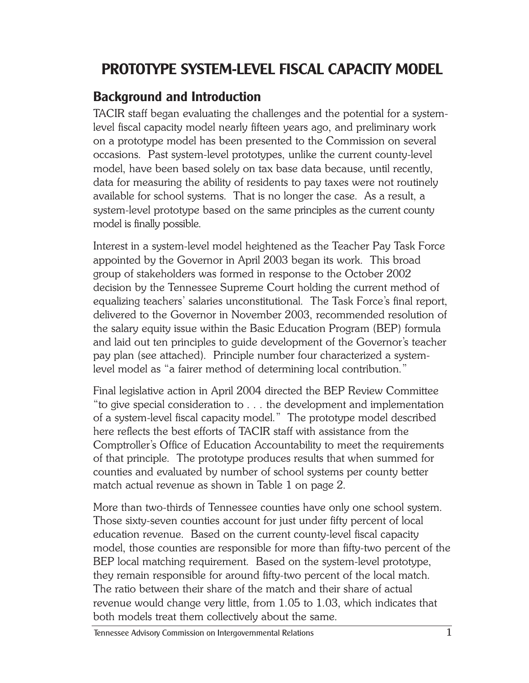# **PROTOTYPE SYSTEM-LEVEL FISCAL CAPACITY MODEL**

# **Background and Introduction**

TACIR staff began evaluating the challenges and the potential for a systemlevel fiscal capacity model nearly fifteen years ago, and preliminary work on a prototype model has been presented to the Commission on several occasions. Past system-level prototypes, unlike the current county-level model, have been based solely on tax base data because, until recently, data for measuring the ability of residents to pay taxes were not routinely available for school systems. That is no longer the case. As a result, a system-level prototype based on the same principles as the current county model is finally possible.

Interest in a system-level model heightened as the Teacher Pay Task Force appointed by the Governor in April 2003 began its work. This broad group of stakeholders was formed in response to the October 2002 decision by the Tennessee Supreme Court holding the current method of equalizing teachers' salaries unconstitutional. The Task Force's final report, delivered to the Governor in November 2003, recommended resolution of the salary equity issue within the Basic Education Program (BEP) formula and laid out ten principles to guide development of the Governor's teacher pay plan (see attached). Principle number four characterized a systemlevel model as "a fairer method of determining local contribution."

Final legislative action in April 2004 directed the BEP Review Committee "to give special consideration to . . . the development and implementation of a system-level fiscal capacity model." The prototype model described here reflects the best efforts of TACIR staff with assistance from the Comptroller's Office of Education Accountability to meet the requirements of that principle. The prototype produces results that when summed for counties and evaluated by number of school systems per county better match actual revenue as shown in Table 1 on page 2.

More than two-thirds of Tennessee counties have only one school system. Those sixty-seven counties account for just under fifty percent of local education revenue. Based on the current county-level fiscal capacity model, those counties are responsible for more than fifty-two percent of the BEP local matching requirement. Based on the system-level prototype, they remain responsible for around fifty-two percent of the local match. The ratio between their share of the match and their share of actual revenue would change very little, from 1.05 to 1.03, which indicates that both models treat them collectively about the same.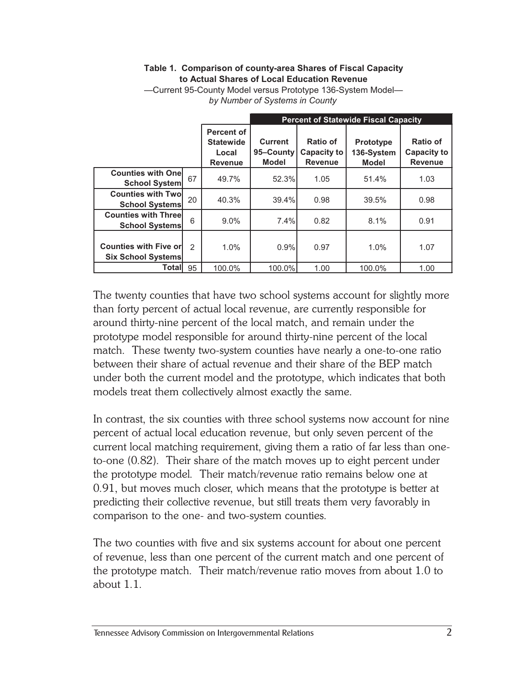#### **Table 1. Comparison of county-area Shares of Fiscal Capacity to Actual Shares of Local Education Revenue**

|                                                            |                |                                                                  | <b>Percent of Statewide Fiscal Capacity</b> |                                                  |                                                |                                                  |  |  |  |  |
|------------------------------------------------------------|----------------|------------------------------------------------------------------|---------------------------------------------|--------------------------------------------------|------------------------------------------------|--------------------------------------------------|--|--|--|--|
|                                                            |                | <b>Percent of</b><br><b>Statewide</b><br>Local<br><b>Revenue</b> | Current<br>95-County<br><b>Model</b>        | Ratio of<br><b>Capacity to</b><br><b>Revenue</b> | <b>Prototype</b><br>136-System<br><b>Model</b> | Ratio of<br><b>Capacity to</b><br><b>Revenue</b> |  |  |  |  |
| <b>Counties with Onel</b><br><b>School System</b>          | 67             | 49.7%                                                            | 52.3%                                       | 1.05                                             | 51.4%                                          | 1.03                                             |  |  |  |  |
| <b>Counties with Twol</b><br><b>School Systems</b>         | 20             | 40.3%                                                            | 39.4%                                       | 0.98                                             | 39.5%                                          | 0.98                                             |  |  |  |  |
| <b>Counties with Threel</b><br><b>School Systems</b>       | 6              | $9.0\%$                                                          | 7.4%                                        | 0.82                                             | 8.1%                                           | 0.91                                             |  |  |  |  |
| <b>Counties with Five orl</b><br><b>Six School Systems</b> | $\mathfrak{p}$ | 1.0%                                                             | 0.9%                                        | 0.97                                             | 1.0%                                           | 1.07                                             |  |  |  |  |
| <b>Total</b>                                               | 95             | 100.0%                                                           | 100.0%                                      | 1.00                                             | 100.0%                                         | 1.00                                             |  |  |  |  |

—Current 95-County Model versus Prototype 136-System Model *by Number of Systems in County*

The twenty counties that have two school systems account for slightly more than forty percent of actual local revenue, are currently responsible for around thirty-nine percent of the local match, and remain under the prototype model responsible for around thirty-nine percent of the local match. These twenty two-system counties have nearly a one-to-one ratio between their share of actual revenue and their share of the BEP match under both the current model and the prototype, which indicates that both models treat them collectively almost exactly the same.

In contrast, the six counties with three school systems now account for nine percent of actual local education revenue, but only seven percent of the current local matching requirement, giving them a ratio of far less than oneto-one (0.82). Their share of the match moves up to eight percent under the prototype model. Their match/revenue ratio remains below one at 0.91, but moves much closer, which means that the prototype is better at predicting their collective revenue, but still treats them very favorably in comparison to the one- and two-system counties.

The two counties with five and six systems account for about one percent of revenue, less than one percent of the current match and one percent of the prototype match. Their match/revenue ratio moves from about 1.0 to about 1.1.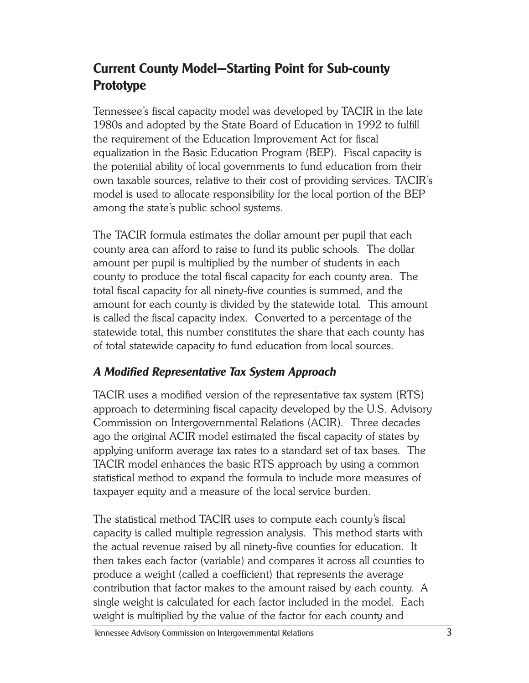# **Current County Model—Starting Point for Sub-county Prototype**

Tennessee's fiscal capacity model was developed by TACIR in the late 1980s and adopted by the State Board of Education in 1992 to fulfill the requirement of the Education Improvement Act for fiscal equalization in the Basic Education Program (BEP). Fiscal capacity is the potential ability of local governments to fund education from their own taxable sources, relative to their cost of providing services. TACIR's model is used to allocate responsibility for the local portion of the BEP among the state's public school systems.

The TACIR formula estimates the dollar amount per pupil that each county area can afford to raise to fund its public schools. The dollar amount per pupil is multiplied by the number of students in each county to produce the total fiscal capacity for each county area. The total fiscal capacity for all ninety-five counties is summed, and the amount for each county is divided by the statewide total. This amount is called the fiscal capacity index. Converted to a percentage of the statewide total, this number constitutes the share that each county has of total statewide capacity to fund education from local sources.

### *A Modified Representative Tax System Approach*

TACIR uses a modified version of the representative tax system (RTS) approach to determining fiscal capacity developed by the U.S. Advisory Commission on Intergovernmental Relations (ACIR). Three decades ago the original ACIR model estimated the fiscal capacity of states by applying uniform average tax rates to a standard set of tax bases. The TACIR model enhances the basic RTS approach by using a common statistical method to expand the formula to include more measures of taxpayer equity and a measure of the local service burden.

The statistical method TACIR uses to compute each county's fiscal capacity is called multiple regression analysis. This method starts with the actual revenue raised by all ninety-five counties for education. It then takes each factor (variable) and compares it across all counties to produce a weight (called a coefficient) that represents the average contribution that factor makes to the amount raised by each county. A single weight is calculated for each factor included in the model. Each weight is multiplied by the value of the factor for each county and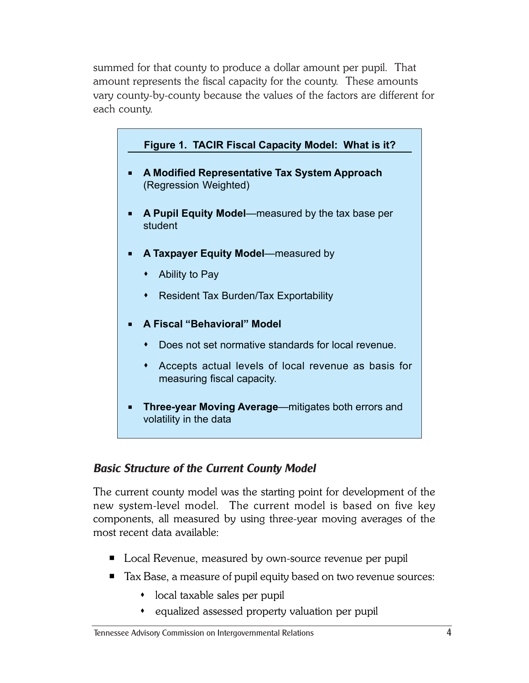summed for that county to produce a dollar amount per pupil. That amount represents the fiscal capacity for the county. These amounts vary county-by-county because the values of the factors are different for each county.



### *Basic Structure of the Current County Model*

The current county model was the starting point for development of the new system-level model. The current model is based on five key components, all measured by using three-year moving averages of the most recent data available:

- Local Revenue, measured by own-source revenue per pupil
- Tax Base, a measure of pupil equity based on two revenue sources:
	- local taxable sales per pupil
	- equalized assessed property valuation per pupil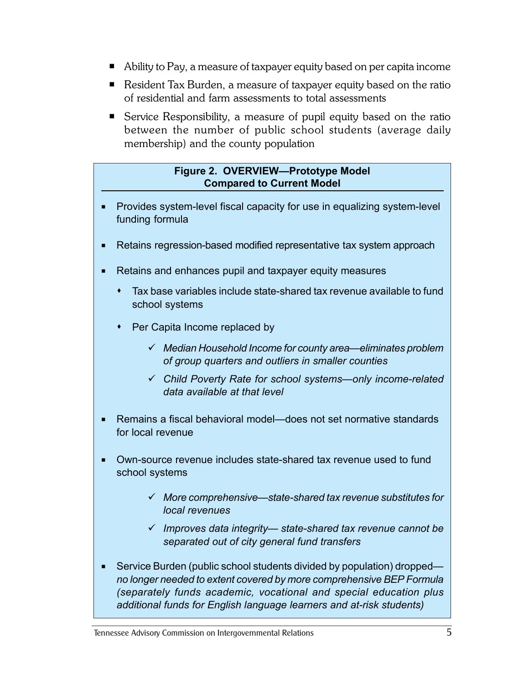- Ability to Pay, a measure of taxpayer equity based on per capita income
- Resident Tax Burden, a measure of taxpayer equity based on the ratio of residential and farm assessments to total assessments
- Service Responsibility, a measure of pupil equity based on the ratio between the number of public school students (average daily membership) and the county population

#### **Figure 2. OVERVIEW—Prototype Model Compared to Current Model**

- **Provides system-level fiscal capacity for use in equalizing system-level** funding formula
- Retains regression-based modified representative tax system approach
- Retains and enhances pupil and taxpayer equity measures
	- Tax base variables include state-shared tax revenue available to fund school systems
	- Per Capita Income replaced by
		- 9 *Median Household Income for county area—eliminates problem of group quarters and outliers in smaller counties*
		- 9 *Child Poverty Rate for school systems—only income-related data available at that level*
- Remains a fiscal behavioral model—does not set normative standards for local revenue
- Own-source revenue includes state-shared tax revenue used to fund school systems
	- 9 *More comprehensive—state-shared tax revenue substitutes for local revenues*
	- 9 *Improves data integrity— state-shared tax revenue cannot be separated out of city general fund transfers*
- Service Burden (public school students divided by population) dropped *no longer needed to extent covered by more comprehensive BEP Formula (separately funds academic, vocational and special education plus additional funds for English language learners and at-risk students)*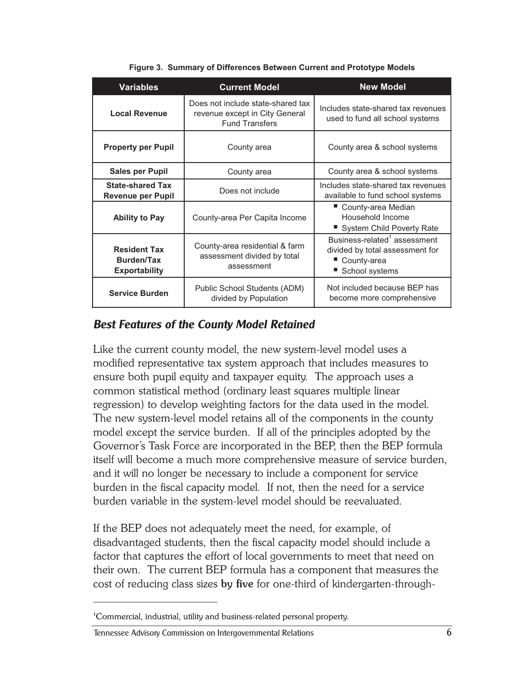| Variables                                                        | <b>Current Model</b>                                                                         | <b>New Model</b>                                                                                             |  |  |  |
|------------------------------------------------------------------|----------------------------------------------------------------------------------------------|--------------------------------------------------------------------------------------------------------------|--|--|--|
| <b>Local Revenue</b>                                             | Does not include state-shared tax<br>revenue except in City General<br><b>Fund Transfers</b> | Includes state-shared tax revenues<br>used to fund all school systems                                        |  |  |  |
| <b>Property per Pupil</b>                                        | County area                                                                                  | County area & school systems                                                                                 |  |  |  |
| <b>Sales per Pupil</b>                                           | County area                                                                                  | County area & school systems                                                                                 |  |  |  |
| <b>State-shared Tax</b><br><b>Revenue per Pupil</b>              | Does not include                                                                             | Includes state-shared tax revenues<br>available to fund school systems                                       |  |  |  |
| <b>Ability to Pay</b>                                            | County-area Per Capita Income                                                                | ■ County-area Median<br>Household Income<br>■ System Child Poverty Rate                                      |  |  |  |
| <b>Resident Tax</b><br><b>Burden/Tax</b><br><b>Exportability</b> | County-area residential & farm<br>assessment divided by total<br>assessment                  | Business-related <sup>1</sup> assessment<br>divided by total assessment for<br>County-area<br>School systems |  |  |  |
| <b>Service Burden</b>                                            | Public School Students (ADM)<br>divided by Population                                        | Not included because BEP has<br>become more comprehensive                                                    |  |  |  |

**Figure 3. Summary of Differences Between Current and Prototype Models**

#### *Best Features of the County Model Retained*

Like the current county model, the new system-level model uses a modified representative tax system approach that includes measures to ensure both pupil equity and taxpayer equity. The approach uses a common statistical method (ordinary least squares multiple linear regression) to develop weighting factors for the data used in the model. The new system-level model retains all of the components in the county model except the service burden. If all of the principles adopted by the Governor's Task Force are incorporated in the BEP, then the BEP formula itself will become a much more comprehensive measure of service burden, and it will no longer be necessary to include a component for service burden in the fiscal capacity model. If not, then the need for a service burden variable in the system-level model should be reevaluated.

If the BEP does not adequately meet the need, for example, of disadvantaged students, then the fiscal capacity model should include a factor that captures the effort of local governments to meet that need on their own. The current BEP formula has a component that measures the cost of reducing class sizes **by five** for one-third of kindergarten-through-

<sup>1</sup> Commercial, industrial, utility and business-related personal property.

Tennessee Advisory Commission on Intergovernmental Relations 6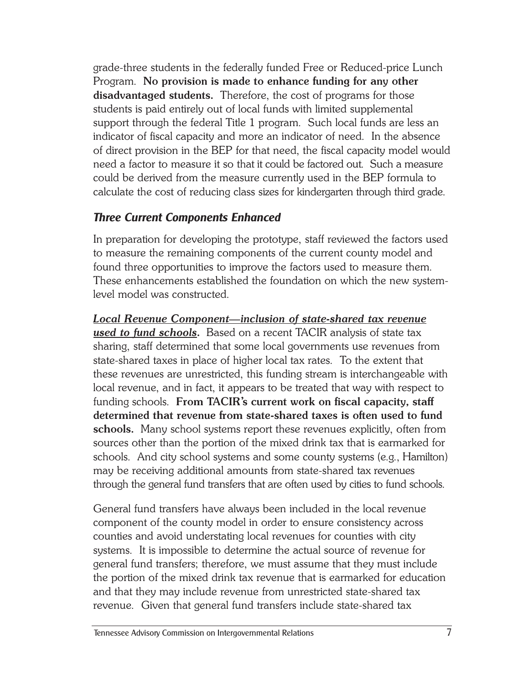grade-three students in the federally funded Free or Reduced-price Lunch Program. **No provision is made to enhance funding for any other disadvantaged students.** Therefore, the cost of programs for those students is paid entirely out of local funds with limited supplemental support through the federal Title 1 program. Such local funds are less an indicator of fiscal capacity and more an indicator of need. In the absence of direct provision in the BEP for that need, the fiscal capacity model would need a factor to measure it so that it could be factored out. Such a measure could be derived from the measure currently used in the BEP formula to calculate the cost of reducing class sizes for kindergarten through third grade.

### *Three Current Components Enhanced*

In preparation for developing the prototype, staff reviewed the factors used to measure the remaining components of the current county model and found three opportunities to improve the factors used to measure them. These enhancements established the foundation on which the new systemlevel model was constructed.

*Local Revenue Component—inclusion of state-shared tax revenue used to fund schools.* Based on a recent TACIR analysis of state tax sharing, staff determined that some local governments use revenues from state-shared taxes in place of higher local tax rates. To the extent that these revenues are unrestricted, this funding stream is interchangeable with local revenue, and in fact, it appears to be treated that way with respect to funding schools. **From TACIR's current work on fiscal capacity, staff determined that revenue from state-shared taxes is often used to fund schools.** Many school systems report these revenues explicitly, often from sources other than the portion of the mixed drink tax that is earmarked for schools. And city school systems and some county systems (e.g., Hamilton) may be receiving additional amounts from state-shared tax revenues through the general fund transfers that are often used by cities to fund schools.

General fund transfers have always been included in the local revenue component of the county model in order to ensure consistency across counties and avoid understating local revenues for counties with city systems. It is impossible to determine the actual source of revenue for general fund transfers; therefore, we must assume that they must include the portion of the mixed drink tax revenue that is earmarked for education and that they may include revenue from unrestricted state-shared tax revenue. Given that general fund transfers include state-shared tax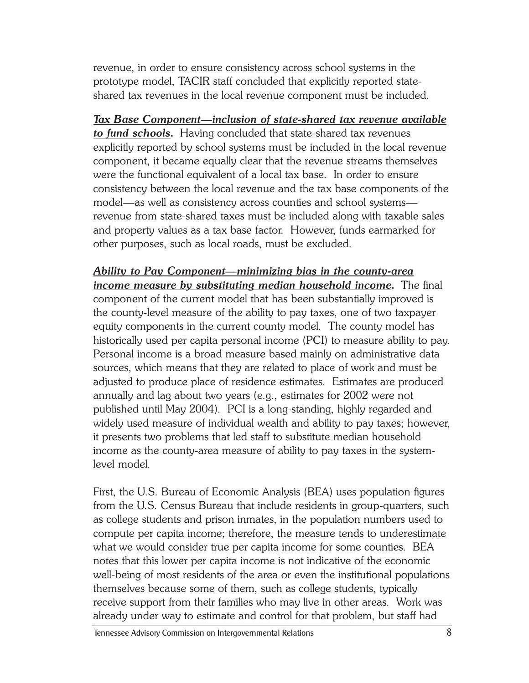revenue, in order to ensure consistency across school systems in the prototype model, TACIR staff concluded that explicitly reported stateshared tax revenues in the local revenue component must be included.

*Tax Base Component—inclusion of state-shared tax revenue available to fund schools.* Having concluded that state-shared tax revenues explicitly reported by school systems must be included in the local revenue component, it became equally clear that the revenue streams themselves were the functional equivalent of a local tax base. In order to ensure consistency between the local revenue and the tax base components of the model—as well as consistency across counties and school systems revenue from state-shared taxes must be included along with taxable sales and property values as a tax base factor. However, funds earmarked for other purposes, such as local roads, must be excluded.

*Ability to Pay Component—minimizing bias in the county-area income measure by substituting median household income.* The final component of the current model that has been substantially improved is the county-level measure of the ability to pay taxes, one of two taxpayer equity components in the current county model. The county model has historically used per capita personal income (PCI) to measure ability to pay. Personal income is a broad measure based mainly on administrative data sources, which means that they are related to place of work and must be adjusted to produce place of residence estimates. Estimates are produced annually and lag about two years (e.g., estimates for 2002 were not published until May 2004). PCI is a long-standing, highly regarded and widely used measure of individual wealth and ability to pay taxes; however, it presents two problems that led staff to substitute median household income as the county-area measure of ability to pay taxes in the systemlevel model.

First, the U.S. Bureau of Economic Analysis (BEA) uses population figures from the U.S. Census Bureau that include residents in group-quarters, such as college students and prison inmates, in the population numbers used to compute per capita income; therefore, the measure tends to underestimate what we would consider true per capita income for some counties. BEA notes that this lower per capita income is not indicative of the economic well-being of most residents of the area or even the institutional populations themselves because some of them, such as college students, typically receive support from their families who may live in other areas. Work was already under way to estimate and control for that problem, but staff had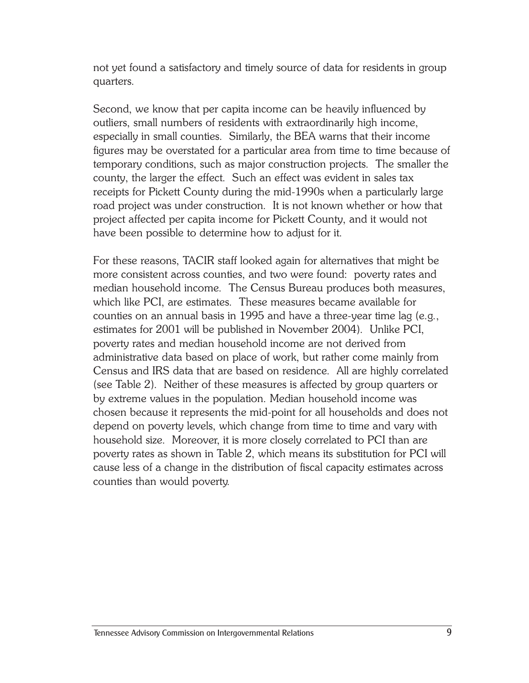not yet found a satisfactory and timely source of data for residents in group quarters.

Second, we know that per capita income can be heavily influenced by outliers, small numbers of residents with extraordinarily high income, especially in small counties. Similarly, the BEA warns that their income figures may be overstated for a particular area from time to time because of temporary conditions, such as major construction projects. The smaller the county, the larger the effect. Such an effect was evident in sales tax receipts for Pickett County during the mid-1990s when a particularly large road project was under construction. It is not known whether or how that project affected per capita income for Pickett County, and it would not have been possible to determine how to adjust for it.

For these reasons, TACIR staff looked again for alternatives that might be more consistent across counties, and two were found: poverty rates and median household income. The Census Bureau produces both measures, which like PCI, are estimates. These measures became available for counties on an annual basis in 1995 and have a three-year time lag (e.g., estimates for 2001 will be published in November 2004). Unlike PCI, poverty rates and median household income are not derived from administrative data based on place of work, but rather come mainly from Census and IRS data that are based on residence. All are highly correlated (see Table 2). Neither of these measures is affected by group quarters or by extreme values in the population. Median household income was chosen because it represents the mid-point for all households and does not depend on poverty levels, which change from time to time and vary with household size. Moreover, it is more closely correlated to PCI than are poverty rates as shown in Table 2, which means its substitution for PCI will cause less of a change in the distribution of fiscal capacity estimates across counties than would poverty.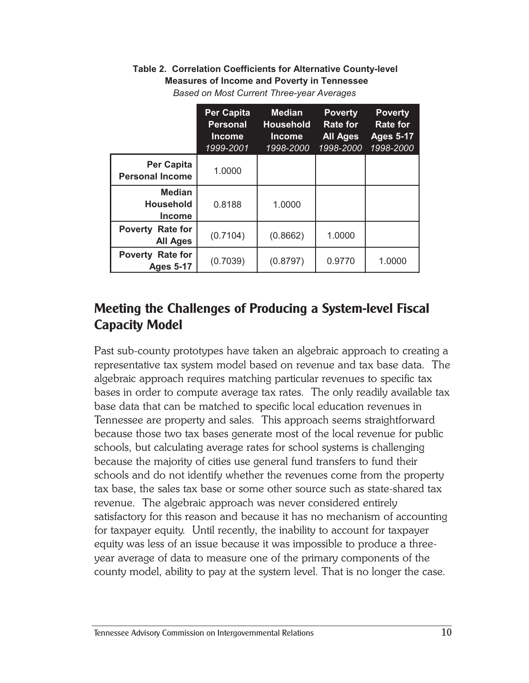#### **Table 2. Correlation Coefficients for Alternative County-level Measures of Income and Poverty in Tennessee**

|                                                      | <b>Per Capita</b><br><b>Personal</b><br><b>Income</b><br>1999-2001 | <b>Median</b><br><b>Household</b><br><b>Income</b><br>1998-2000 | <b>Poverty</b><br>Rate for<br><b>All Ages</b><br>1998-2000 | <b>Poverty</b><br><b>Rate for</b><br><b>Ages 5-17</b><br>1998-2000 |
|------------------------------------------------------|--------------------------------------------------------------------|-----------------------------------------------------------------|------------------------------------------------------------|--------------------------------------------------------------------|
| <b>Per Capita</b><br><b>Personal Income</b>          | 1.0000                                                             |                                                                 |                                                            |                                                                    |
| <b>Median</b><br><b>Household</b><br><b>Income</b>   | 0.8188                                                             | 1.0000                                                          |                                                            |                                                                    |
| <b>Poverty</b><br><b>Rate for</b><br><b>All Ages</b> | (0.7104)                                                           | (0.8662)                                                        | 1.0000                                                     |                                                                    |
| <b>Poverty Rate for</b><br><b>Ages 5-17</b>          | (0.7039)                                                           | (0.8797)                                                        | 0.9770                                                     | 1.0000                                                             |

*Based on Most Current Three-year Averages*

## **Meeting the Challenges of Producing a System-level Fiscal Capacity Model**

Past sub-county prototypes have taken an algebraic approach to creating a representative tax system model based on revenue and tax base data. The algebraic approach requires matching particular revenues to specific tax bases in order to compute average tax rates. The only readily available tax base data that can be matched to specific local education revenues in Tennessee are property and sales. This approach seems straightforward because those two tax bases generate most of the local revenue for public schools, but calculating average rates for school systems is challenging because the majority of cities use general fund transfers to fund their schools and do not identify whether the revenues come from the property tax base, the sales tax base or some other source such as state-shared tax revenue. The algebraic approach was never considered entirely satisfactory for this reason and because it has no mechanism of accounting for taxpayer equity. Until recently, the inability to account for taxpayer equity was less of an issue because it was impossible to produce a threeyear average of data to measure one of the primary components of the county model, ability to pay at the system level. That is no longer the case.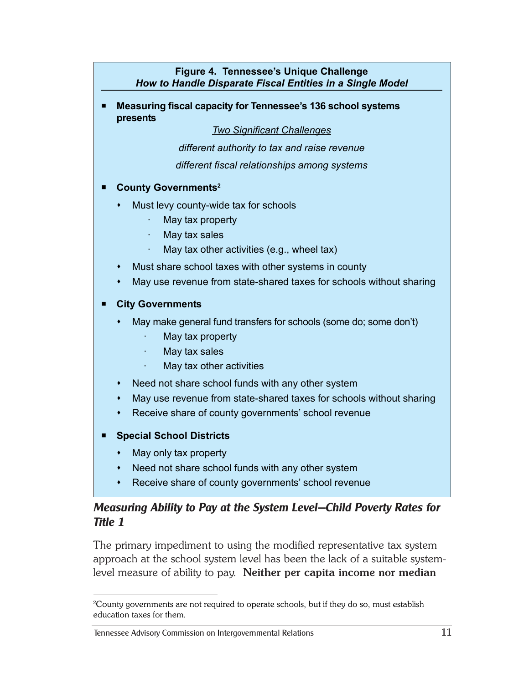#### **Figure 4. Tennessee's Unique Challenge** *How to Handle Disparate Fiscal Entities in a Single Model*

 **Measuring fiscal capacity for Tennessee's 136 school systems presents**

*Two Significant Challenges*

*different authority to tax and raise revenue*

*different fiscal relationships among systems*

#### **County Governments2**

- Must levy county-wide tax for schools
	- May tax property
	- · May tax sales
	- May tax other activities (e.g., wheel tax)
- Must share school taxes with other systems in county
- May use revenue from state-shared taxes for schools without sharing

#### **City Governments**

- May make general fund transfers for schools (some do; some don't)
	- · May tax property
	- · May tax sales
	- May tax other activities
- Need not share school funds with any other system
- May use revenue from state-shared taxes for schools without sharing
- Receive share of county governments' school revenue
- **Special School Districts**
	- May only tax property
	- Need not share school funds with any other system
	- Receive share of county governments' school revenue

#### *Measuring Ability to Pay at the System Level—Child Poverty Rates for Title 1*

The primary impediment to using the modified representative tax system approach at the school system level has been the lack of a suitable systemlevel measure of ability to pay. **Neither per capita income nor median**

 $^2$ County governments are not required to operate schools, but if they do so, must establish education taxes for them.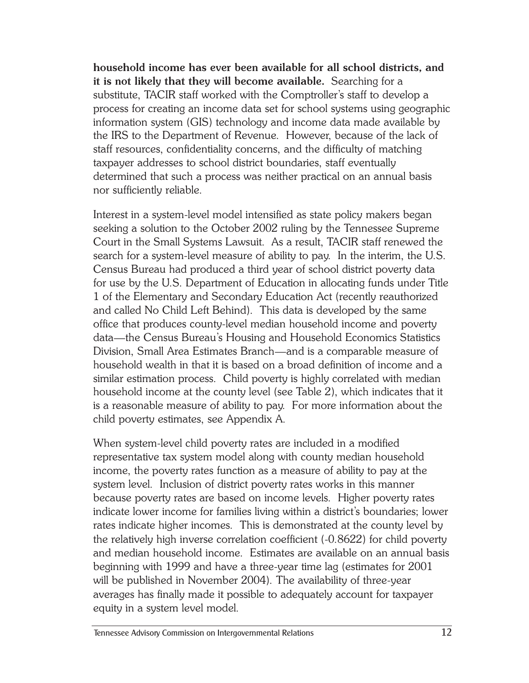**household income has ever been available for all school districts, and it is not likely that they will become available.** Searching for a substitute, TACIR staff worked with the Comptroller's staff to develop a process for creating an income data set for school systems using geographic information system (GIS) technology and income data made available by the IRS to the Department of Revenue. However, because of the lack of staff resources, confidentiality concerns, and the difficulty of matching taxpayer addresses to school district boundaries, staff eventually determined that such a process was neither practical on an annual basis nor sufficiently reliable.

Interest in a system-level model intensified as state policy makers began seeking a solution to the October 2002 ruling by the Tennessee Supreme Court in the Small Systems Lawsuit. As a result, TACIR staff renewed the search for a system-level measure of ability to pay. In the interim, the U.S. Census Bureau had produced a third year of school district poverty data for use by the U.S. Department of Education in allocating funds under Title 1 of the Elementary and Secondary Education Act (recently reauthorized and called No Child Left Behind). This data is developed by the same office that produces county-level median household income and poverty data—the Census Bureau's Housing and Household Economics Statistics Division, Small Area Estimates Branch—and is a comparable measure of household wealth in that it is based on a broad definition of income and a similar estimation process. Child poverty is highly correlated with median household income at the county level (see Table 2), which indicates that it is a reasonable measure of ability to pay. For more information about the child poverty estimates, see Appendix A.

When system-level child poverty rates are included in a modified representative tax system model along with county median household income, the poverty rates function as a measure of ability to pay at the system level. Inclusion of district poverty rates works in this manner because poverty rates are based on income levels. Higher poverty rates indicate lower income for families living within a district's boundaries; lower rates indicate higher incomes. This is demonstrated at the county level by the relatively high inverse correlation coefficient (-0.8622) for child poverty and median household income. Estimates are available on an annual basis beginning with 1999 and have a three-year time lag (estimates for 2001 will be published in November 2004). The availability of three-year averages has finally made it possible to adequately account for taxpayer equity in a system level model.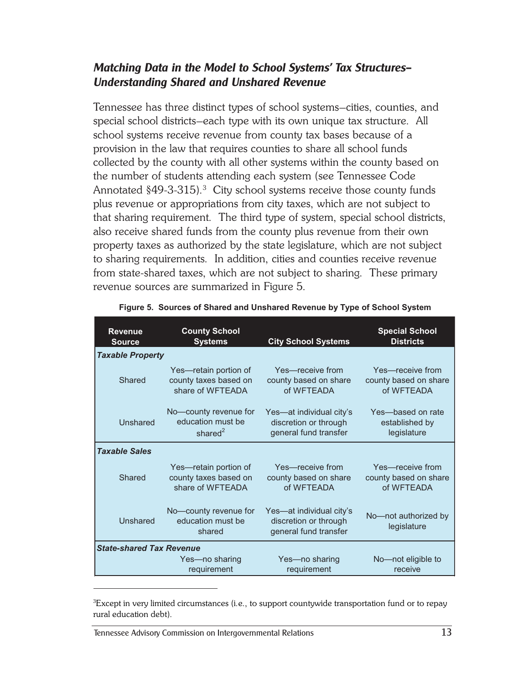#### *Matching Data in the Model to School Systems' Tax Structures— Understanding Shared and Unshared Revenue*

Tennessee has three distinct types of school systems–cities, counties, and special school districts–each type with its own unique tax structure. All school systems receive revenue from county tax bases because of a provision in the law that requires counties to share all school funds collected by the county with all other systems within the county based on the number of students attending each system (see Tennessee Code Annotated  $§49-3-315$ ).<sup>3</sup> City school systems receive those county funds plus revenue or appropriations from city taxes, which are not subject to that sharing requirement. The third type of system, special school districts, also receive shared funds from the county plus revenue from their own property taxes as authorized by the state legislature, which are not subject to sharing requirements. In addition, cities and counties receive revenue from state-shared taxes, which are not subject to sharing. These primary revenue sources are summarized in Figure 5.

| <b>Revenue</b>                  | <b>County School</b>                                 | <b>City School Systems</b>                                                 | <b>Special School</b>               |
|---------------------------------|------------------------------------------------------|----------------------------------------------------------------------------|-------------------------------------|
| <b>Source</b>                   | <b>Systems</b>                                       |                                                                            | <b>Districts</b>                    |
| <b>Taxable Property</b>         |                                                      |                                                                            |                                     |
| Shared                          | Yes—retain portion of                                | Yes—receive from                                                           | Yes—receive from                    |
|                                 | county taxes based on                                | county based on share                                                      | county based on share               |
|                                 | share of WFTEADA                                     | of WFTEADA                                                                 | of WFTEADA                          |
| Unshared                        | No-county revenue for                                | Yes-at individual city's                                                   | Yes-based on rate                   |
|                                 | education must be                                    | discretion or through                                                      | established by                      |
|                                 | shared $2$                                           | general fund transfer                                                      | legislature                         |
| <b>Taxable Sales</b>            |                                                      |                                                                            |                                     |
| Shared                          | Yes—retain portion of                                | Yes—receive from                                                           | Yes-receive from                    |
|                                 | county taxes based on                                | county based on share                                                      | county based on share               |
|                                 | share of WFTEADA                                     | of WFTEADA                                                                 | of WFTEADA                          |
| Unshared                        | No-county revenue for<br>education must be<br>shared | Yes-at individual city's<br>discretion or through<br>general fund transfer | No-not authorized by<br>legislature |
| <b>State-shared Tax Revenue</b> |                                                      |                                                                            |                                     |
|                                 | Yes-no sharing                                       | Yes-no sharing                                                             | No-not eligible to                  |
|                                 | requirement                                          | requirement                                                                | receive                             |

| Figure 5.  Sources of Shared and Unshared Revenue by Type of School System |  |  |  |  |  |
|----------------------------------------------------------------------------|--|--|--|--|--|
|                                                                            |  |  |  |  |  |

 ${}^{3}\!$ Except in very limited circumstances (i.e., to support countywide transportation fund or to repay rural education debt).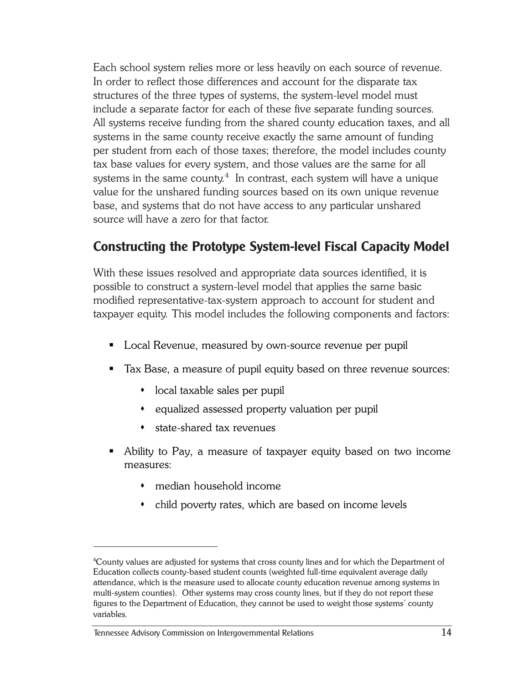Each school system relies more or less heavily on each source of revenue. In order to reflect those differences and account for the disparate tax structures of the three types of systems, the system-level model must include a separate factor for each of these five separate funding sources. All systems receive funding from the shared county education taxes, and all systems in the same county receive exactly the same amount of funding per student from each of those taxes; therefore, the model includes county tax base values for every system, and those values are the same for all systems in the same county. $^4\,$  In contrast, each system will have a unique value for the unshared funding sources based on its own unique revenue base, and systems that do not have access to any particular unshared source will have a zero for that factor.

# **Constructing the Prototype System-level Fiscal Capacity Model**

With these issues resolved and appropriate data sources identified, it is possible to construct a system-level model that applies the same basic modified representative-tax-system approach to account for student and taxpayer equity. This model includes the following components and factors:

- Local Revenue, measured by own-source revenue per pupil
- Tax Base, a measure of pupil equity based on three revenue sources:
	- local taxable sales per pupil
	- equalized assessed property valuation per pupil
	- state-shared tax revenues
- Ability to Pay, a measure of taxpayer equity based on two income measures:
	- median household income
	- child poverty rates, which are based on income levels

<sup>4</sup> County values are adjusted for systems that cross county lines and for which the Department of Education collects county-based student counts (weighted full-time equivalent average daily attendance, which is the measure used to allocate county education revenue among systems in multi-system counties). Other systems may cross county lines, but if they do not report these figures to the Department of Education, they cannot be used to weight those systems' county variables.

Tennessee Advisory Commission on Intergovernmental Relations 14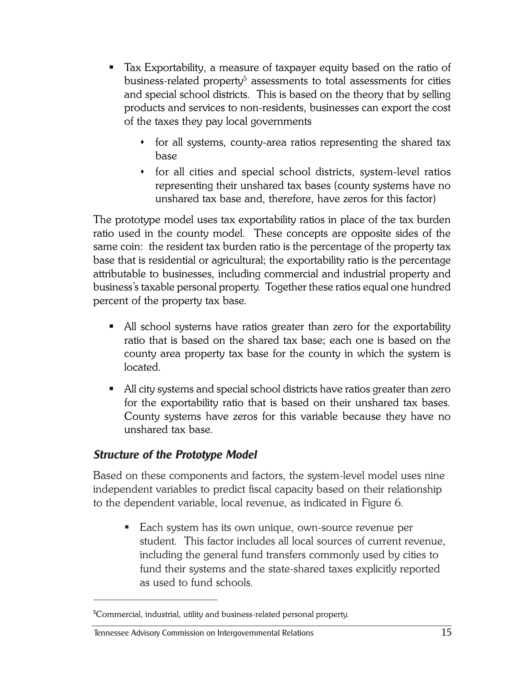- Tax Exportability, a measure of taxpayer equity based on the ratio of business-related property<sup>5</sup> assessments to total assessments for cities and special school districts. This is based on the theory that by selling products and services to non-residents, businesses can export the cost of the taxes they pay local governments
	- for all systems, county-area ratios representing the shared tax base
	- for all cities and special school districts, system-level ratios representing their unshared tax bases (county systems have no unshared tax base and, therefore, have zeros for this factor)

The prototype model uses tax exportability ratios in place of the tax burden ratio used in the county model. These concepts are opposite sides of the same coin: the resident tax burden ratio is the percentage of the property tax base that is residential or agricultural; the exportability ratio is the percentage attributable to businesses, including commercial and industrial property and business's taxable personal property. Together these ratios equal one hundred percent of the property tax base.

- All school systems have ratios greater than zero for the exportability ratio that is based on the shared tax base; each one is based on the county area property tax base for the county in which the system is located.
- All city systems and special school districts have ratios greater than zero for the exportability ratio that is based on their unshared tax bases. County systems have zeros for this variable because they have no unshared tax base.

#### *Structure of the Prototype Model*

Based on these components and factors, the system-level model uses nine independent variables to predict fiscal capacity based on their relationship to the dependent variable, local revenue, as indicated in Figure 6.

■ Each system has its own unique, own-source revenue per student. This factor includes all local sources of current revenue, including the general fund transfers commonly used by cities to fund their systems and the state-shared taxes explicitly reported as used to fund schools.

#### Tennessee Advisory Commission on Intergovernmental Relations 15

<sup>&</sup>lt;sup>5</sup>Commercial, industrial, utility and business-related personal property.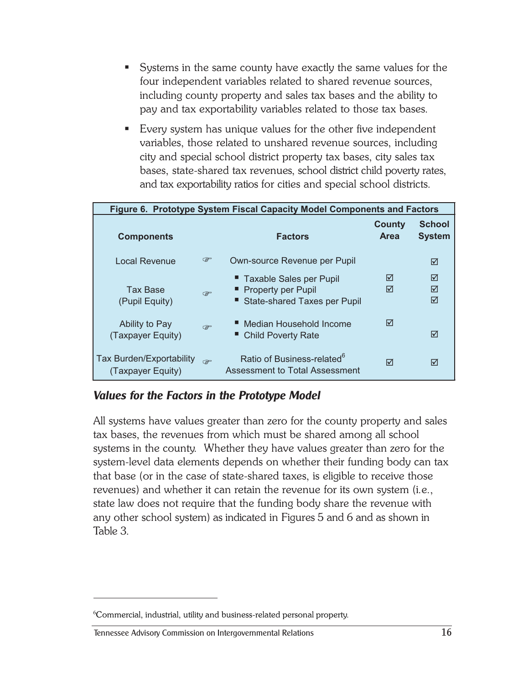- Systems in the same county have exactly the same values for the four independent variables related to shared revenue sources, including county property and sales tax bases and the ability to pay and tax exportability variables related to those tax bases.
- Every system has unique values for the other five independent variables, those related to unshared revenue sources, including city and special school district property tax bases, city sales tax bases, state-shared tax revenues, school district child poverty rates, and tax exportability ratios for cities and special school districts.

| Figure 6. Prototype System Fiscal Capacity Model Components and Factors |      |                                                                                     |                       |                                |  |  |  |  |  |  |  |
|-------------------------------------------------------------------------|------|-------------------------------------------------------------------------------------|-----------------------|--------------------------------|--|--|--|--|--|--|--|
| <b>Components</b>                                                       |      | <b>Factors</b>                                                                      | County<br><b>Area</b> | <b>School</b><br><b>System</b> |  |  |  |  |  |  |  |
| Local Revenue                                                           | ☞    | Own-source Revenue per Pupil                                                        |                       | ☑                              |  |  |  |  |  |  |  |
| Tax Base<br>(Pupil Equity)                                              | ক্টে | " Taxable Sales per Pupil<br>■ Property per Pupil<br>■ State-shared Taxes per Pupil | ⊠<br>⊠                | ⊠<br>⊠<br>⊠                    |  |  |  |  |  |  |  |
| Ability to Pay<br>(Taxpayer Equity)                                     | œ    | ■ Median Household Income<br>■ Child Poverty Rate                                   | ⊠                     | ⊠                              |  |  |  |  |  |  |  |
| <b>Tax Burden/Exportability</b><br>(Taxpayer Equity)                    | æ    | Ratio of Business-related <sup>6</sup><br>Assessment to Total Assessment            | ⊠                     | ⊠                              |  |  |  |  |  |  |  |

#### *Values for the Factors in the Prototype Model*

All systems have values greater than zero for the county property and sales tax bases, the revenues from which must be shared among all school systems in the county. Whether they have values greater than zero for the system-level data elements depends on whether their funding body can tax that base (or in the case of state-shared taxes, is eligible to receive those revenues) and whether it can retain the revenue for its own system (i.e., state law does not require that the funding body share the revenue with any other school system) as indicated in Figures 5 and 6 and as shown in Table 3.

<sup>6</sup> Commercial, industrial, utility and business-related personal property.

Tennessee Advisory Commission on Intergovernmental Relations 16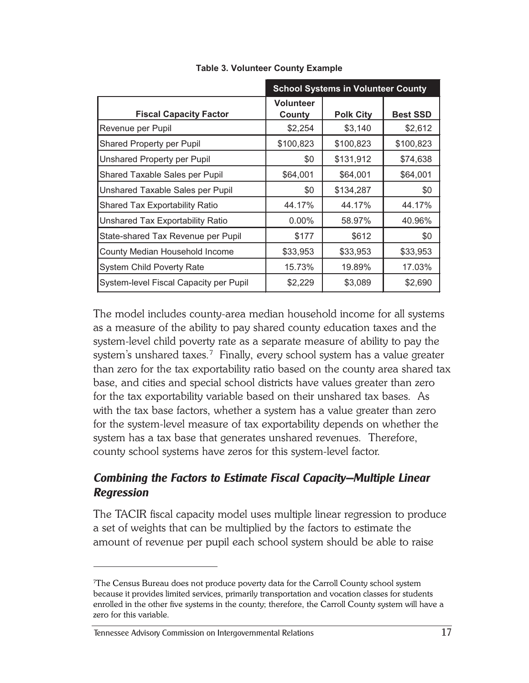|                                        |                            | <b>School Systems in Volunteer County</b> |                 |
|----------------------------------------|----------------------------|-------------------------------------------|-----------------|
| <b>Fiscal Capacity Factor</b>          | <b>Volunteer</b><br>County | <b>Polk City</b>                          | <b>Best SSD</b> |
| Revenue per Pupil                      | \$2,254                    | \$3,140                                   | \$2,612         |
| <b>Shared Property per Pupil</b>       | \$100,823                  | \$100,823                                 | \$100,823       |
| Unshared Property per Pupil            | \$0                        | \$131,912                                 | \$74,638        |
| Shared Taxable Sales per Pupil         | \$64,001                   | \$64,001                                  | \$64,001        |
| Unshared Taxable Sales per Pupil       | \$0                        | \$134,287                                 | \$0             |
| <b>Shared Tax Exportability Ratio</b>  | 44.17%                     | 44.17%                                    | 44.17%          |
| Unshared Tax Exportability Ratio       | 0.00%                      | 58.97%                                    | 40.96%          |
| State-shared Tax Revenue per Pupil     | \$177                      | \$612                                     | \$0             |
| County Median Household Income         | \$33,953                   | \$33,953                                  | \$33,953        |
| <b>System Child Poverty Rate</b>       | 15.73%                     | 19.89%                                    | 17.03%          |
| System-level Fiscal Capacity per Pupil | \$2,229                    | \$3,089                                   | \$2,690         |

**Table 3. Volunteer County Example**

The model includes county-area median household income for all systems as a measure of the ability to pay shared county education taxes and the system-level child poverty rate as a separate measure of ability to pay the system's unshared taxes. $^7\,$  Finally, every school system has a value greater than zero for the tax exportability ratio based on the county area shared tax base, and cities and special school districts have values greater than zero for the tax exportability variable based on their unshared tax bases. As with the tax base factors, whether a system has a value greater than zero for the system-level measure of tax exportability depends on whether the system has a tax base that generates unshared revenues. Therefore, county school systems have zeros for this system-level factor.

### *Combining the Factors to Estimate Fiscal Capacity—Multiple Linear Regression*

The TACIR fiscal capacity model uses multiple linear regression to produce a set of weights that can be multiplied by the factors to estimate the amount of revenue per pupil each school system should be able to raise

#### Tennessee Advisory Commission on Intergovernmental Relations 17

<sup>7</sup> The Census Bureau does not produce poverty data for the Carroll County school system because it provides limited services, primarily transportation and vocation classes for students enrolled in the other five systems in the county; therefore, the Carroll County system will have a zero for this variable.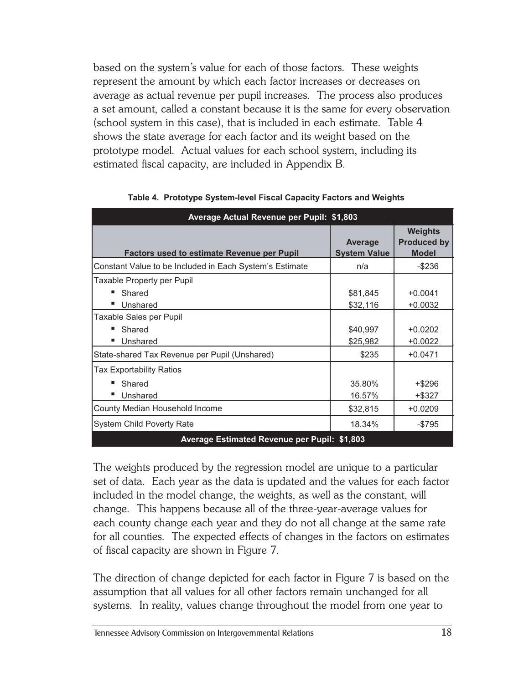based on the system's value for each of those factors. These weights represent the amount by which each factor increases or decreases on average as actual revenue per pupil increases. The process also produces a set amount, called a constant because it is the same for every observation (school system in this case), that is included in each estimate. Table 4 shows the state average for each factor and its weight based on the prototype model. Actual values for each school system, including its estimated fiscal capacity, are included in Appendix B.

| Average Actual Revenue per Pupil: \$1,803               |                                       |                                                      |
|---------------------------------------------------------|---------------------------------------|------------------------------------------------------|
| <b>Factors used to estimate Revenue per Pupil</b>       | <b>Average</b><br><b>System Value</b> | <b>Weights</b><br><b>Produced by</b><br><b>Model</b> |
| Constant Value to be Included in Each System's Estimate | n/a                                   | $-$236$                                              |
| Taxable Property per Pupil<br>Shared<br>Unshared        | \$81,845<br>\$32,116                  | $+0.0041$<br>$+0.0032$                               |
| Taxable Sales per Pupil<br>Shared<br>Unshared           | \$40,997<br>\$25,982                  | $+0.0202$<br>$+0.0022$                               |
| State-shared Tax Revenue per Pupil (Unshared)           | \$235                                 | $+0.0471$                                            |
| Tax Exportability Ratios<br>Shared<br>Unshared          | 35.80%<br>16.57%                      | $+$ \$296<br>+\$327                                  |
| County Median Household Income                          | \$32,815                              | $+0.0209$                                            |
| <b>System Child Poverty Rate</b>                        | 18.34%                                | $-$795$                                              |
| Average Estimated Revenue per Pupil: \$1,803            |                                       |                                                      |

**Table 4. Prototype System-level Fiscal Capacity Factors and Weights**

The weights produced by the regression model are unique to a particular set of data. Each year as the data is updated and the values for each factor included in the model change, the weights, as well as the constant, will change. This happens because all of the three-year-average values for each county change each year and they do not all change at the same rate for all counties. The expected effects of changes in the factors on estimates of fiscal capacity are shown in Figure 7.

The direction of change depicted for each factor in Figure 7 is based on the assumption that all values for all other factors remain unchanged for all systems. In reality, values change throughout the model from one year to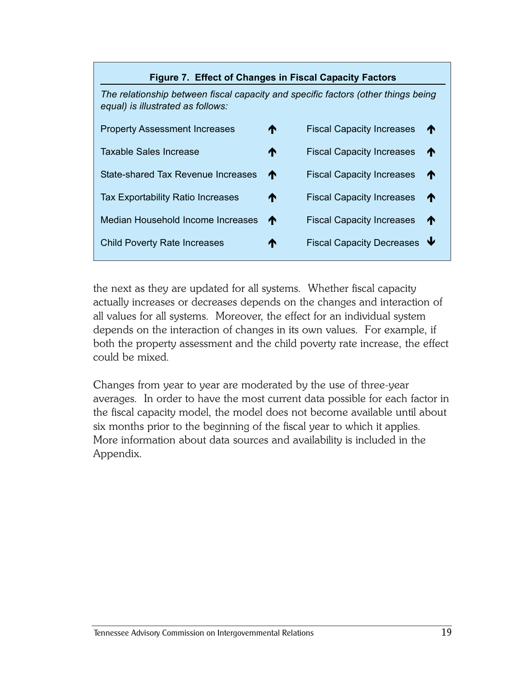| <b>Figure 7. Effect of Changes in Fiscal Capacity Factors</b>                                                          |    |                                  |   |  |  |  |  |  |  |  |
|------------------------------------------------------------------------------------------------------------------------|----|----------------------------------|---|--|--|--|--|--|--|--|
| The relationship between fiscal capacity and specific factors (other things being<br>equal) is illustrated as follows: |    |                                  |   |  |  |  |  |  |  |  |
| <b>Property Assessment Increases</b>                                                                                   | ↑  | <b>Fiscal Capacity Increases</b> | T |  |  |  |  |  |  |  |
| <b>Taxable Sales Increase</b>                                                                                          | ⋔  | <b>Fiscal Capacity Increases</b> | ₼ |  |  |  |  |  |  |  |
| State-shared Tax Revenue Increases                                                                                     | ↑  | <b>Fiscal Capacity Increases</b> | ↑ |  |  |  |  |  |  |  |
| <b>Tax Exportability Ratio Increases</b>                                                                               | ↑  | <b>Fiscal Capacity Increases</b> | ₼ |  |  |  |  |  |  |  |
| Median Household Income Increases                                                                                      | ́↑ | <b>Fiscal Capacity Increases</b> | ₼ |  |  |  |  |  |  |  |
| <b>Child Poverty Rate Increases</b>                                                                                    | ₼  | <b>Fiscal Capacity Decreases</b> |   |  |  |  |  |  |  |  |
|                                                                                                                        |    |                                  |   |  |  |  |  |  |  |  |

the next as they are updated for all systems. Whether fiscal capacity actually increases or decreases depends on the changes and interaction of all values for all systems. Moreover, the effect for an individual system depends on the interaction of changes in its own values. For example, if both the property assessment and the child poverty rate increase, the effect could be mixed.

Changes from year to year are moderated by the use of three-year averages. In order to have the most current data possible for each factor in the fiscal capacity model, the model does not become available until about six months prior to the beginning of the fiscal year to which it applies. More information about data sources and availability is included in the Appendix.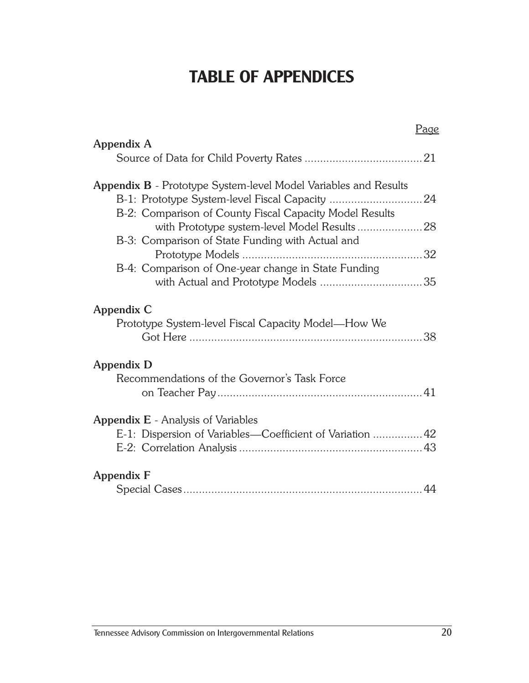# **TABLE OF APPENDICES**

|                                                                                                        | Page |
|--------------------------------------------------------------------------------------------------------|------|
| <b>Appendix A</b>                                                                                      |      |
|                                                                                                        |      |
| <b>Appendix B</b> - Prototype System-level Model Variables and Results                                 |      |
| B-2: Comparison of County Fiscal Capacity Model Results                                                |      |
|                                                                                                        |      |
| B-3: Comparison of State Funding with Actual and                                                       |      |
| B-4: Comparison of One-year change in State Funding                                                    |      |
|                                                                                                        |      |
| Appendix C<br>Prototype System-level Fiscal Capacity Model—How We                                      |      |
| Appendix D<br>Recommendations of the Governor's Task Force                                             |      |
| <b>Appendix E</b> - Analysis of Variables<br>E-1: Dispersion of Variables—Coefficient of Variation  42 |      |
| <b>Appendix F</b>                                                                                      |      |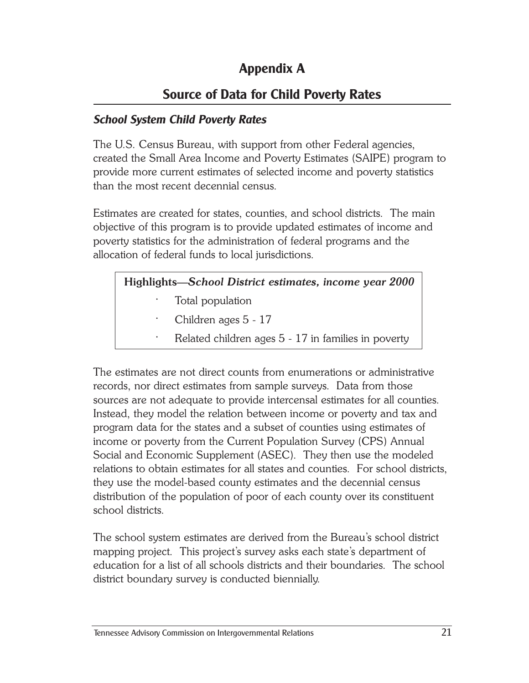# **Appendix A**

# **Source of Data for Child Poverty Rates**

#### *School System Child Poverty Rates*

The U.S. Census Bureau, with support from other Federal agencies, created the Small Area Income and Poverty Estimates (SAIPE) program to provide more current estimates of selected income and poverty statistics than the most recent decennial census.

Estimates are created for states, counties, and school districts. The main objective of this program is to provide updated estimates of income and poverty statistics for the administration of federal programs and the allocation of federal funds to local jurisdictions.

#### **Highlights—***School District estimates, income year 2000*

- Total population
- · Children ages 5 17
- Related children ages 5 17 in families in poverty

The estimates are not direct counts from enumerations or administrative records, nor direct estimates from sample surveys. Data from those sources are not adequate to provide intercensal estimates for all counties. Instead, they model the relation between income or poverty and tax and program data for the states and a subset of counties using estimates of income or poverty from the Current Population Survey (CPS) Annual Social and Economic Supplement (ASEC). They then use the modeled relations to obtain estimates for all states and counties. For school districts, they use the model-based county estimates and the decennial census distribution of the population of poor of each county over its constituent school districts.

The school system estimates are derived from the Bureau's school district mapping project. This project's survey asks each state's department of education for a list of all schools districts and their boundaries. The school district boundary survey is conducted biennially.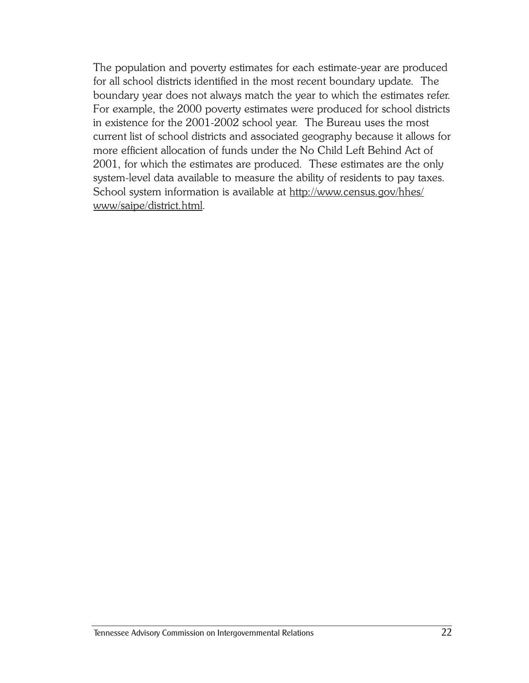The population and poverty estimates for each estimate-year are produced for all school districts identified in the most recent boundary update. The boundary year does not always match the year to which the estimates refer. For example, the 2000 poverty estimates were produced for school districts in existence for the 2001-2002 school year. The Bureau uses the most current list of school districts and associated geography because it allows for more efficient allocation of funds under the No Child Left Behind Act of 2001, for which the estimates are produced. These estimates are the only system-level data available to measure the ability of residents to pay taxes. School system information is available at http://www.census.gov/hhes/ www/saipe/district.html.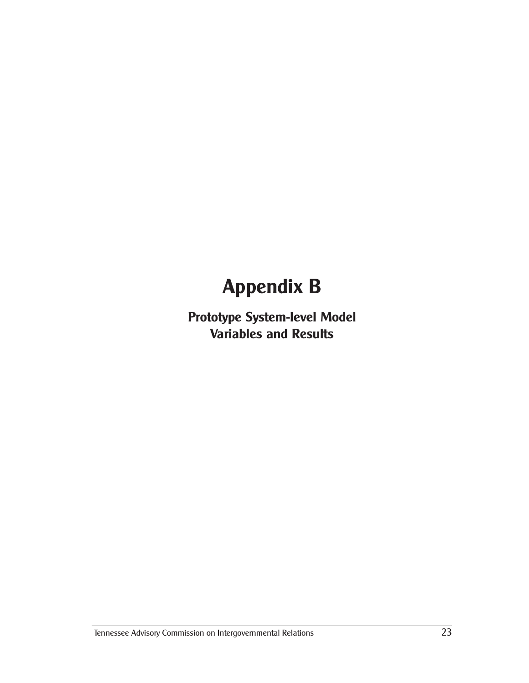**Prototype System-level Model Variables and Results**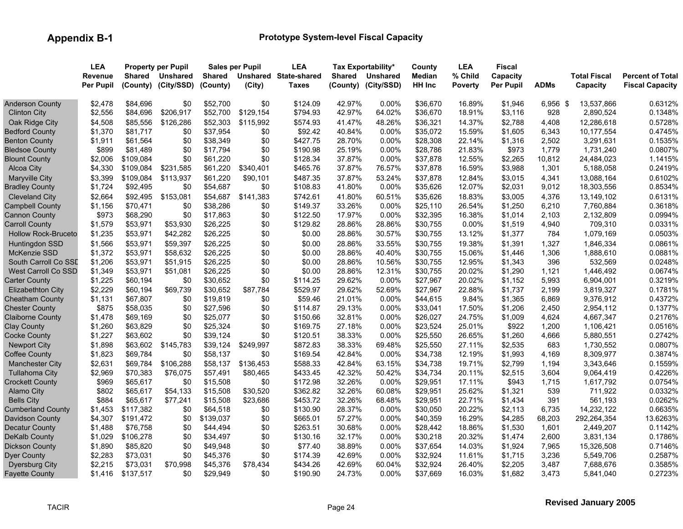|                            | <b>LEA</b>       |               | <b>Property per Pupil</b> |               | <b>Sales per Pupil</b> | <b>LEA</b>            |        | Tax Exportability*  | County   | <b>LEA</b>     | <b>Fiscal</b>    |             |                     |                         |
|----------------------------|------------------|---------------|---------------------------|---------------|------------------------|-----------------------|--------|---------------------|----------|----------------|------------------|-------------|---------------------|-------------------------|
|                            | <b>Revenue</b>   | <b>Shared</b> | <b>Unshared</b>           | <b>Shared</b> |                        | Unshared State-shared | Shared | <b>Unshared</b>     | Median   | % Child        | Capacity         |             | <b>Total Fiscal</b> | <b>Percent of Total</b> |
|                            | <b>Per Pupil</b> |               | (County) (City/SSD)       | (County)      | (City)                 | <b>Taxes</b>          |        | (County) (City/SSD) | HH Inc   | <b>Poverty</b> | <b>Per Pupil</b> | <b>ADMs</b> | Capacity            | <b>Fiscal Capacity</b>  |
| <b>Anderson County</b>     | \$2,478          | \$84,696      | \$0                       | \$52,700      | \$0                    | \$124.09              | 42.97% | 0.00%               | \$36,670 | 16.89%         | \$1,946          | 6,956 \$    | 13,537,866          | 0.6312%                 |
| <b>Clinton City</b>        | \$2,556          | \$84,696      | \$206,917                 | \$52,700      | \$129,154              | \$794.93              | 42.97% | 64.02%              | \$36,670 | 18.91%         | \$3,116          | 928         | 2,890,524           | 0.1348%                 |
| Oak Ridge City             | \$4,508          | \$85,556      | \$126,286                 | \$52,303      | \$115,992              | \$574.93              | 41.47% | 48.26%              | \$36,321 | 14.37%         | \$2,788          | 4,408       | 12,286,618          | 0.5728%                 |
| <b>Bedford County</b>      | \$1,370          | \$81,717      | \$0                       | \$37,954      | \$0                    | \$92.42               | 40.84% | 0.00%               | \$35,072 | 15.59%         | \$1,605          | 6,343       | 10,177,554          | 0.4745%                 |
| <b>Benton County</b>       | \$1,911          | \$61,564      | \$0                       | \$38,349      | \$0                    | \$427.75              | 28.70% | $0.00\%$            | \$28,308 | 22.14%         | \$1,316          | 2,502       | 3,291,631           | 0.1535%                 |
| <b>Bledsoe County</b>      | \$899            | \$81,489      | \$0                       | \$17,794      | \$0                    | \$190.98              | 25.19% | 0.00%               | \$28,786 | 21.83%         | \$973            | 1,779       | 1,731,240           | 0.0807%                 |
| <b>Blount County</b>       | \$2,006          | \$109,084     | \$0                       | \$61,220      | \$0                    | \$128.34              | 37.87% | $0.00\%$            | \$37,878 | 12.55%         | \$2,265          | 10,812      | 24,484,023          | 1.1415%                 |
| Alcoa City                 | \$4,330          | \$109,084     | \$231,585                 | \$61,220      | \$340,401              | \$465.76              | 37.87% | 76.57%              | \$37,878 | 16.59%         | \$3,988          | 1,301       | 5,188,058           | 0.2419%                 |
| <b>Maryville City</b>      | \$3,399          | \$109,084     | \$113,937                 | \$61,220      | \$90,101               | \$487.35              | 37.87% | 53.24%              | \$37,878 | 12.84%         | \$3,015          | 4,341       | 13,088,164          | 0.6102%                 |
| <b>Bradley County</b>      | \$1,724          | \$92,495      | \$0                       | \$54,687      | \$0                    | \$108.83              | 41.80% | $0.00\%$            | \$35,626 | 12.07%         | \$2,031          | 9,012       | 18,303,556          | 0.8534%                 |
| <b>Cleveland City</b>      | \$2,664          | \$92,495      | \$153,081                 | \$54,687      | \$141,383              | \$742.61              | 41.80% | 60.51%              | \$35,626 | 18.83%         | \$3,005          | 4,376       | 13,149,102          | 0.6131%                 |
| <b>Campbell County</b>     | \$1,156          | \$70,471      | \$0                       | \$38,286      | \$0                    | \$149.37              | 33.26% | 0.00%               | \$25,110 | 26.54%         | \$1,250          | 6,210       | 7,760,884           | 0.3618%                 |
| <b>Cannon County</b>       | \$973            | \$68,290      | \$0                       | \$17,863      | \$0                    | \$122.50              | 17.97% | 0.00%               | \$32,395 | 16.38%         | \$1,014          | 2,103       | 2,132,809           | 0.0994%                 |
| <b>Carroll County</b>      | \$1,579          | \$53,971      | \$53,930                  | \$26,225      | \$0                    | \$129.82              | 28.86% | 28.86%              | \$30,755 | 0.00%          | \$1,519          | 4,940       | 709,310             | 0.0331%                 |
| <b>Hollow Rock-Bruceto</b> | \$1,235          | \$53,971      | \$42,282                  | \$26,225      | \$0                    | \$0.00                | 28.86% | 30.57%              | \$30,755 | 13.12%         | \$1,377          | 784         | 1,079,169           | 0.0503%                 |
| Huntingdon SSD             | \$1,566          | \$53,971      | \$59,397                  | \$26,225      | \$0                    | \$0.00                | 28.86% | 33.55%              | \$30,755 | 19.38%         | \$1,391          | 1,327       | 1,846,334           | 0.0861%                 |
| <b>McKenzie SSD</b>        | \$1,372          | \$53,971      | \$58,632                  | \$26,225      | \$0                    | \$0.00                | 28.86% | 40.40%              | \$30,755 | 15.06%         | \$1,446          | 1,306       | 1,888,610           | 0.0881%                 |
| South Carroll Co SSD       | \$1,206          | \$53,971      | \$51,915                  | \$26,225      | \$0                    | \$0.00                | 28.86% | 10.56%              | \$30,755 | 12.95%         | \$1,343          | 396         | 532,569             | 0.0248%                 |
| <b>West Carroll Co SSD</b> | \$1,349          | \$53,971      | \$51,081                  | \$26,225      | \$0                    | \$0.00                | 28.86% | 12.31%              | \$30,755 | 20.02%         | \$1,290          | 1,121       | 1,446,492           | 0.0674%                 |
| <b>Carter County</b>       | \$1,225          | \$60,194      | \$0                       | \$30,652      | \$0                    | \$114.25              | 29.62% | 0.00%               | \$27,967 | 20.02%         | \$1,152          | 5,993       | 6,904,001           | 0.3219%                 |
| <b>Elizabethton City</b>   | \$2,229          | \$60,194      | \$69,739                  | \$30,652      | \$87,784               | \$529.97              | 29.62% | 52.69%              | \$27,967 | 22.88%         | \$1,737          | 2,199       | 3,819,327           | 0.1781%                 |
| <b>Cheatham County</b>     | \$1,131          | \$67,807      | \$0                       | \$19,819      | \$0                    | \$59.46               | 21.01% | 0.00%               | \$44,615 | 9.84%          | \$1,365          | 6,869       | 9,376,912           | 0.4372%                 |
| <b>Chester County</b>      | \$875            | \$58,035      | \$0                       | \$27,596      | \$0                    | \$114.87              | 29.13% | 0.00%               | \$33,041 | 17.50%         | \$1,206          | 2,450       | 2,954,112           | 0.1377%                 |
| <b>Claiborne County</b>    | \$1,478          | \$69,169      | \$0                       | \$25,077      | \$0                    | \$150.66              | 32.81% | 0.00%               | \$26,027 | 24.75%         | \$1,009          | 4,624       | 4,667,347           | 0.2176%                 |
| <b>Clay County</b>         | \$1,260          | \$63,829      | \$0                       | \$25,324      | \$0                    | \$169.75              | 27.18% | $0.00\%$            | \$23,524 | 25.01%         | \$922            | 1,200       | 1,106,421           | 0.0516%                 |
| <b>Cocke County</b>        | \$1,227          | \$63,602      | \$0                       | \$39,124      | \$0                    | \$120.51              | 38.33% | 0.00%               | \$25,550 | 26.65%         | \$1,260          | 4,666       | 5,880,551           | 0.2742%                 |
| <b>Newport City</b>        | \$1,898          | \$63,602      | \$145,783                 | \$39,124      | \$249,997              | \$872.83              | 38.33% | 69.48%              | \$25,550 | 27.11%         | \$2,535          | 683         | 1,730,552           | 0.0807%                 |
| <b>Coffee County</b>       | \$1,823          | \$69,784      | \$0                       | \$58,137      | \$0                    | \$169.54              | 42.84% | $0.00\%$            | \$34,738 | 12.19%         | \$1,993          | 4,169       | 8,309,977           | 0.3874%                 |
| <b>Manchester City</b>     | \$2,631          | \$69,784      | \$106,288                 | \$58,137      | \$136,453              | \$588.33              | 42.84% | 63.15%              | \$34,738 | 19.71%         | \$2,799          | 1,194       | 3,343,646           | 0.1559%                 |
| <b>Tullahoma City</b>      | \$2,969          | \$70,383      | \$76,075                  | \$57,491      | \$80,465               | \$433.45              | 42.32% | 50.42%              | \$34,734 | 20.11%         | \$2,515          | 3,604       | 9,064,419           | 0.4226%                 |
| <b>Crockett County</b>     | \$969            | \$65,617      | \$0                       | \$15,508      | \$0                    | \$172.98              | 32.26% | 0.00%               | \$29,951 | 17.11%         | \$943            | 1,715       | 1,617,792           | 0.0754%                 |
| <b>Alamo City</b>          | \$802            | \$65,617      | \$54,133                  | \$15,508      | \$30,520               | \$362.82              | 32.26% | 60.08%              | \$29,951 | 25.62%         | \$1,321          | 539         | 711,922             | 0.0332%                 |
| <b>Bells City</b>          | \$884            | \$65,617      | \$77,241                  | \$15,508      | \$23,686               | \$453.72              | 32.26% | 68.48%              | \$29,951 | 22.71%         | \$1,434          | 391         | 561,193             | 0.0262%                 |
| <b>Cumberland County</b>   | \$1,453          | \$117,382     | \$0                       | \$64,518      | \$0                    | \$130.90              | 28.37% | 0.00%               | \$30,050 | 20.22%         | \$2,113          | 6,735       | 14,232,122          | 0.6635%                 |
| Davidson County            | \$4,307          | \$191,472     | \$0                       | \$139,037     | \$0                    | \$665.01              | 57.27% | $0.00\%$            | \$40,359 | 16.29%         | \$4,285          | 68,203      | 292,264,354         | 13.6263%                |
| <b>Decatur County</b>      | \$1,488          | \$76,758      | \$0                       | \$44,494      | \$0                    | \$263.51              | 30.68% | $0.00\%$            | \$28,442 | 18.86%         | \$1,530          | 1,601       | 2,449,207           | 0.1142%                 |
| DeKalb County              | \$1,029          | \$106,278     | \$0                       | \$34,497      | \$0                    | \$130.16              | 32.17% | $0.00\%$            | \$30,218 | 20.32%         | \$1,474          | 2,600       | 3,831,134           | 0.1786%                 |
| <b>Dickson County</b>      | \$1,890          | \$85,820      | \$0                       | \$49,948      | \$0                    | \$77.40               | 38.89% | 0.00%               | \$37,654 | 14.03%         | \$1,924          | 7,965       | 15,326,508          | 0.7146%                 |
| <b>Dyer County</b>         | \$2,283          | \$73,031      | \$0                       | \$45,376      | \$0                    | \$174.39              | 42.69% | 0.00%               | \$32,924 | 11.61%         | \$1,715          | 3,236       | 5,549,706           | 0.2587%                 |
| <b>Dyersburg City</b>      | \$2,215          | \$73,031      | \$70,998                  | \$45,376      | \$78,434               | \$434.26              | 42.69% | 60.04%              | \$32,924 | 26.40%         | \$2,205          | 3,487       | 7,688,676           | 0.3585%                 |
| <b>Fayette County</b>      | \$1,416          | \$137,517     | \$0                       | \$29,949      | \$0                    | \$190.90              | 24.73% | 0.00%               | \$37,669 | 16.03%         | \$1,682          | 3,473       | 5,841,040           | 0.2723%                 |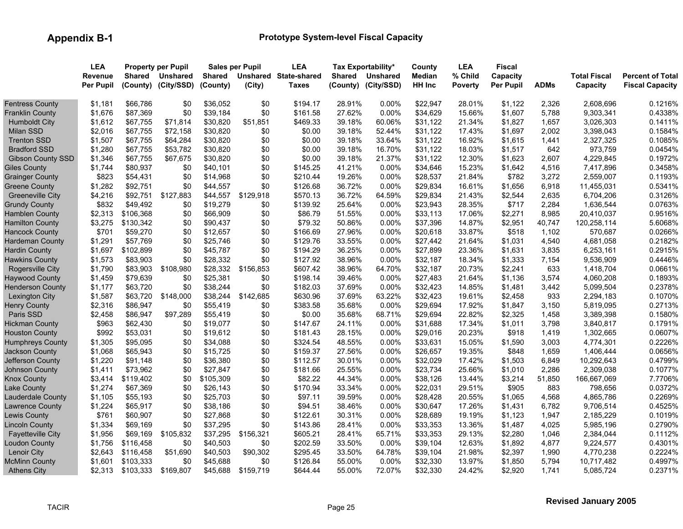|                          | <b>LEA</b>       |               | <b>Property per Pupil</b> |               | Sales per Pupil | <b>LEA</b>            |               | Tax Exportability*  | County   | <b>LEA</b> | <b>Fiscal</b> |             |                     |                         |
|--------------------------|------------------|---------------|---------------------------|---------------|-----------------|-----------------------|---------------|---------------------|----------|------------|---------------|-------------|---------------------|-------------------------|
|                          | <b>Revenue</b>   | <b>Shared</b> | <b>Unshared</b>           | <b>Shared</b> |                 | Unshared State-shared | <b>Shared</b> | <b>Unshared</b>     | Median   | % Child    | Capacity      |             | <b>Total Fiscal</b> | <b>Percent of Total</b> |
|                          | <b>Per Pupil</b> | (County)      | (City/SSD)                | (County)      | (City)          | <b>Taxes</b>          |               | (County) (City/SSD) | HH Inc   | Poverty    | Per Pupil     | <b>ADMs</b> | Capacity            | <b>Fiscal Capacity</b>  |
| <b>Fentress County</b>   | \$1,181          | \$66,786      | \$0                       | \$36,052      | \$0             | \$194.17              | 28.91%        | 0.00%               | \$22,947 | 28.01%     | \$1,122       | 2,326       | 2,608,696           | 0.1216%                 |
| <b>Franklin County</b>   | \$1,676          | \$87,369      | \$0                       | \$39,184      | \$0             | \$161.58              | 27.62%        | 0.00%               | \$34,629 | 15.66%     | \$1,607       | 5,788       | 9,303,341           | 0.4338%                 |
| <b>Humboldt City</b>     | \$1,612          | \$67,755      | \$71,814                  | \$30,820      | \$51,851        | \$469.33              | 39.18%        | 60.06%              | \$31,122 | 21.34%     | \$1,827       | 1,657       | 3,026,303           | 0.1411%                 |
| <b>Milan SSD</b>         | \$2,016          | \$67,755      | \$72,158                  | \$30,820      | \$0             | \$0.00                | 39.18%        | 52.44%              | \$31,122 | 17.43%     | \$1,697       | 2,002       | 3,398,043           | 0.1584%                 |
| <b>Trenton SSD</b>       | \$1,507          | \$67,755      | \$64,284                  | \$30,820      | \$0             | \$0.00                | 39.18%        | 33.64%              | \$31,122 | 16.92%     | \$1,615       | 1,441       | 2,327,325           | 0.1085%                 |
| <b>Bradford SSD</b>      | \$1,280          | \$67,755      | \$53,782                  | \$30,820      | \$0             | \$0.00                | 39.18%        | 16.70%              | \$31,122 | 18.03%     | \$1,517       | 642         | 973,759             | 0.0454%                 |
| <b>Gibson County SSD</b> | \$1,346          | \$67,755      | \$67,675                  | \$30,820      | \$0             | \$0.00                | 39.18%        | 21.37%              | \$31,122 | 12.30%     | \$1,623       | 2,607       | 4,229,845           | 0.1972%                 |
| <b>Giles County</b>      | \$1,744          | \$80,937      | \$0                       | \$40,101      | \$0             | \$145.25              | 41.21%        | 0.00%               | \$34,646 | 15.23%     | \$1,642       | 4,516       | 7,417,896           | 0.3458%                 |
| <b>Grainger County</b>   | \$823            | \$54,431      | \$0                       | \$14,968      | \$0             | \$210.44              | 19.26%        | 0.00%               | \$28,537 | 21.84%     | \$782         | 3,272       | 2,559,007           | 0.1193%                 |
| Greene County            | \$1,282          | \$92,751      | \$0                       | \$44,557      | \$0             | \$126.68              | 36.72%        | $0.00\%$            | \$29,834 | 16.61%     | \$1,656       | 6,918       | 11,455,031          | 0.5341%                 |
| <b>Greeneville City</b>  | \$4,216          | \$92,751      | \$127,883                 | \$44,557      | \$129,918       | \$570.13              | 36.72%        | 64.59%              | \$29,834 | 21.43%     | \$2,544       | 2,635       | 6,704,206           | 0.3126%                 |
| <b>Grundy County</b>     | \$832            | \$49,492      | \$0                       | \$19,279      | \$0             | \$139.92              | 25.64%        | 0.00%               | \$23,943 | 28.35%     | \$717         | 2,284       | 1,636,544           | 0.0763%                 |
| <b>Hamblen County</b>    | \$2,313          | \$106,368     | \$0                       | \$66,909      | \$0             | \$86.79               | 51.55%        | $0.00\%$            | \$33,113 | 17.06%     | \$2,271       | 8,985       | 20,410,037          | 0.9516%                 |
| <b>Hamilton County</b>   | \$3,275          | \$130,342     | \$0                       | \$90,437      | \$0             | \$79.32               | 50.86%        | 0.00%               | \$37,396 | 14.87%     | \$2,951       | 40,747      | 120,258,114         | 5.6068%                 |
| <b>Hancock County</b>    | \$701            | \$59,270      | \$0                       | \$12,657      | \$0             | \$166.69              | 27.96%        | $0.00\%$            | \$20,618 | 33.87%     | \$518         | 1,102       | 570,687             | 0.0266%                 |
| Hardeman County          | \$1,291          | \$57,769      | \$0                       | \$25,746      | \$0             | \$129.76              | 33.55%        | $0.00\%$            | \$27,442 | 21.64%     | \$1,031       | 4,540       | 4,681,058           | 0.2182%                 |
| <b>Hardin County</b>     | \$1,697          | \$102,899     | \$0                       | \$45,787      | \$0             | \$194.29              | 36.25%        | $0.00\%$            | \$27,899 | 23.36%     | \$1,631       | 3,835       | 6,253,161           | 0.2915%                 |
| <b>Hawkins County</b>    | \$1,573          | \$83,903      | \$0                       | \$28,332      | \$0             | \$127.92              | 38.96%        | 0.00%               | \$32,187 | 18.34%     | \$1,333       | 7,154       | 9,536,909           | 0.4446%                 |
| Rogersville City         | \$1,790          | \$83,903      | \$108,980                 | \$28,332      | \$156,853       | \$607.42              | 38.96%        | 64.70%              | \$32,187 | 20.73%     | \$2,241       | 633         | 1,418,704           | 0.0661%                 |
| <b>Haywood County</b>    | \$1,459          | \$79,639      | \$0                       | \$25,381      | \$0             | \$198.14              | 39.46%        | 0.00%               | \$27,483 | 21.64%     | \$1,136       | 3,574       | 4,060,208           | 0.1893%                 |
| <b>Henderson County</b>  | \$1,177          | \$63,720      | \$0                       | \$38,244      | \$0             | \$182.03              | 37.69%        | 0.00%               | \$32,423 | 14.85%     | \$1,481       | 3,442       | 5,099,504           | 0.2378%                 |
| <b>Lexington City</b>    | \$1,587          | \$63,720      | \$148,000                 | \$38,244      | \$142,685       | \$630.96              | 37.69%        | 63.22%              | \$32,423 | 19.61%     | \$2,458       | 933         | 2,294,183           | 0.1070%                 |
| <b>Henry County</b>      | \$2,316          | \$86,947      | \$0                       | \$55,419      | \$0             | \$383.58              | 35.68%        | 0.00%               | \$29,694 | 17.92%     | \$1,847       | 3,150       | 5,819,095           | 0.2713%                 |
| Paris SSD                | \$2,458          | \$86,947      | \$97,289                  | \$55,419      | \$0             | \$0.00                | 35.68%        | 68.71%              | \$29,694 | 22.82%     | \$2,325       | 1,458       | 3,389,398           | 0.1580%                 |
| <b>Hickman County</b>    | \$963            | \$62,430      | \$0                       | \$19,077      | \$0             | \$147.67              | 24.11%        | $0.00\%$            | \$31,688 | 17.34%     | \$1,011       | 3,798       | 3,840,817           | 0.1791%                 |
| <b>Houston County</b>    | \$992            | \$53,031      | \$0                       | \$19,612      | \$0             | \$181.43              | 28.15%        | 0.00%               | \$29,016 | 20.23%     | \$918         | 1,419       | 1,302,665           | 0.0607%                 |
| <b>Humphreys County</b>  | \$1,305          | \$95,095      | \$0                       | \$34,088      | \$0             | \$324.54              | 48.55%        | 0.00%               | \$33,631 | 15.05%     | \$1,590       | 3,003       | 4,774,301           | 0.2226%                 |
| <b>Jackson County</b>    | \$1,068          | \$65,943      | \$0                       | \$15,725      | \$0             | \$159.37              | 27.56%        | $0.00\%$            | \$26,657 | 19.35%     | \$848         | 1,659       | 1,406,444           | 0.0656%                 |
| Jefferson County         | \$1,220          | \$91,148      | \$0                       | \$36,380      | \$0             | \$112.57              | 30.01%        | 0.00%               | \$32,029 | 17.42%     | \$1,503       | 6,849       | 10,292,643          | 0.4799%                 |
| <b>Johnson County</b>    | \$1,411          | \$73,962      | \$0                       | \$27,847      | \$0             | \$181.66              | 25.55%        | 0.00%               | \$23,734 | 25.66%     | \$1,010       | 2,286       | 2,309,038           | 0.1077%                 |
| <b>Knox County</b>       | \$3,414          | \$119,402     | \$0                       | \$105,309     | \$0             | \$82.22               | 44.34%        | $0.00\%$            | \$38,126 | 13.44%     | \$3,214       | 51,850      | 166,667,069         | 7.7706%                 |
| <b>Lake County</b>       | \$1,274          | \$67,369      | \$0                       | \$26,143      | \$0             | \$170.94              | 33.34%        | 0.00%               | \$22,031 | 29.51%     | \$905         | 883         | 798,656             | 0.0372%                 |
| Lauderdale County        | \$1,105          | \$55,193      | \$0                       | \$25,703      | \$0             | \$97.11               | 39.59%        | $0.00\%$            | \$28,428 | 20.55%     | \$1,065       | 4,568       | 4,865,786           | 0.2269%                 |
| Lawrence County          | \$1,224          | \$65,917      | \$0                       | \$38,186      | \$0             | \$94.51               | 38.46%        | $0.00\%$            | \$30,647 | 17.26%     | \$1,431       | 6,782       | 9,706,514           | 0.4525%                 |
| <b>Lewis County</b>      | \$761            | \$60,907      | \$0                       | \$27,868      | \$0             | \$122.61              | 30.31%        | 0.00%               | \$28,689 | 19.19%     | \$1,123       | 1,947       | 2,185,229           | 0.1019%                 |
| <b>Lincoln County</b>    | \$1,334          | \$69,169      | \$0                       | \$37,295      | \$0             | \$143.86              | 28.41%        | 0.00%               | \$33,353 | 13.36%     | \$1,487       | 4,025       | 5,985,196           | 0.2790%                 |
| <b>Fayetteville City</b> | \$1,956          | \$69,169      | \$105,832                 | \$37,295      | \$156,321       | \$605.21              | 28.41%        | 65.71%              | \$33,353 | 29.13%     | \$2,280       | 1,046       | 2,384,044           | 0.1112%                 |
| <b>Loudon County</b>     | \$1,756          | \$116,458     | \$0                       | \$40,503      | \$0             | \$202.59              | 33.50%        | 0.00%               | \$39,104 | 12.63%     | \$1,892       | 4,877       | 9,224,577           | 0.4301%                 |
| Lenoir City              | \$2,643          | \$116,458     | \$51,690                  | \$40,503      | \$90,302        | \$295.45              | 33.50%        | 64.78%              | \$39,104 | 21.98%     | \$2,397       | 1,990       | 4,770,238           | 0.2224%                 |
| <b>McMinn County</b>     | \$1.601          | \$103,333     | \$0                       | \$45,688      | \$0             | \$126.84              | 55.00%        | 0.00%               | \$32,330 | 13.97%     | \$1,850       | 5,794       | 10,717,482          | 0.4997%                 |
| <b>Athens City</b>       | \$2,313          | \$103,333     | \$169,807                 | \$45,688      | \$159,719       | \$644.44              | 55.00%        | 72.07%              | \$32,330 | 24.42%     | \$2,920       | 1,741       | 5,085,724           | 0.2371%                 |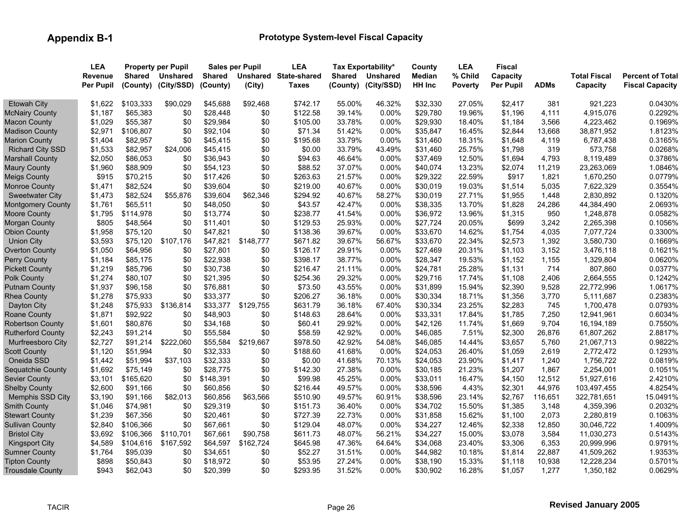|                          | <b>LEA</b>       |               | <b>Property per Pupil</b> |               | <b>Sales per Pupil</b> | <b>LEA</b>            |               | Tax Exportability*  | County        | <b>LEA</b> | Fiscal           |             |                     |                         |
|--------------------------|------------------|---------------|---------------------------|---------------|------------------------|-----------------------|---------------|---------------------|---------------|------------|------------------|-------------|---------------------|-------------------------|
|                          | <b>Revenue</b>   | <b>Shared</b> | <b>Unshared</b>           | <b>Shared</b> |                        | Unshared State-shared | <b>Shared</b> | <b>Unshared</b>     | <b>Median</b> | % Child    | Capacity         |             | <b>Total Fiscal</b> | <b>Percent of Total</b> |
|                          | <b>Per Pupil</b> | (County)      | (City/SSD)                | (County)      | (City)                 | <b>Taxes</b>          |               | (County) (City/SSD) | HH Inc        | Poverty    | <b>Per Pupil</b> | <b>ADMs</b> | Capacity            | <b>Fiscal Capacity</b>  |
| <b>Etowah City</b>       | \$1.622          | \$103,333     | \$90.029                  | \$45,688      | \$92.468               | \$742.17              | 55.00%        | 46.32%              | \$32,330      | 27.05%     | \$2,417          | 381         | 921,223             | 0.0430%                 |
| <b>McNairy County</b>    | \$1,187          | \$65,383      | \$0                       | \$28,448      | \$0                    | \$122.58              | 39.14%        | 0.00%               | \$29,780      | 19.96%     | \$1,196          | 4,111       | 4,915,076           | 0.2292%                 |
| <b>Macon County</b>      | \$1,029          | \$55,387      | \$0                       | \$29,984      | \$0                    | \$105.00              | 33.78%        | 0.00%               | \$29,930      | 18.40%     | \$1,184          | 3,566       | 4,223,462           | 0.1969%                 |
| <b>Madison County</b>    | \$2,971          | \$106,807     | \$0                       | \$92,104      | \$0                    | \$71.34               | 51.42%        | 0.00%               | \$35,847      | 16.45%     | \$2,844          | 13,668      | 38,871,952          | 1.8123%                 |
| <b>Marion County</b>     | \$1,404          | \$82,957      | \$0                       | \$45,415      | \$0                    | \$195.68              | 33.79%        | 0.00%               | \$31,460      | 18.31%     | \$1,648          | 4,119       | 6,787,438           | 0.3165%                 |
| <b>Richard City SSD</b>  | \$1,533          | \$82,957      | \$24,006                  | \$45,415      | \$0                    | \$0.00                | 33.79%        | 43.49%              | \$31,460      | 25.75%     | \$1,798          | 319         | 573,758             | 0.0268%                 |
| <b>Marshall County</b>   | \$2,050          | \$86,053      | \$0                       | \$36,943      | \$0                    | \$94.63               | 46.64%        | 0.00%               | \$37,469      | 12.50%     | \$1,694          | 4,793       | 8,119,489           | 0.3786%                 |
| <b>Maury County</b>      | \$1,960          | \$88,909      | \$0                       | \$54,123      | \$0                    | \$88.52               | 37.07%        | 0.00%               | \$40,074      | 13.23%     | \$2,074          | 11,219      | 23,263,069          | 1.0846%                 |
| <b>Meigs County</b>      | \$915            | \$70,215      | \$0                       | \$17,426      | \$0                    | \$263.63              | 21.57%        | 0.00%               | \$29,322      | 22.59%     | \$917            | 1,821       | 1,670,250           | 0.0779%                 |
| Monroe County            | \$1,471          | \$82,524      | \$0                       | \$39,604      | \$0                    | \$219.00              | 40.67%        | 0.00%               | \$30,019      | 19.03%     | \$1,514          | 5,035       | 7,622,329           | 0.3554%                 |
| <b>Sweetwater City</b>   | \$1,473          | \$82,524      | \$55,876                  | \$39,604      | \$62,346               | \$294.92              | 40.67%        | 58.27%              | \$30,019      | 27.71%     | \$1,955          | 1,448       | 2,830,892           | 0.1320%                 |
| <b>Montgomery County</b> | \$1,761          | \$65,511      | \$0                       | \$48,050      | \$0                    | \$43.57               | 42.47%        | 0.00%               | \$38,335      | 13.70%     | \$1,828          | 24,286      | 44,384,490          | 2.0693%                 |
| <b>Moore County</b>      | \$1,795          | \$114,978     | \$0                       | \$13,774      | \$0                    | \$238.77              | 41.54%        | $0.00\%$            | \$36,972      | 13.96%     | \$1,315          | 950         | 1,248,878           | 0.0582%                 |
| Morgan County            | \$805            | \$48,564      | \$0                       | \$11,401      | \$0                    | \$129.53              | 25.93%        | 0.00%               | \$27,724      | 20.05%     | \$699            | 3,242       | 2,265,398           | 0.1056%                 |
| <b>Obion County</b>      | \$1,958          | \$75,120      | \$0                       | \$47,821      | \$0                    | \$138.36              | 39.67%        | 0.00%               | \$33,670      | 14.62%     | \$1,754          | 4,035       | 7,077,724           | 0.3300%                 |
| <b>Union City</b>        | \$3,593          | \$75,120      | \$107,176                 | \$47,821      | \$148.777              | \$671.82              | 39.67%        | 56.67%              | \$33,670      | 22.34%     | \$2,573          | 1,392       | 3,580,730           | 0.1669%                 |
| <b>Overton County</b>    | \$1,050          | \$64,956      | \$0                       | \$27,801      | \$0                    | \$126.17              | 29.91%        | 0.00%               | \$27,469      | 20.31%     | \$1,103          | 3,152       | 3,476,118           | 0.1621%                 |
| <b>Perry County</b>      | \$1,184          | \$85,175      | \$0                       | \$22,938      | \$0                    | \$398.17              | 38.77%        | 0.00%               | \$28,347      | 19.53%     | \$1,152          | 1,155       | 1,329,804           | 0.0620%                 |
| <b>Pickett County</b>    | \$1,219          | \$85,796      | \$0                       | \$30,738      | \$0                    | \$216.47              | 21.11%        | $0.00\%$            | \$24,781      | 25.28%     | \$1,131          | 714         | 807,860             | 0.0377%                 |
| <b>Polk County</b>       | \$1,274          | \$80,107      | \$0                       | \$21,395      | \$0                    | \$254.36              | 29.32%        | $0.00\%$            | \$29,716      | 17.74%     | \$1,108          | 2,406       | 2,664,555           | 0.1242%                 |
| <b>Putnam County</b>     | \$1,937          | \$96,158      | \$0                       | \$76,881      | \$0                    | \$73.50               | 43.55%        | 0.00%               | \$31,899      | 15.94%     | \$2,390          | 9,528       | 22,772,996          | 1.0617%                 |
| <b>Rhea County</b>       | \$1,278          | \$75,933      | \$0                       | \$33,377      | \$0                    | \$206.27              | 36.18%        | 0.00%               | \$30,334      | 18.71%     | \$1,356          | 3,770       | 5,111,687           | 0.2383%                 |
| Dayton City              | \$1,248          | \$75,933      | \$136,814                 | \$33,377      | \$129,755              | \$631.79              | 36.18%        | 67.40%              | \$30,334      | 23.25%     | \$2,283          | 745         | 1,700,478           | 0.0793%                 |
| Roane County             | \$1,871          | \$92,922      | \$0                       | \$48,903      | \$0                    | \$148.63              | 28.64%        | 0.00%               | \$33,331      | 17.84%     | \$1,785          | 7,250       | 12,941,961          | 0.6034%                 |
| <b>Robertson County</b>  | \$1,601          | \$80,876      | \$0                       | \$34,168      | \$0                    | \$60.41               | 29.92%        | 0.00%               | \$42,126      | 11.74%     | \$1,669          | 9,704       | 16,194,189          | 0.7550%                 |
| <b>Rutherford County</b> | \$2,243          | \$91,214      | \$0                       | \$55,584      | \$0                    | \$58.59               | 42.92%        | 0.00%               | \$46,085      | 7.51%      | \$2,300          | 26,876      | 61,807,262          | 2.8817%                 |
| Murfreesboro City        | \$2,727          | \$91,214      | \$222,060                 | \$55,584      | \$219,667              | \$978.50              | 42.92%        | 54.08%              | \$46,085      | 14.44%     | \$3,657          | 5,760       | 21,067,713          | 0.9822%                 |
| <b>Scott County</b>      | \$1,120          | \$51,994      | \$0                       | \$32,333      | \$0                    | \$188.60              | 41.68%        | 0.00%               | \$24,053      | 26.40%     | \$1,059          | 2,619       | 2,772,472           | 0.1293%                 |
| Oneida SSD               | \$1,442          | \$51,994      | \$37,103                  | \$32,333      | \$0                    | \$0.00                | 41.68%        | 70.13%              | \$24,053      | 23.90%     | \$1,417          | 1,240       | 1,756,722           | 0.0819%                 |
| Sequatchie County        | \$1,692          | \$75,149      | \$0                       | \$28,775      | \$0                    | \$142.30              | 27.38%        | 0.00%               | \$30,185      | 21.23%     | \$1,207          | 1,867       | 2,254,001           | 0.1051%                 |
| <b>Sevier County</b>     | \$3,101          | \$165,620     | \$0                       | \$148,391     | \$0                    | \$99.98               | 45.25%        | 0.00%               | \$33,011      | 16.47%     | \$4,150          | 12,512      | 51,927,616          | 2.4210%                 |
| <b>Shelby County</b>     | \$2,600          | \$91,166      | \$0                       | \$60,856      | \$0                    | \$216.44              | 49.57%        | 0.00%               | \$38,596      | 4.43%      | \$2,301          | 44,976      | 103,497,455         | 4.8254%                 |
| <b>Memphis SSD City</b>  | \$3,190          | \$91,166      | \$82,013                  | \$60,856      | \$63,566               | \$510.90              | 49.57%        | 60.91%              | \$38,596      | 23.14%     | \$2,767          | 116,651     | 322,781,651         | 15.0491%                |
| <b>Smith County</b>      | \$1,046          | \$74,981      | \$0                       | \$29,319      | \$0                    | \$151.73              | 36.40%        | 0.00%               | \$34,702      | 15.50%     | \$1,385          | 3,148       | 4,359,396           | 0.2032%                 |
| <b>Stewart County</b>    | \$1,239          | \$67,356      | \$0                       | \$20,461      | \$0                    | \$727.39              | 22.73%        | 0.00%               | \$31,858      | 15.62%     | \$1,100          | 2,073       | 2,280,819           | 0.1063%                 |
| <b>Sullivan County</b>   | \$2,840          | \$106,366     | \$0                       | \$67,661      | \$0                    | \$129.04              | 48.07%        | 0.00%               | \$34,227      | 12.46%     | \$2,338          | 12,850      | 30,046,722          | 1.4009%                 |
| <b>Bristol City</b>      | \$3,692          | \$106,366     | \$110,701                 | \$67,661      | \$90,758               | \$611.73              | 48.07%        | 56.21%              | \$34,227      | 15.00%     | \$3,078          | 3,584       | 11,030,273          | 0.5143%                 |
| <b>Kingsport City</b>    | \$4,589          | \$104,616     | \$167,592                 | \$64,597      | \$162,724              | \$645.98              | 47.36%        | 64.64%              | \$34,068      | 23.40%     | \$3,306          | 6,353       | 20,999,996          | 0.9791%                 |
| <b>Sumner County</b>     | \$1,764          | \$95,039      | \$0                       | \$34,651      | \$0                    | \$52.27               | 31.51%        | 0.00%               | \$44,982      | 10.18%     | \$1,814          | 22,887      | 41,509,262          | 1.9353%                 |
| <b>Tipton County</b>     | \$898            | \$50,843      | \$0                       | \$18,972      | \$0                    | \$53.95               | 27.24%        | 0.00%               | \$38,190      | 15.33%     | \$1,118          | 10,938      | 12,228,234          | 0.5701%                 |
| <b>Trousdale County</b>  | \$943            | \$62,043      | \$0                       | \$20,399      | \$0                    | \$293.95              | 31.52%        | 0.00%               | \$30,902      | 16.28%     | \$1,057          | 1,277       | 1,350,182           | 0.0629%                 |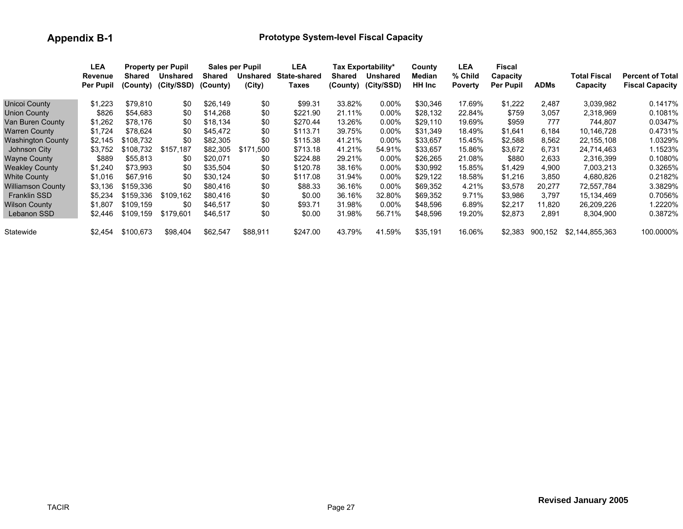|                       | LEA       |           | <b>Property per Pupil</b> |               | <b>Sales per Pupil</b> | LEA                 |          | Tax Exportability* | County        | <b>LEA</b>     | Fiscal    |             |                 |                         |
|-----------------------|-----------|-----------|---------------------------|---------------|------------------------|---------------------|----------|--------------------|---------------|----------------|-----------|-------------|-----------------|-------------------------|
|                       | Revenue   | Shared    | Unshared                  | <b>Shared</b> | <b>Unshared</b>        | <b>State-shared</b> | Shared   | <b>Unshared</b>    | Median        | % Child        | Capacity  |             | Total Fiscal    | <b>Percent of Total</b> |
|                       | Per Pupil | (County)  | (City/SSD)                | (County)      | (City)                 | Taxes               | (County) | (City/SSD)         | <b>HH</b> Inc | <b>Poverty</b> | Per Pupil | <b>ADMs</b> | Capacity        | <b>Fiscal Capacity</b>  |
| Unicoi County         | \$1,223   | \$79.810  | \$0                       | \$26,149      | \$0                    | \$99.31             | 33.82%   | $0.00\%$           | \$30,346      | 17.69%         | \$1,222   | 2.487       | 3.039.982       | 0.1417%                 |
| Union County          | \$826     | \$54,683  | \$0                       | \$14.268      | \$0                    | \$221.90            | 21.11%   | $0.00\%$           | \$28,132      | 22.84%         | \$759     | 3.057       | 2,318,969       | 0.1081%                 |
| Van Buren County      | \$1,262   | \$78,176  | \$0                       | \$18,134      | \$0                    | \$270.44            | 13.26%   | $0.00\%$           | \$29,110      | 19.69%         | \$959     | 777         | 744.807         | 0.0347%                 |
| Warren County         | \$1,724   | \$78.624  | \$0                       | \$45,472      | \$0                    | \$113.71            | 39.75%   | $0.00\%$           | \$31,349      | 18.49%         | \$1,641   | 6.184       | 10.146.728      | 0.4731%                 |
| Washington County     | \$2,145   | \$108,732 | \$0                       | \$82,305      | \$0                    | \$115.38            | 41.21%   | $0.00\%$           | \$33,657      | 15.45%         | \$2,588   | 8,562       | 22, 155, 108    | 1.0329%                 |
| Johnson City          | \$3,752   | \$108,732 | \$157,187                 | \$82,305      | \$171.500              | \$713.18            | 41.21%   | 54.91%             | \$33,657      | 15.86%         | \$3,672   | 6,731       | 24,714,463      | 1.1523%                 |
| Wayne County          | \$889     | \$55.813  | \$0                       | \$20.071      | \$0                    | \$224.88            | 29.21%   | $0.00\%$           | \$26,265      | 21.08%         | \$880     | 2,633       | 2,316,399       | 0.1080%                 |
| <b>Weakley County</b> | \$1,240   | \$73,993  | \$0                       | \$35,504      | \$0                    | \$120.78            | 38.16%   | $0.00\%$           | \$30,992      | 15.85%         | \$1,429   | 4,900       | 7,003,213       | 0.3265%                 |
| <b>White County</b>   | \$1.016   | \$67.916  | \$0                       | \$30.124      | \$0                    | \$117.08            | 31.94%   | $0.00\%$           | \$29,122      | 18.58%         | \$1,216   | 3,850       | 4,680,826       | 0.2182%                 |
| Williamson County     | \$3,136   | \$159.336 | \$0                       | \$80,416      | \$0                    | \$88.33             | 36.16%   | $0.00\%$           | \$69,352      | 4.21%          | \$3,578   | 20,277      | 72,557,784      | 3.3829%                 |
| <b>Franklin SSD</b>   | \$5,234   | \$159.336 | \$109.162                 | \$80,416      | \$0                    | \$0.00              | 36.16%   | 32.80%             | \$69,352      | 9.71%          | \$3,986   | 3.797       | 15,134,469      | 0.7056%                 |
| Wilson County         | \$1.807   | \$109.159 | \$0                       | \$46.517      | \$0                    | \$93.71             | 31.98%   | $0.00\%$           | \$48.596      | 6.89%          | \$2,217   | 11.820      | 26,209,226      | 1.2220%                 |
| Lebanon SSD           | \$2,446   | \$109,159 | \$179,601                 | \$46,517      | \$0                    | \$0.00              | 31.98%   | 56.71%             | \$48,596      | 19.20%         | \$2,873   | 2,891       | 8,304,900       | 0.3872%                 |
| Statewide             | \$2.454   | \$100.673 | \$98,404                  | \$62,547      | \$88.911               | \$247.00            | 43.79%   | 41.59%             | \$35,191      | 16.06%         | \$2.383   | 900.152     | \$2,144,855,363 | 100.0000%               |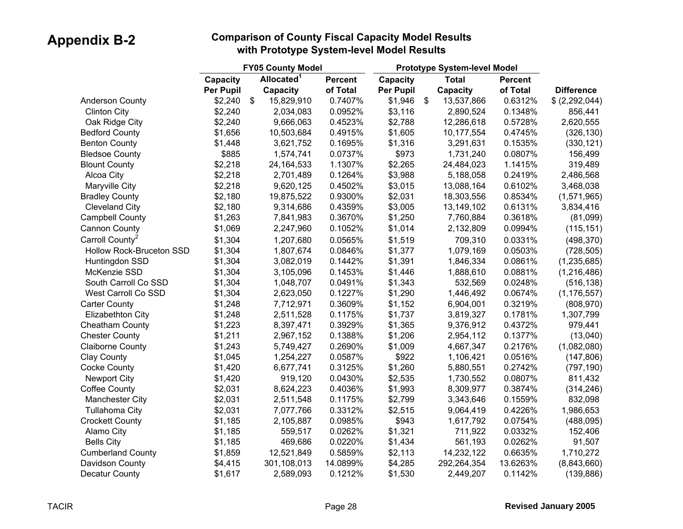|                             |           | <b>FY05 County Model</b> |                |           |                           | Prototype System-level Model |                |                   |
|-----------------------------|-----------|--------------------------|----------------|-----------|---------------------------|------------------------------|----------------|-------------------|
|                             | Capacity  | Allocated <sup>1</sup>   | <b>Percent</b> | Capacity  |                           | <b>Total</b>                 | <b>Percent</b> |                   |
|                             | Per Pupil | Capacity                 | of Total       | Per Pupil |                           | Capacity                     | of Total       | <b>Difference</b> |
| <b>Anderson County</b>      | \$2,240   | \$<br>15,829,910         | 0.7407%        | \$1,946   | $\boldsymbol{\mathsf{S}}$ | 13,537,866                   | 0.6312%        | \$(2,292,044)     |
| <b>Clinton City</b>         | \$2,240   | 2,034,083                | 0.0952%        | \$3,116   |                           | 2,890,524                    | 0.1348%        | 856,441           |
| Oak Ridge City              | \$2,240   | 9,666,063                | 0.4523%        | \$2,788   |                           | 12,286,618                   | 0.5728%        | 2,620,555         |
| <b>Bedford County</b>       | \$1,656   | 10,503,684               | 0.4915%        | \$1,605   |                           | 10,177,554                   | 0.4745%        | (326, 130)        |
| <b>Benton County</b>        | \$1,448   | 3,621,752                | 0.1695%        | \$1,316   |                           | 3,291,631                    | 0.1535%        | (330, 121)        |
| <b>Bledsoe County</b>       | \$885     | 1,574,741                | 0.0737%        | \$973     |                           | 1,731,240                    | 0.0807%        | 156,499           |
| <b>Blount County</b>        | \$2,218   | 24, 164, 533             | 1.1307%        | \$2,265   |                           | 24,484,023                   | 1.1415%        | 319,489           |
| Alcoa City                  | \$2,218   | 2,701,489                | 0.1264%        | \$3,988   |                           | 5,188,058                    | 0.2419%        | 2,486,568         |
| Maryville City              | \$2,218   | 9,620,125                | 0.4502%        | \$3,015   |                           | 13,088,164                   | 0.6102%        | 3,468,038         |
| <b>Bradley County</b>       | \$2,180   | 19,875,522               | 0.9300%        | \$2,031   |                           | 18,303,556                   | 0.8534%        | (1,571,965)       |
| <b>Cleveland City</b>       | \$2,180   | 9,314,686                | 0.4359%        | \$3,005   |                           | 13,149,102                   | 0.6131%        | 3,834,416         |
| <b>Campbell County</b>      | \$1,263   | 7,841,983                | 0.3670%        | \$1,250   |                           | 7,760,884                    | 0.3618%        | (81,099)          |
| <b>Cannon County</b>        | \$1,069   | 2,247,960                | 0.1052%        | \$1,014   |                           | 2,132,809                    | 0.0994%        | (115, 151)        |
| Carroll County <sup>2</sup> | \$1,304   | 1,207,680                | 0.0565%        | \$1,519   |                           | 709,310                      | 0.0331%        | (498, 370)        |
| Hollow Rock-Bruceton SSD    | \$1,304   | 1,807,674                | 0.0846%        | \$1,377   |                           | 1,079,169                    | 0.0503%        | (728, 505)        |
| Huntingdon SSD              | \$1,304   | 3,082,019                | 0.1442%        | \$1,391   |                           | 1,846,334                    | 0.0861%        | (1, 235, 685)     |
| McKenzie SSD                | \$1,304   | 3,105,096                | 0.1453%        | \$1,446   |                           | 1,888,610                    | 0.0881%        | (1, 216, 486)     |
| South Carroll Co SSD        | \$1,304   | 1,048,707                | 0.0491%        | \$1,343   |                           | 532,569                      | 0.0248%        | (516, 138)        |
| West Carroll Co SSD         | \$1,304   | 2,623,050                | 0.1227%        | \$1,290   |                           | 1,446,492                    | 0.0674%        | (1, 176, 557)     |
| <b>Carter County</b>        | \$1,248   | 7,712,971                | 0.3609%        | \$1,152   |                           | 6,904,001                    | 0.3219%        | (808, 970)        |
| Elizabethton City           | \$1,248   | 2,511,528                | 0.1175%        | \$1,737   |                           | 3,819,327                    | 0.1781%        | 1,307,799         |
| Cheatham County             | \$1,223   | 8,397,471                | 0.3929%        | \$1,365   |                           | 9,376,912                    | 0.4372%        | 979,441           |
| <b>Chester County</b>       | \$1,211   | 2,967,152                | 0.1388%        | \$1,206   |                           | 2,954,112                    | 0.1377%        | (13,040)          |
| <b>Claiborne County</b>     | \$1,243   | 5,749,427                | 0.2690%        | \$1,009   |                           | 4,667,347                    | 0.2176%        | (1,082,080)       |
| Clay County                 | \$1,045   | 1,254,227                | 0.0587%        | \$922     |                           | 1,106,421                    | 0.0516%        | (147, 806)        |
| <b>Cocke County</b>         | \$1,420   | 6,677,741                | 0.3125%        | \$1,260   |                           | 5,880,551                    | 0.2742%        | (797, 190)        |
| <b>Newport City</b>         | \$1,420   | 919,120                  | 0.0430%        | \$2,535   |                           | 1,730,552                    | 0.0807%        | 811,432           |
| <b>Coffee County</b>        | \$2,031   | 8,624,223                | 0.4036%        | \$1,993   |                           | 8,309,977                    | 0.3874%        | (314, 246)        |
| <b>Manchester City</b>      | \$2,031   | 2,511,548                | 0.1175%        | \$2,799   |                           | 3,343,646                    | 0.1559%        | 832,098           |
| <b>Tullahoma City</b>       | \$2,031   | 7,077,766                | 0.3312%        | \$2,515   |                           | 9,064,419                    | 0.4226%        | 1,986,653         |
| <b>Crockett County</b>      | \$1,185   | 2,105,887                | 0.0985%        | \$943     |                           | 1,617,792                    | 0.0754%        | (488,095)         |
| Alamo City                  | \$1,185   | 559,517                  | 0.0262%        | \$1,321   |                           | 711,922                      | 0.0332%        | 152,406           |
| <b>Bells City</b>           | \$1,185   | 469,686                  | 0.0220%        | \$1,434   |                           | 561,193                      | 0.0262%        | 91,507            |
| <b>Cumberland County</b>    | \$1,859   | 12,521,849               | 0.5859%        | \$2,113   |                           | 14,232,122                   | 0.6635%        | 1,710,272         |
| Davidson County             | \$4,415   | 301,108,013              | 14.0899%       | \$4,285   |                           | 292,264,354                  | 13.6263%       | (8,843,660)       |
| Decatur County              | \$1,617   | 2,589,093                | 0.1212%        | \$1,530   |                           | 2,449,207                    | 0.1142%        | (139, 886)        |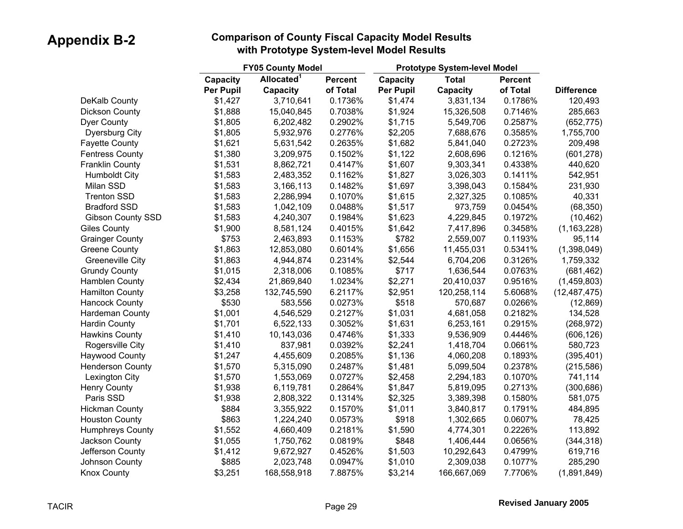|                          |           | <b>FY05 County Model</b> |                |           | <b>Prototype System-level Model</b> |                |                   |
|--------------------------|-----------|--------------------------|----------------|-----------|-------------------------------------|----------------|-------------------|
|                          | Capacity  | Allocated <sup>1</sup>   | <b>Percent</b> | Capacity  | <b>Total</b>                        | <b>Percent</b> |                   |
|                          | Per Pupil | Capacity                 | of Total       | Per Pupil | Capacity                            | of Total       | <b>Difference</b> |
| DeKalb County            | \$1,427   | 3,710,641                | 0.1736%        | \$1,474   | 3,831,134                           | 0.1786%        | 120,493           |
| Dickson County           | \$1,888   | 15,040,845               | 0.7038%        | \$1,924   | 15,326,508                          | 0.7146%        | 285,663           |
| <b>Dyer County</b>       | \$1,805   | 6,202,482                | 0.2902%        | \$1,715   | 5,549,706                           | 0.2587%        | (652, 775)        |
| Dyersburg City           | \$1,805   | 5,932,976                | 0.2776%        | \$2,205   | 7,688,676                           | 0.3585%        | 1,755,700         |
| <b>Fayette County</b>    | \$1,621   | 5,631,542                | 0.2635%        | \$1,682   | 5,841,040                           | 0.2723%        | 209,498           |
| <b>Fentress County</b>   | \$1,380   | 3,209,975                | 0.1502%        | \$1,122   | 2,608,696                           | 0.1216%        | (601, 278)        |
| <b>Franklin County</b>   | \$1,531   | 8,862,721                | 0.4147%        | \$1,607   | 9,303,341                           | 0.4338%        | 440,620           |
| <b>Humboldt City</b>     | \$1,583   | 2,483,352                | 0.1162%        | \$1,827   | 3,026,303                           | 0.1411%        | 542,951           |
| Milan SSD                | \$1,583   | 3,166,113                | 0.1482%        | \$1,697   | 3,398,043                           | 0.1584%        | 231,930           |
| <b>Trenton SSD</b>       | \$1,583   | 2,286,994                | 0.1070%        | \$1,615   | 2,327,325                           | 0.1085%        | 40,331            |
| <b>Bradford SSD</b>      | \$1,583   | 1,042,109                | 0.0488%        | \$1,517   | 973,759                             | 0.0454%        | (68, 350)         |
| <b>Gibson County SSD</b> | \$1,583   | 4,240,307                | 0.1984%        | \$1,623   | 4,229,845                           | 0.1972%        | (10, 462)         |
| <b>Giles County</b>      | \$1,900   | 8,581,124                | 0.4015%        | \$1,642   | 7,417,896                           | 0.3458%        | (1, 163, 228)     |
| <b>Grainger County</b>   | \$753     | 2,463,893                | 0.1153%        | \$782     | 2,559,007                           | 0.1193%        | 95,114            |
| <b>Greene County</b>     | \$1,863   | 12,853,080               | 0.6014%        | \$1,656   | 11,455,031                          | 0.5341%        | (1,398,049)       |
| <b>Greeneville City</b>  | \$1,863   | 4,944,874                | 0.2314%        | \$2,544   | 6,704,206                           | 0.3126%        | 1,759,332         |
| <b>Grundy County</b>     | \$1,015   | 2,318,006                | 0.1085%        | \$717     | 1,636,544                           | 0.0763%        | (681, 462)        |
| Hamblen County           | \$2,434   | 21,869,840               | 1.0234%        | \$2,271   | 20,410,037                          | 0.9516%        | (1,459,803)       |
| <b>Hamilton County</b>   | \$3,258   | 132,745,590              | 6.2117%        | \$2,951   | 120,258,114                         | 5.6068%        | (12, 487, 475)    |
| <b>Hancock County</b>    | \$530     | 583,556                  | 0.0273%        | \$518     | 570,687                             | 0.0266%        | (12, 869)         |
| Hardeman County          | \$1,001   | 4,546,529                | 0.2127%        | \$1,031   | 4,681,058                           | 0.2182%        | 134,528           |
| <b>Hardin County</b>     | \$1,701   | 6,522,133                | 0.3052%        | \$1,631   | 6,253,161                           | 0.2915%        | (268, 972)        |
| <b>Hawkins County</b>    | \$1,410   | 10,143,036               | 0.4746%        | \$1,333   | 9,536,909                           | 0.4446%        | (606, 126)        |
| Rogersville City         | \$1,410   | 837,981                  | 0.0392%        | \$2,241   | 1,418,704                           | 0.0661%        | 580,723           |
| <b>Haywood County</b>    | \$1,247   | 4,455,609                | 0.2085%        | \$1,136   | 4,060,208                           | 0.1893%        | (395, 401)        |
| <b>Henderson County</b>  | \$1,570   | 5,315,090                | 0.2487%        | \$1,481   | 5,099,504                           | 0.2378%        | (215, 586)        |
| Lexington City           | \$1,570   | 1,553,069                | 0.0727%        | \$2,458   | 2,294,183                           | 0.1070%        | 741,114           |
| <b>Henry County</b>      | \$1,938   | 6,119,781                | 0.2864%        | \$1,847   | 5,819,095                           | 0.2713%        | (300, 686)        |
| Paris SSD                | \$1,938   | 2,808,322                | 0.1314%        | \$2,325   | 3,389,398                           | 0.1580%        | 581,075           |
| <b>Hickman County</b>    | \$884     | 3,355,922                | 0.1570%        | \$1,011   | 3,840,817                           | 0.1791%        | 484,895           |
| <b>Houston County</b>    | \$863     | 1,224,240                | 0.0573%        | \$918     | 1,302,665                           | 0.0607%        | 78,425            |
| <b>Humphreys County</b>  | \$1,552   | 4,660,409                | 0.2181%        | \$1,590   | 4,774,301                           | 0.2226%        | 113,892           |
| Jackson County           | \$1,055   | 1,750,762                | 0.0819%        | \$848     | 1,406,444                           | 0.0656%        | (344, 318)        |
| Jefferson County         | \$1,412   | 9,672,927                | 0.4526%        | \$1,503   | 10,292,643                          | 0.4799%        | 619,716           |
| Johnson County           | \$885     | 2,023,748                | 0.0947%        | \$1,010   | 2,309,038                           | 0.1077%        | 285,290           |
| <b>Knox County</b>       | \$3,251   | 168,558,918              | 7.8875%        | \$3,214   | 166,667,069                         | 7.7706%        | (1,891,849)       |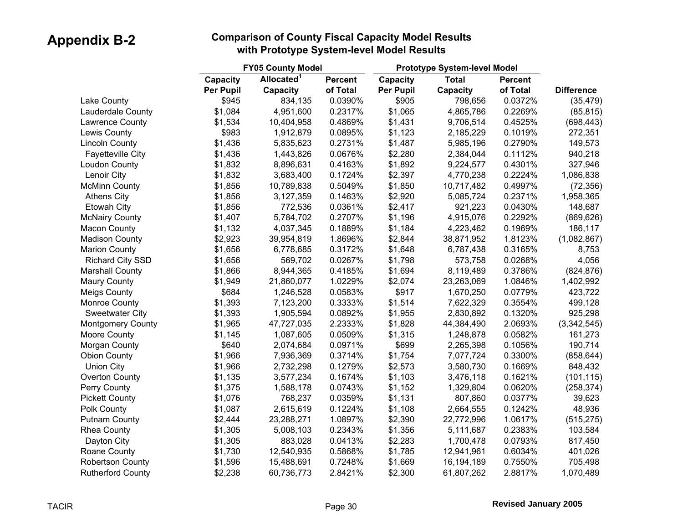|                          |           | <b>FY05 County Model</b> |                |                  | <b>Prototype System-level Model</b> |                |                   |
|--------------------------|-----------|--------------------------|----------------|------------------|-------------------------------------|----------------|-------------------|
|                          | Capacity  | Allocated <sup>1</sup>   | <b>Percent</b> | Capacity         | <b>Total</b>                        | <b>Percent</b> |                   |
|                          | Per Pupil | <b>Capacity</b>          | of Total       | <b>Per Pupil</b> | Capacity                            | of Total       | <b>Difference</b> |
| Lake County              | \$945     | 834,135                  | 0.0390%        | \$905            | 798,656                             | 0.0372%        | (35, 479)         |
| Lauderdale County        | \$1,084   | 4,951,600                | 0.2317%        | \$1,065          | 4,865,786                           | 0.2269%        | (85, 815)         |
| Lawrence County          | \$1,534   | 10,404,958               | 0.4869%        | \$1,431          | 9,706,514                           | 0.4525%        | (698, 443)        |
| Lewis County             | \$983     | 1,912,879                | 0.0895%        | \$1,123          | 2,185,229                           | 0.1019%        | 272,351           |
| <b>Lincoln County</b>    | \$1,436   | 5,835,623                | 0.2731%        | \$1,487          | 5,985,196                           | 0.2790%        | 149,573           |
| <b>Fayetteville City</b> | \$1,436   | 1,443,826                | 0.0676%        | \$2,280          | 2,384,044                           | 0.1112%        | 940,218           |
| Loudon County            | \$1,832   | 8,896,631                | 0.4163%        | \$1,892          | 9,224,577                           | 0.4301%        | 327,946           |
| Lenoir City              | \$1,832   | 3,683,400                | 0.1724%        | \$2,397          | 4,770,238                           | 0.2224%        | 1,086,838         |
| <b>McMinn County</b>     | \$1,856   | 10,789,838               | 0.5049%        | \$1,850          | 10,717,482                          | 0.4997%        | (72, 356)         |
| <b>Athens City</b>       | \$1,856   | 3,127,359                | 0.1463%        | \$2,920          | 5,085,724                           | 0.2371%        | 1,958,365         |
| Etowah City              | \$1,856   | 772,536                  | 0.0361%        | \$2,417          | 921,223                             | 0.0430%        | 148,687           |
| <b>McNairy County</b>    | \$1,407   | 5,784,702                | 0.2707%        | \$1,196          | 4,915,076                           | 0.2292%        | (869, 626)        |
| <b>Macon County</b>      | \$1,132   | 4,037,345                | 0.1889%        | \$1,184          | 4,223,462                           | 0.1969%        | 186,117           |
| <b>Madison County</b>    | \$2,923   | 39,954,819               | 1.8696%        | \$2,844          | 38,871,952                          | 1.8123%        | (1,082,867)       |
| <b>Marion County</b>     | \$1,656   | 6,778,685                | 0.3172%        | \$1,648          | 6,787,438                           | 0.3165%        | 8,753             |
| <b>Richard City SSD</b>  | \$1,656   | 569,702                  | 0.0267%        | \$1,798          | 573,758                             | 0.0268%        | 4,056             |
| <b>Marshall County</b>   | \$1,866   | 8,944,365                | 0.4185%        | \$1,694          | 8,119,489                           | 0.3786%        | (824, 876)        |
| <b>Maury County</b>      | \$1,949   | 21,860,077               | 1.0229%        | \$2,074          | 23,263,069                          | 1.0846%        | 1,402,992         |
| <b>Meigs County</b>      | \$684     | 1,246,528                | 0.0583%        | \$917            | 1,670,250                           | 0.0779%        | 423,722           |
| Monroe County            | \$1,393   | 7,123,200                | 0.3333%        | \$1,514          | 7,622,329                           | 0.3554%        | 499,128           |
| <b>Sweetwater City</b>   | \$1,393   | 1,905,594                | 0.0892%        | \$1,955          | 2,830,892                           | 0.1320%        | 925,298           |
| <b>Montgomery County</b> | \$1,965   | 47,727,035               | 2.2333%        | \$1,828          | 44,384,490                          | 2.0693%        | (3,342,545)       |
| Moore County             | \$1,145   | 1,087,605                | 0.0509%        | \$1,315          | 1,248,878                           | 0.0582%        | 161,273           |
| Morgan County            | \$640     | 2,074,684                | 0.0971%        | \$699            | 2,265,398                           | 0.1056%        | 190,714           |
| <b>Obion County</b>      | \$1,966   | 7,936,369                | 0.3714%        | \$1,754          | 7,077,724                           | 0.3300%        | (858, 644)        |
| <b>Union City</b>        | \$1,966   | 2,732,298                | 0.1279%        | \$2,573          | 3,580,730                           | 0.1669%        | 848,432           |
| Overton County           | \$1,135   | 3,577,234                | 0.1674%        | \$1,103          | 3,476,118                           | 0.1621%        | (101, 115)        |
| Perry County             | \$1,375   | 1,588,178                | 0.0743%        | \$1,152          | 1,329,804                           | 0.0620%        | (258, 374)        |
| <b>Pickett County</b>    | \$1,076   | 768,237                  | 0.0359%        | \$1,131          | 807,860                             | 0.0377%        | 39,623            |
| Polk County              | \$1,087   | 2,615,619                | 0.1224%        | \$1,108          | 2,664,555                           | 0.1242%        | 48,936            |
| <b>Putnam County</b>     | \$2,444   | 23,288,271               | 1.0897%        | \$2,390          | 22,772,996                          | 1.0617%        | (515, 275)        |
| Rhea County              | \$1,305   | 5,008,103                | 0.2343%        | \$1,356          | 5,111,687                           | 0.2383%        | 103,584           |
| Dayton City              | \$1,305   | 883,028                  | 0.0413%        | \$2,283          | 1,700,478                           | 0.0793%        | 817,450           |
| Roane County             | \$1,730   | 12,540,935               | 0.5868%        | \$1,785          | 12,941,961                          | 0.6034%        | 401,026           |
| <b>Robertson County</b>  | \$1,596   | 15,488,691               | 0.7248%        | \$1,669          | 16,194,189                          | 0.7550%        | 705,498           |
| <b>Rutherford County</b> | \$2,238   | 60,736,773               | 2.8421%        | \$2,300          | 61,807,262                          | 2.8817%        | 1,070,489         |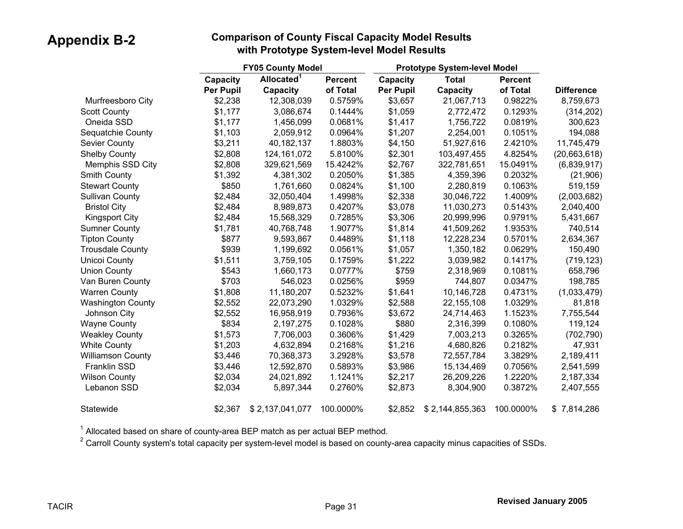|                          |                  | <b>FY05 County Model</b> |                |                  | <b>Prototype System-level Model</b> |                |                   |
|--------------------------|------------------|--------------------------|----------------|------------------|-------------------------------------|----------------|-------------------|
|                          | Capacity         | Allocated <sup>1</sup>   | <b>Percent</b> | Capacity         | <b>Total</b>                        | <b>Percent</b> |                   |
|                          | <b>Per Pupil</b> | Capacity                 | of Total       | <b>Per Pupil</b> | Capacity                            | of Total       | <b>Difference</b> |
| Murfreesboro City        | \$2,238          | 12,308,039               | 0.5759%        | \$3,657          | 21,067,713                          | 0.9822%        | 8,759,673         |
| <b>Scott County</b>      | \$1,177          | 3,086,674                | 0.1444%        | \$1,059          | 2,772,472                           | 0.1293%        | (314, 202)        |
| Oneida SSD               | \$1,177          | 1,456,099                | 0.0681%        | \$1,417          | 1,756,722                           | 0.0819%        | 300,623           |
| Sequatchie County        | \$1,103          | 2,059,912                | 0.0964%        | \$1,207          | 2,254,001                           | 0.1051%        | 194,088           |
| <b>Sevier County</b>     | \$3,211          | 40,182,137               | 1.8803%        | \$4,150          | 51,927,616                          | 2.4210%        | 11,745,479        |
| <b>Shelby County</b>     | \$2,808          | 124, 161, 072            | 5.8100%        | \$2,301          | 103,497,455                         | 4.8254%        | (20,663,618)      |
| Memphis SSD City         | \$2,808          | 329,621,569              | 15.4242%       | \$2,767          | 322,781,651                         | 15.0491%       | (6,839,917)       |
| <b>Smith County</b>      | \$1,392          | 4,381,302                | 0.2050%        | \$1,385          | 4,359,396                           | 0.2032%        | (21, 906)         |
| <b>Stewart County</b>    | \$850            | 1,761,660                | 0.0824%        | \$1,100          | 2,280,819                           | 0.1063%        | 519,159           |
| <b>Sullivan County</b>   | \$2,484          | 32,050,404               | 1.4998%        | \$2,338          | 30,046,722                          | 1.4009%        | (2,003,682)       |
| <b>Bristol City</b>      | \$2,484          | 8,989,873                | 0.4207%        | \$3,078          | 11,030,273                          | 0.5143%        | 2,040,400         |
| <b>Kingsport City</b>    | \$2,484          | 15,568,329               | 0.7285%        | \$3,306          | 20,999,996                          | 0.9791%        | 5,431,667         |
| <b>Sumner County</b>     | \$1,781          | 40,768,748               | 1.9077%        | \$1,814          | 41,509,262                          | 1.9353%        | 740,514           |
| <b>Tipton County</b>     | \$877            | 9,593,867                | 0.4489%        | \$1,118          | 12,228,234                          | 0.5701%        | 2,634,367         |
| <b>Trousdale County</b>  | \$939            | 1,199,692                | 0.0561%        | \$1,057          | 1,350,182                           | 0.0629%        | 150,490           |
| Unicoi County            | \$1,511          | 3,759,105                | 0.1759%        | \$1,222          | 3,039,982                           | 0.1417%        | (719, 123)        |
| <b>Union County</b>      | \$543            | 1,660,173                | 0.0777%        | \$759            | 2,318,969                           | 0.1081%        | 658,796           |
| Van Buren County         | \$703            | 546,023                  | 0.0256%        | \$959            | 744,807                             | 0.0347%        | 198,785           |
| <b>Warren County</b>     | \$1,808          | 11,180,207               | 0.5232%        | \$1,641          | 10,146,728                          | 0.4731%        | (1,033,479)       |
| <b>Washington County</b> | \$2,552          | 22,073,290               | 1.0329%        | \$2,588          | 22, 155, 108                        | 1.0329%        | 81,818            |
| Johnson City             | \$2,552          | 16,958,919               | 0.7936%        | \$3,672          | 24,714,463                          | 1.1523%        | 7,755,544         |
| <b>Wayne County</b>      | \$834            | 2,197,275                | 0.1028%        | \$880            | 2,316,399                           | 0.1080%        | 119,124           |
| <b>Weakley County</b>    | \$1,573          | 7,706,003                | 0.3606%        | \$1,429          | 7,003,213                           | 0.3265%        | (702, 790)        |
| <b>White County</b>      | \$1,203          | 4,632,894                | 0.2168%        | \$1,216          | 4,680,826                           | 0.2182%        | 47,931            |
| <b>Williamson County</b> | \$3,446          | 70,368,373               | 3.2928%        | \$3,578          | 72,557,784                          | 3.3829%        | 2,189,411         |
| Franklin SSD             | \$3,446          | 12,592,870               | 0.5893%        | \$3,986          | 15,134,469                          | 0.7056%        | 2,541,599         |
| <b>Wilson County</b>     | \$2,034          | 24,021,892               | 1.1241%        | \$2,217          | 26,209,226                          | 1.2220%        | 2,187,334         |
| Lebanon SSD              | \$2,034          | 5,897,344                | 0.2760%        | \$2,873          | 8,304,900                           | 0.3872%        | 2,407,555         |
| Statewide                | \$2,367          | \$2,137,041,077          | 100.0000%      | \$2,852          | \$2,144,855,363                     | 100.0000%      | \$7,814,286       |

 $1$  Allocated based on share of county-area BEP match as per actual BEP method.

2 Carroll County system's total capacity per system-level model is based on county-area capacity minus capacities of SSDs.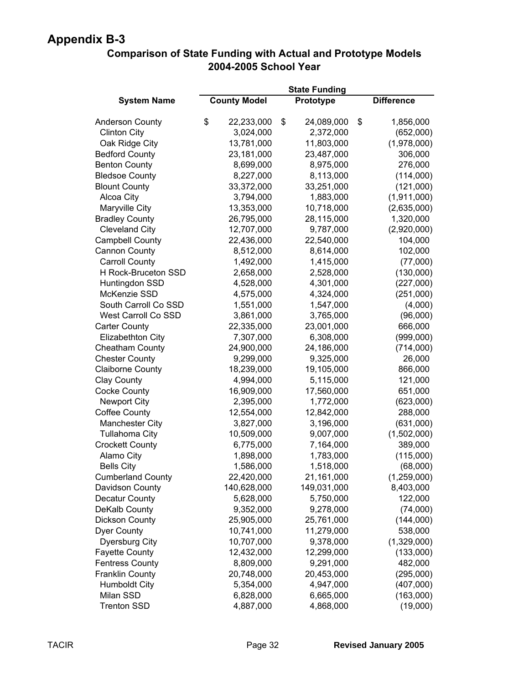#### **Comparison of State Funding with Actual and Prototype Models 2004-2005 School Year**

|                          |                     | <b>State Funding</b> |                   |
|--------------------------|---------------------|----------------------|-------------------|
| <b>System Name</b>       | <b>County Model</b> | Prototype            | <b>Difference</b> |
| <b>Anderson County</b>   | \$<br>22,233,000    | \$<br>24,089,000     | \$<br>1,856,000   |
| <b>Clinton City</b>      | 3,024,000           | 2,372,000            | (652,000)         |
| Oak Ridge City           | 13,781,000          | 11,803,000           | (1,978,000)       |
| <b>Bedford County</b>    | 23,181,000          | 23,487,000           | 306,000           |
| <b>Benton County</b>     | 8,699,000           | 8,975,000            | 276,000           |
| <b>Bledsoe County</b>    | 8,227,000           | 8,113,000            | (114,000)         |
| <b>Blount County</b>     | 33,372,000          | 33,251,000           | (121,000)         |
| Alcoa City               | 3,794,000           | 1,883,000            | (1,911,000)       |
| Maryville City           | 13,353,000          | 10,718,000           | (2,635,000)       |
| <b>Bradley County</b>    | 26,795,000          | 28,115,000           | 1,320,000         |
| <b>Cleveland City</b>    | 12,707,000          | 9,787,000            | (2,920,000)       |
| <b>Campbell County</b>   | 22,436,000          | 22,540,000           | 104,000           |
| Cannon County            | 8,512,000           | 8,614,000            | 102,000           |
| <b>Carroll County</b>    | 1,492,000           | 1,415,000            | (77,000)          |
| H Rock-Bruceton SSD      | 2,658,000           | 2,528,000            | (130,000)         |
| Huntingdon SSD           | 4,528,000           | 4,301,000            | (227,000)         |
| McKenzie SSD             | 4,575,000           | 4,324,000            | (251,000)         |
| South Carroll Co SSD     | 1,551,000           | 1,547,000            | (4,000)           |
| West Carroll Co SSD      | 3,861,000           | 3,765,000            | (96,000)          |
| <b>Carter County</b>     | 22,335,000          | 23,001,000           | 666,000           |
| Elizabethton City        | 7,307,000           | 6,308,000            | (999,000)         |
| Cheatham County          | 24,900,000          | 24,186,000           | (714,000)         |
| <b>Chester County</b>    | 9,299,000           | 9,325,000            | 26,000            |
| <b>Claiborne County</b>  | 18,239,000          | 19,105,000           | 866,000           |
| <b>Clay County</b>       | 4,994,000           | 5,115,000            | 121,000           |
| <b>Cocke County</b>      | 16,909,000          | 17,560,000           | 651,000           |
| <b>Newport City</b>      | 2,395,000           | 1,772,000            | (623,000)         |
| <b>Coffee County</b>     | 12,554,000          | 12,842,000           | 288,000           |
| <b>Manchester City</b>   | 3,827,000           | 3,196,000            | (631,000)         |
| <b>Tullahoma City</b>    | 10,509,000          | 9,007,000            | (1,502,000)       |
| <b>Crockett County</b>   | 6,775,000           | 7,164,000            | 389,000           |
| Alamo City               | 1,898,000           | 1,783,000            | (115,000)         |
| <b>Bells City</b>        | 1,586,000           | 1,518,000            | (68,000)          |
| <b>Cumberland County</b> | 22,420,000          | 21,161,000           | (1,259,000)       |
| Davidson County          | 140,628,000         | 149,031,000          | 8,403,000         |
| <b>Decatur County</b>    | 5,628,000           | 5,750,000            | 122,000           |
| DeKalb County            | 9,352,000           | 9,278,000            | (74,000)          |
| <b>Dickson County</b>    | 25,905,000          | 25,761,000           | (144,000)         |
| <b>Dyer County</b>       | 10,741,000          | 11,279,000           | 538,000           |
| <b>Dyersburg City</b>    | 10,707,000          | 9,378,000            | (1,329,000)       |
| <b>Fayette County</b>    | 12,432,000          | 12,299,000           | (133,000)         |
| <b>Fentress County</b>   | 8,809,000           | 9,291,000            | 482,000           |
| Franklin County          | 20,748,000          | 20,453,000           | (295,000)         |
| <b>Humboldt City</b>     | 5,354,000           | 4,947,000            | (407,000)         |
| Milan SSD                | 6,828,000           | 6,665,000            | (163,000)         |
| <b>Trenton SSD</b>       | 4,887,000           | 4,868,000            | (19,000)          |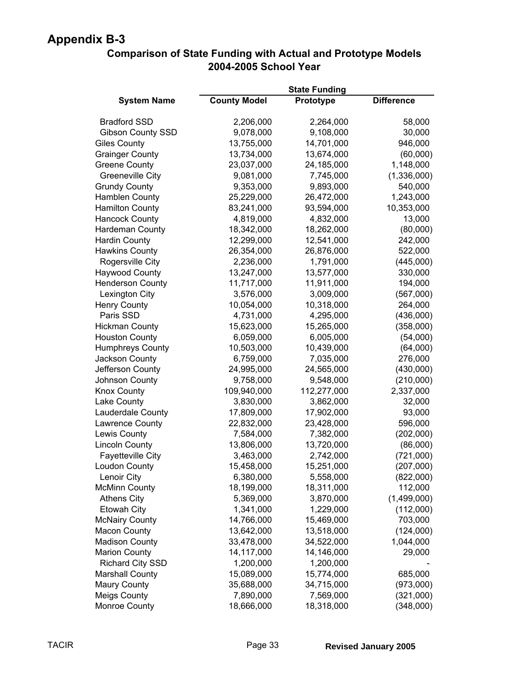#### **Comparison of State Funding with Actual and Prototype Models 2004-2005 School Year**

|                          |                     | <b>State Funding</b> |                   |
|--------------------------|---------------------|----------------------|-------------------|
| <b>System Name</b>       | <b>County Model</b> | Prototype            | <b>Difference</b> |
| <b>Bradford SSD</b>      | 2,206,000           | 2,264,000            | 58,000            |
| <b>Gibson County SSD</b> | 9,078,000           | 9,108,000            | 30,000            |
| <b>Giles County</b>      | 13,755,000          | 14,701,000           | 946,000           |
| <b>Grainger County</b>   | 13,734,000          | 13,674,000           | (60,000)          |
| <b>Greene County</b>     | 23,037,000          | 24,185,000           | 1,148,000         |
| <b>Greeneville City</b>  | 9,081,000           | 7,745,000            | (1,336,000)       |
| <b>Grundy County</b>     | 9,353,000           | 9,893,000            | 540,000           |
| <b>Hamblen County</b>    | 25,229,000          | 26,472,000           | 1,243,000         |
| <b>Hamilton County</b>   | 83,241,000          | 93,594,000           | 10,353,000        |
| <b>Hancock County</b>    | 4,819,000           | 4,832,000            | 13,000            |
| Hardeman County          | 18,342,000          | 18,262,000           | (80,000)          |
| <b>Hardin County</b>     | 12,299,000          | 12,541,000           | 242,000           |
| <b>Hawkins County</b>    | 26,354,000          | 26,876,000           | 522,000           |
| Rogersville City         | 2,236,000           | 1,791,000            | (445,000)         |
| <b>Haywood County</b>    | 13,247,000          | 13,577,000           | 330,000           |
| <b>Henderson County</b>  | 11,717,000          | 11,911,000           | 194,000           |
| Lexington City           | 3,576,000           | 3,009,000            | (567,000)         |
| <b>Henry County</b>      | 10,054,000          | 10,318,000           | 264,000           |
| Paris SSD                | 4,731,000           | 4,295,000            | (436,000)         |
| <b>Hickman County</b>    | 15,623,000          | 15,265,000           | (358,000)         |
| <b>Houston County</b>    | 6,059,000           | 6,005,000            | (54,000)          |
| <b>Humphreys County</b>  | 10,503,000          | 10,439,000           | (64,000)          |
| Jackson County           | 6,759,000           | 7,035,000            | 276,000           |
| Jefferson County         | 24,995,000          | 24,565,000           | (430,000)         |
| Johnson County           | 9,758,000           | 9,548,000            | (210,000)         |
| <b>Knox County</b>       | 109,940,000         | 112,277,000          | 2,337,000         |
| Lake County              | 3,830,000           | 3,862,000            | 32,000            |
| Lauderdale County        | 17,809,000          | 17,902,000           | 93,000            |
| Lawrence County          | 22,832,000          | 23,428,000           | 596,000           |
| Lewis County             | 7,584,000           | 7,382,000            | (202,000)         |
| <b>Lincoln County</b>    | 13,806,000          | 13,720,000           | (86,000)          |
| <b>Fayetteville City</b> | 3,463,000           | 2,742,000            | (721,000)         |
| <b>Loudon County</b>     | 15,458,000          | 15,251,000           | (207,000)         |
| Lenoir City              | 6,380,000           | 5,558,000            | (822,000)         |
| <b>McMinn County</b>     | 18,199,000          | 18,311,000           | 112,000           |
| <b>Athens City</b>       | 5,369,000           | 3,870,000            | (1,499,000)       |
| <b>Etowah City</b>       | 1,341,000           | 1,229,000            | (112,000)         |
| <b>McNairy County</b>    | 14,766,000          | 15,469,000           | 703,000           |
| <b>Macon County</b>      | 13,642,000          | 13,518,000           | (124,000)         |
| <b>Madison County</b>    | 33,478,000          | 34,522,000           | 1,044,000         |
| <b>Marion County</b>     | 14,117,000          | 14,146,000           | 29,000            |
| <b>Richard City SSD</b>  | 1,200,000           | 1,200,000            |                   |
| <b>Marshall County</b>   | 15,089,000          | 15,774,000           | 685,000           |
| <b>Maury County</b>      | 35,688,000          | 34,715,000           | (973,000)         |
| <b>Meigs County</b>      | 7,890,000           | 7,569,000            | (321,000)         |
| <b>Monroe County</b>     | 18,666,000          | 18,318,000           | (348,000)         |
|                          |                     |                      |                   |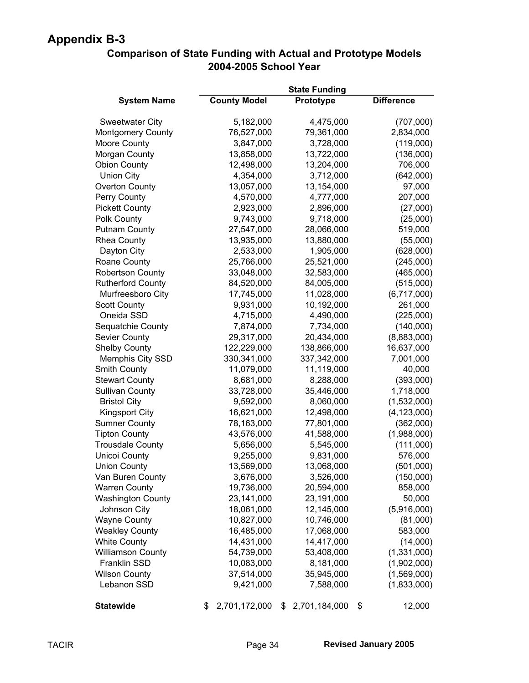| <b>Comparison of State Funding with Actual and Prototype Models</b> |
|---------------------------------------------------------------------|
| 2004-2005 School Year                                               |

|                          |                     | <b>State Funding</b> |                   |
|--------------------------|---------------------|----------------------|-------------------|
| <b>System Name</b>       | <b>County Model</b> | Prototype            | <b>Difference</b> |
| <b>Sweetwater City</b>   | 5,182,000           | 4,475,000            | (707,000)         |
| <b>Montgomery County</b> | 76,527,000          | 79,361,000           | 2,834,000         |
| Moore County             | 3,847,000           | 3,728,000            | (119,000)         |
| Morgan County            | 13,858,000          | 13,722,000           | (136,000)         |
| <b>Obion County</b>      | 12,498,000          | 13,204,000           | 706,000           |
| <b>Union City</b>        | 4,354,000           | 3,712,000            | (642,000)         |
| <b>Overton County</b>    | 13,057,000          | 13,154,000           | 97,000            |
| Perry County             | 4,570,000           | 4,777,000            | 207,000           |
| <b>Pickett County</b>    | 2,923,000           | 2,896,000            | (27,000)          |
| Polk County              | 9,743,000           | 9,718,000            | (25,000)          |
| <b>Putnam County</b>     | 27,547,000          | 28,066,000           | 519,000           |
| <b>Rhea County</b>       | 13,935,000          | 13,880,000           | (55,000)          |
| Dayton City              | 2,533,000           | 1,905,000            | (628,000)         |
| Roane County             | 25,766,000          | 25,521,000           | (245,000)         |
| <b>Robertson County</b>  | 33,048,000          | 32,583,000           | (465,000)         |
| <b>Rutherford County</b> | 84,520,000          | 84,005,000           | (515,000)         |
| Murfreesboro City        | 17,745,000          | 11,028,000           | (6,717,000)       |
| <b>Scott County</b>      | 9,931,000           | 10,192,000           | 261,000           |
| Oneida SSD               | 4,715,000           | 4,490,000            | (225,000)         |
| Sequatchie County        | 7,874,000           | 7,734,000            | (140,000)         |
| Sevier County            | 29,317,000          | 20,434,000           | (8,883,000)       |
| <b>Shelby County</b>     | 122,229,000         | 138,866,000          | 16,637,000        |
| <b>Memphis City SSD</b>  | 330,341,000         | 337,342,000          | 7,001,000         |
| Smith County             | 11,079,000          | 11,119,000           | 40,000            |
| <b>Stewart County</b>    | 8,681,000           | 8,288,000            | (393,000)         |
| <b>Sullivan County</b>   | 33,728,000          | 35,446,000           | 1,718,000         |
| <b>Bristol City</b>      | 9,592,000           | 8,060,000            | (1,532,000)       |
| <b>Kingsport City</b>    | 16,621,000          | 12,498,000           | (4, 123, 000)     |
| <b>Sumner County</b>     | 78,163,000          | 77,801,000           | (362,000)         |
| <b>Tipton County</b>     | 43,576,000          | 41,588,000           | (1,988,000)       |
| <b>Trousdale County</b>  | 5,656,000           | 5,545,000            | (111,000)         |
| <b>Unicoi County</b>     | 9,255,000           | 9,831,000            | 576,000           |
| <b>Union County</b>      | 13,569,000          | 13,068,000           | (501,000)         |
| Van Buren County         | 3,676,000           | 3,526,000            | (150,000)         |
| <b>Warren County</b>     | 19,736,000          | 20,594,000           | 858,000           |
| <b>Washington County</b> | 23,141,000          | 23,191,000           | 50,000            |
| Johnson City             | 18,061,000          | 12,145,000           | (5,916,000)       |
| <b>Wayne County</b>      | 10,827,000          | 10,746,000           | (81,000)          |
| <b>Weakley County</b>    | 16,485,000          | 17,068,000           | 583,000           |
| <b>White County</b>      | 14,431,000          | 14,417,000           | (14,000)          |
| <b>Williamson County</b> | 54,739,000          | 53,408,000           | (1,331,000)       |
| Franklin SSD             | 10,083,000          | 8,181,000            | (1,902,000)       |
| <b>Wilson County</b>     | 37,514,000          | 35,945,000           | (1,569,000)       |
| Lebanon SSD              | 9,421,000           | 7,588,000            | (1,833,000)       |
| <b>Statewide</b>         | \$<br>2,701,172,000 | \$<br>2,701,184,000  | \$<br>12,000      |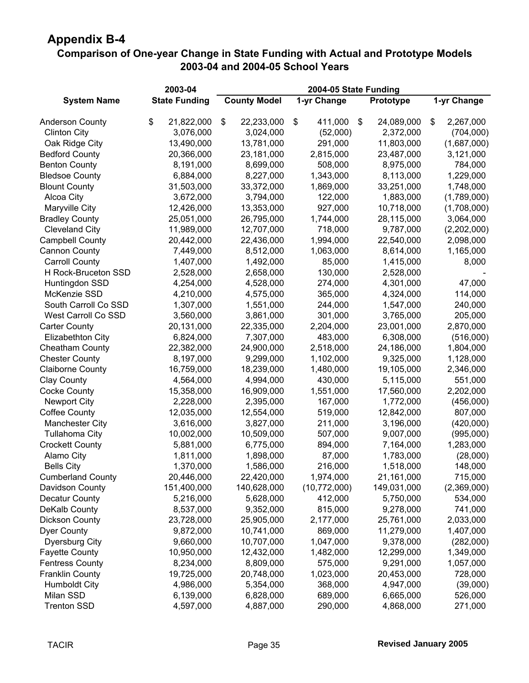#### **Comparison of One-year Change in State Funding with Actual and Prototype Models 2003-04 and 2004-05 School Years**

|                          | 2003-04              |                     |                     |             |                 |
|--------------------------|----------------------|---------------------|---------------------|-------------|-----------------|
| <b>System Name</b>       | <b>State Funding</b> | <b>County Model</b> | 1-yr Change         | Prototype   | 1-yr Change     |
| <b>Anderson County</b>   | \$<br>21,822,000     | \$<br>22,233,000    | \$<br>411,000<br>\$ | 24,089,000  | \$<br>2,267,000 |
| <b>Clinton City</b>      | 3,076,000            | 3,024,000           | (52,000)            | 2,372,000   | (704,000)       |
| Oak Ridge City           | 13,490,000           | 13,781,000          | 291,000             | 11,803,000  | (1,687,000)     |
| <b>Bedford County</b>    | 20,366,000           | 23,181,000          | 2,815,000           | 23,487,000  | 3,121,000       |
| <b>Benton County</b>     | 8,191,000            | 8,699,000           | 508,000             | 8,975,000   | 784,000         |
| <b>Bledsoe County</b>    | 6,884,000            | 8,227,000           | 1,343,000           | 8,113,000   | 1,229,000       |
| <b>Blount County</b>     | 31,503,000           | 33,372,000          | 1,869,000           | 33,251,000  | 1,748,000       |
| Alcoa City               | 3,672,000            | 3,794,000           | 122,000             | 1,883,000   | (1,789,000)     |
| Maryville City           | 12,426,000           | 13,353,000          | 927,000             | 10,718,000  | (1,708,000)     |
| <b>Bradley County</b>    | 25,051,000           | 26,795,000          | 1,744,000           | 28,115,000  | 3,064,000       |
| <b>Cleveland City</b>    | 11,989,000           | 12,707,000          | 718,000             | 9,787,000   | (2,202,000)     |
| <b>Campbell County</b>   | 20,442,000           | 22,436,000          | 1,994,000           | 22,540,000  | 2,098,000       |
| Cannon County            | 7,449,000            | 8,512,000           | 1,063,000           | 8,614,000   | 1,165,000       |
| <b>Carroll County</b>    | 1,407,000            | 1,492,000           | 85,000              | 1,415,000   | 8,000           |
| H Rock-Bruceton SSD      | 2,528,000            | 2,658,000           | 130,000             | 2,528,000   |                 |
| Huntingdon SSD           | 4,254,000            | 4,528,000           | 274,000             | 4,301,000   | 47,000          |
| McKenzie SSD             | 4,210,000            | 4,575,000           | 365,000             | 4,324,000   | 114,000         |
| South Carroll Co SSD     | 1,307,000            | 1,551,000           | 244,000             | 1,547,000   | 240,000         |
| West Carroll Co SSD      | 3,560,000            | 3,861,000           | 301,000             | 3,765,000   | 205,000         |
| <b>Carter County</b>     | 20,131,000           | 22,335,000          | 2,204,000           | 23,001,000  | 2,870,000       |
| <b>Elizabethton City</b> | 6,824,000            | 7,307,000           | 483,000             | 6,308,000   | (516,000)       |
| Cheatham County          | 22,382,000           | 24,900,000          | 2,518,000           | 24,186,000  | 1,804,000       |
| <b>Chester County</b>    | 8,197,000            | 9,299,000           | 1,102,000           | 9,325,000   | 1,128,000       |
| <b>Claiborne County</b>  | 16,759,000           | 18,239,000          | 1,480,000           | 19,105,000  | 2,346,000       |
| <b>Clay County</b>       | 4,564,000            | 4,994,000           | 430,000             | 5,115,000   | 551,000         |
| <b>Cocke County</b>      | 15,358,000           | 16,909,000          | 1,551,000           | 17,560,000  | 2,202,000       |
| <b>Newport City</b>      | 2,228,000            | 2,395,000           | 167,000             | 1,772,000   | (456,000)       |
| <b>Coffee County</b>     | 12,035,000           | 12,554,000          | 519,000             | 12,842,000  | 807,000         |
| <b>Manchester City</b>   | 3,616,000            | 3,827,000           | 211,000             | 3,196,000   | (420,000)       |
| <b>Tullahoma City</b>    | 10,002,000           | 10,509,000          | 507,000             | 9,007,000   | (995,000)       |
| <b>Crockett County</b>   | 5,881,000            | 6,775,000           | 894,000             | 7,164,000   | 1,283,000       |
| Alamo City               | 1,811,000            | 1,898,000           | 87,000              | 1,783,000   | (28,000)        |
| <b>Bells City</b>        | 1,370,000            | 1,586,000           | 216,000             | 1,518,000   | 148,000         |
| <b>Cumberland County</b> | 20,446,000           | 22,420,000          | 1,974,000           | 21,161,000  | 715,000         |
| Davidson County          | 151,400,000          | 140,628,000         | (10,772,000)        | 149,031,000 | (2,369,000)     |
| Decatur County           | 5,216,000            | 5,628,000           | 412,000             | 5,750,000   | 534,000         |
| DeKalb County            | 8,537,000            | 9,352,000           | 815,000             | 9,278,000   | 741,000         |
| <b>Dickson County</b>    | 23,728,000           | 25,905,000          | 2,177,000           | 25,761,000  | 2,033,000       |
| <b>Dyer County</b>       | 9,872,000            | 10,741,000          | 869,000             | 11,279,000  | 1,407,000       |
| <b>Dyersburg City</b>    | 9,660,000            | 10,707,000          | 1,047,000           | 9,378,000   | (282,000)       |
| <b>Fayette County</b>    | 10,950,000           | 12,432,000          | 1,482,000           | 12,299,000  | 1,349,000       |
| <b>Fentress County</b>   | 8,234,000            | 8,809,000           | 575,000             | 9,291,000   | 1,057,000       |
| <b>Franklin County</b>   | 19,725,000           | 20,748,000          | 1,023,000           | 20,453,000  | 728,000         |
| <b>Humboldt City</b>     | 4,986,000            | 5,354,000           | 368,000             | 4,947,000   | (39,000)        |
| Milan SSD                | 6,139,000            | 6,828,000           | 689,000             | 6,665,000   | 526,000         |
| <b>Trenton SSD</b>       | 4,597,000            | 4,887,000           | 290,000             | 4,868,000   | 271,000         |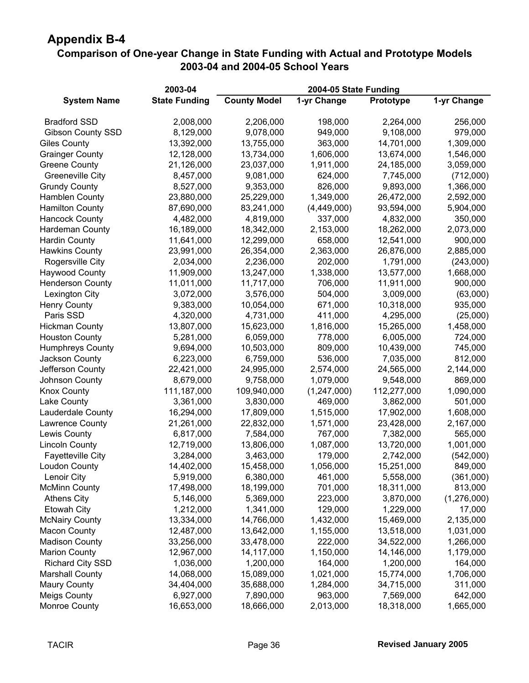#### **Comparison of One-year Change in State Funding with Actual and Prototype Models 2003-04 and 2004-05 School Years**

|                          | 2003-04              |                     | 2004-05 State Funding |             |             |
|--------------------------|----------------------|---------------------|-----------------------|-------------|-------------|
| <b>System Name</b>       | <b>State Funding</b> | <b>County Model</b> | 1-yr Change           | Prototype   | 1-yr Change |
| <b>Bradford SSD</b>      | 2,008,000            | 2,206,000           | 198,000               | 2,264,000   | 256,000     |
| <b>Gibson County SSD</b> | 8,129,000            | 9,078,000           | 949,000               | 9,108,000   | 979,000     |
| <b>Giles County</b>      | 13,392,000           | 13,755,000          | 363,000               | 14,701,000  | 1,309,000   |
| <b>Grainger County</b>   | 12,128,000           | 13,734,000          | 1,606,000             | 13,674,000  | 1,546,000   |
| <b>Greene County</b>     | 21,126,000           | 23,037,000          | 1,911,000             | 24,185,000  | 3,059,000   |
| <b>Greeneville City</b>  | 8,457,000            | 9,081,000           | 624,000               | 7,745,000   | (712,000)   |
| <b>Grundy County</b>     | 8,527,000            | 9,353,000           | 826,000               | 9,893,000   | 1,366,000   |
| <b>Hamblen County</b>    | 23,880,000           | 25,229,000          | 1,349,000             | 26,472,000  | 2,592,000   |
| <b>Hamilton County</b>   | 87,690,000           | 83,241,000          | (4,449,000)           | 93,594,000  | 5,904,000   |
| <b>Hancock County</b>    | 4,482,000            | 4,819,000           | 337,000               | 4,832,000   | 350,000     |
| Hardeman County          | 16,189,000           | 18,342,000          | 2,153,000             | 18,262,000  | 2,073,000   |
| <b>Hardin County</b>     | 11,641,000           | 12,299,000          | 658,000               | 12,541,000  | 900,000     |
| <b>Hawkins County</b>    | 23,991,000           | 26,354,000          | 2,363,000             | 26,876,000  | 2,885,000   |
| Rogersville City         | 2,034,000            | 2,236,000           | 202,000               | 1,791,000   | (243,000)   |
| <b>Haywood County</b>    | 11,909,000           | 13,247,000          | 1,338,000             | 13,577,000  | 1,668,000   |
| <b>Henderson County</b>  | 11,011,000           | 11,717,000          | 706,000               | 11,911,000  | 900,000     |
| Lexington City           | 3,072,000            | 3,576,000           | 504,000               | 3,009,000   | (63,000)    |
| <b>Henry County</b>      | 9,383,000            | 10,054,000          | 671,000               | 10,318,000  | 935,000     |
| Paris SSD                | 4,320,000            | 4,731,000           | 411,000               | 4,295,000   | (25,000)    |
| <b>Hickman County</b>    | 13,807,000           | 15,623,000          | 1,816,000             | 15,265,000  | 1,458,000   |
| <b>Houston County</b>    | 5,281,000            | 6,059,000           | 778,000               | 6,005,000   | 724,000     |
| <b>Humphreys County</b>  | 9,694,000            | 10,503,000          | 809,000               | 10,439,000  | 745,000     |
| Jackson County           | 6,223,000            | 6,759,000           | 536,000               | 7,035,000   | 812,000     |
| Jefferson County         | 22,421,000           | 24,995,000          | 2,574,000             | 24,565,000  | 2,144,000   |
| Johnson County           | 8,679,000            | 9,758,000           | 1,079,000             | 9,548,000   | 869,000     |
| <b>Knox County</b>       | 111,187,000          | 109,940,000         | (1, 247, 000)         | 112,277,000 | 1,090,000   |
| Lake County              | 3,361,000            | 3,830,000           | 469,000               | 3,862,000   | 501,000     |
| Lauderdale County        | 16,294,000           | 17,809,000          | 1,515,000             | 17,902,000  | 1,608,000   |
| Lawrence County          | 21,261,000           | 22,832,000          | 1,571,000             | 23,428,000  | 2,167,000   |
| Lewis County             | 6,817,000            | 7,584,000           | 767,000               | 7,382,000   | 565,000     |
| <b>Lincoln County</b>    | 12,719,000           | 13,806,000          | 1,087,000             | 13,720,000  | 1,001,000   |
| <b>Fayetteville City</b> | 3,284,000            | 3,463,000           | 179,000               | 2,742,000   | (542,000)   |
| Loudon County            | 14,402,000           | 15,458,000          | 1,056,000             | 15,251,000  | 849,000     |
| Lenoir City              | 5,919,000            | 6,380,000           | 461,000               | 5,558,000   | (361,000)   |
| <b>McMinn County</b>     | 17,498,000           | 18,199,000          | 701,000               | 18,311,000  | 813,000     |
| <b>Athens City</b>       | 5,146,000            | 5,369,000           | 223,000               | 3,870,000   | (1,276,000) |
| <b>Etowah City</b>       | 1,212,000            | 1,341,000           | 129,000               | 1,229,000   | 17,000      |
| <b>McNairy County</b>    | 13,334,000           | 14,766,000          | 1,432,000             | 15,469,000  | 2,135,000   |
| <b>Macon County</b>      | 12,487,000           | 13,642,000          | 1,155,000             | 13,518,000  | 1,031,000   |
| <b>Madison County</b>    | 33,256,000           | 33,478,000          | 222,000               | 34,522,000  | 1,266,000   |
| <b>Marion County</b>     | 12,967,000           | 14,117,000          | 1,150,000             | 14,146,000  | 1,179,000   |
| <b>Richard City SSD</b>  | 1,036,000            | 1,200,000           | 164,000               | 1,200,000   | 164,000     |
| <b>Marshall County</b>   | 14,068,000           | 15,089,000          | 1,021,000             | 15,774,000  | 1,706,000   |
| <b>Maury County</b>      | 34,404,000           | 35,688,000          | 1,284,000             | 34,715,000  | 311,000     |
| <b>Meigs County</b>      | 6,927,000            | 7,890,000           | 963,000               | 7,569,000   | 642,000     |
| Monroe County            | 16,653,000           | 18,666,000          | 2,013,000             | 18,318,000  | 1,665,000   |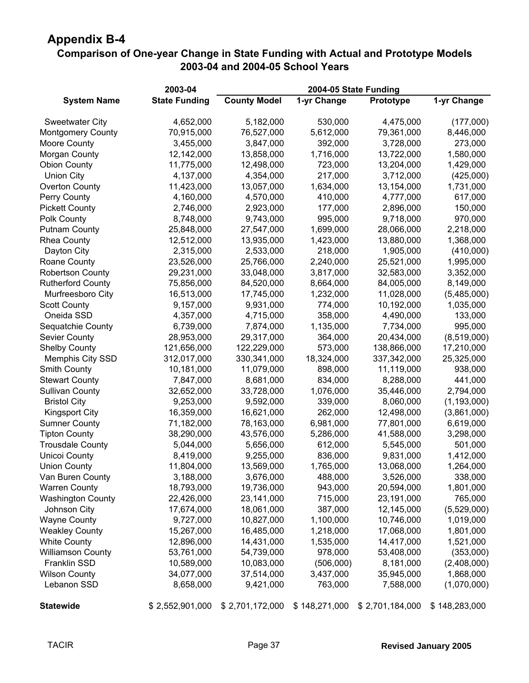#### **Comparison of One-year Change in State Funding with Actual and Prototype Models 2003-04 and 2004-05 School Years**

|                          | 2003-04              | 2004-05 State Funding |               |                 |               |  |  |  |  |
|--------------------------|----------------------|-----------------------|---------------|-----------------|---------------|--|--|--|--|
| <b>System Name</b>       | <b>State Funding</b> | <b>County Model</b>   | 1-yr Change   | Prototype       | 1-yr Change   |  |  |  |  |
| <b>Sweetwater City</b>   | 4,652,000            | 5,182,000             | 530,000       | 4,475,000       | (177,000)     |  |  |  |  |
| <b>Montgomery County</b> | 70,915,000           | 76,527,000            | 5,612,000     | 79,361,000      | 8,446,000     |  |  |  |  |
| <b>Moore County</b>      | 3,455,000            | 3,847,000             | 392,000       | 3,728,000       | 273,000       |  |  |  |  |
| Morgan County            | 12,142,000           | 13,858,000            | 1,716,000     | 13,722,000      | 1,580,000     |  |  |  |  |
| <b>Obion County</b>      | 11,775,000           | 12,498,000            | 723,000       | 13,204,000      | 1,429,000     |  |  |  |  |
| <b>Union City</b>        | 4,137,000            | 4,354,000             | 217,000       | 3,712,000       | (425,000)     |  |  |  |  |
| Overton County           | 11,423,000           | 13,057,000            | 1,634,000     | 13,154,000      | 1,731,000     |  |  |  |  |
| Perry County             | 4,160,000            | 4,570,000             | 410,000       | 4,777,000       | 617,000       |  |  |  |  |
| <b>Pickett County</b>    | 2,746,000            | 2,923,000             | 177,000       | 2,896,000       | 150,000       |  |  |  |  |
| Polk County              | 8,748,000            | 9,743,000             | 995,000       | 9,718,000       | 970,000       |  |  |  |  |
| <b>Putnam County</b>     | 25,848,000           | 27,547,000            | 1,699,000     | 28,066,000      | 2,218,000     |  |  |  |  |
| Rhea County              | 12,512,000           | 13,935,000            | 1,423,000     | 13,880,000      | 1,368,000     |  |  |  |  |
| Dayton City              | 2,315,000            | 2,533,000             | 218,000       | 1,905,000       | (410,000)     |  |  |  |  |
| Roane County             | 23,526,000           | 25,766,000            | 2,240,000     | 25,521,000      | 1,995,000     |  |  |  |  |
| <b>Robertson County</b>  | 29,231,000           | 33,048,000            | 3,817,000     | 32,583,000      | 3,352,000     |  |  |  |  |
| <b>Rutherford County</b> | 75,856,000           | 84,520,000            | 8,664,000     | 84,005,000      | 8,149,000     |  |  |  |  |
| Murfreesboro City        | 16,513,000           | 17,745,000            | 1,232,000     | 11,028,000      | (5,485,000)   |  |  |  |  |
| <b>Scott County</b>      | 9,157,000            | 9,931,000             | 774,000       | 10,192,000      | 1,035,000     |  |  |  |  |
| Oneida SSD               | 4,357,000            | 4,715,000             | 358,000       | 4,490,000       | 133,000       |  |  |  |  |
| Sequatchie County        | 6,739,000            | 7,874,000             | 1,135,000     | 7,734,000       | 995,000       |  |  |  |  |
| <b>Sevier County</b>     | 28,953,000           | 29,317,000            | 364,000       | 20,434,000      | (8,519,000)   |  |  |  |  |
| <b>Shelby County</b>     | 121,656,000          | 122,229,000           | 573,000       | 138,866,000     | 17,210,000    |  |  |  |  |
| Memphis City SSD         | 312,017,000          | 330,341,000           | 18,324,000    | 337,342,000     | 25,325,000    |  |  |  |  |
| <b>Smith County</b>      | 10,181,000           | 11,079,000            | 898,000       | 11,119,000      | 938,000       |  |  |  |  |
| <b>Stewart County</b>    | 7,847,000            | 8,681,000             | 834,000       | 8,288,000       | 441,000       |  |  |  |  |
| <b>Sullivan County</b>   | 32,652,000           | 33,728,000            | 1,076,000     | 35,446,000      | 2,794,000     |  |  |  |  |
| <b>Bristol City</b>      | 9,253,000            | 9,592,000             | 339,000       | 8,060,000       | (1, 193, 000) |  |  |  |  |
| <b>Kingsport City</b>    | 16,359,000           | 16,621,000            | 262,000       | 12,498,000      | (3,861,000)   |  |  |  |  |
| <b>Sumner County</b>     | 71,182,000           | 78,163,000            | 6,981,000     | 77,801,000      | 6,619,000     |  |  |  |  |
| <b>Tipton County</b>     | 38,290,000           | 43,576,000            | 5,286,000     | 41,588,000      | 3,298,000     |  |  |  |  |
| <b>Trousdale County</b>  | 5,044,000            | 5,656,000             | 612,000       | 5,545,000       | 501,000       |  |  |  |  |
| <b>Unicoi County</b>     | 8,419,000            | 9,255,000             | 836,000       | 9,831,000       | 1,412,000     |  |  |  |  |
| <b>Union County</b>      | 11,804,000           | 13,569,000            | 1,765,000     | 13,068,000      | 1,264,000     |  |  |  |  |
| Van Buren County         | 3,188,000            | 3,676,000             | 488,000       | 3,526,000       | 338,000       |  |  |  |  |
| <b>Warren County</b>     | 18,793,000           | 19,736,000            | 943,000       | 20,594,000      | 1,801,000     |  |  |  |  |
| <b>Washington County</b> | 22,426,000           | 23,141,000            | 715,000       | 23,191,000      | 765,000       |  |  |  |  |
| Johnson City             | 17,674,000           | 18,061,000            | 387,000       | 12,145,000      | (5,529,000)   |  |  |  |  |
| <b>Wayne County</b>      | 9,727,000            | 10,827,000            | 1,100,000     | 10,746,000      | 1,019,000     |  |  |  |  |
| <b>Weakley County</b>    | 15,267,000           | 16,485,000            | 1,218,000     | 17,068,000      | 1,801,000     |  |  |  |  |
| <b>White County</b>      | 12,896,000           | 14,431,000            | 1,535,000     | 14,417,000      | 1,521,000     |  |  |  |  |
| <b>Williamson County</b> | 53,761,000           | 54,739,000            | 978,000       | 53,408,000      | (353,000)     |  |  |  |  |
| Franklin SSD             | 10,589,000           | 10,083,000            | (506,000)     | 8,181,000       | (2,408,000)   |  |  |  |  |
| <b>Wilson County</b>     | 34,077,000           | 37,514,000            | 3,437,000     | 35,945,000      | 1,868,000     |  |  |  |  |
| Lebanon SSD              | 8,658,000            | 9,421,000             | 763,000       | 7,588,000       | (1,070,000)   |  |  |  |  |
| <b>Statewide</b>         | \$2,552,901,000      | \$2,701,172,000       | \$148,271,000 | \$2,701,184,000 | \$148,283,000 |  |  |  |  |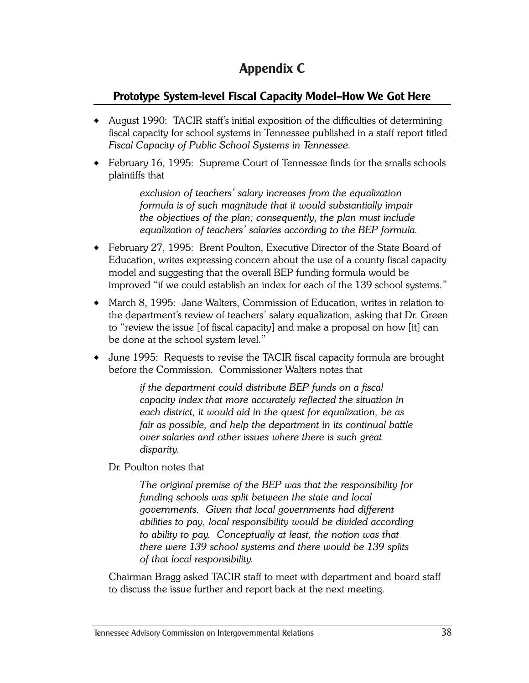# **Appendix C**

### **Prototype System-level Fiscal Capacity Model—How We Got Here**

- August 1990: TACIR staff's initial exposition of the difficulties of determining fiscal capacity for school systems in Tennessee published in a staff report titled *Fiscal Capacity of Public School Systems in Tennessee*.
- February 16, 1995: Supreme Court of Tennessee finds for the smalls schools plaintiffs that

*exclusion of teachers' salary increases from the equalization formula is of such magnitude that it would substantially impair the objectives of the plan; consequently, the plan must include equalization of teachers' salaries according to the BEP formula.*

- February 27, 1995: Brent Poulton, Executive Director of the State Board of Education, writes expressing concern about the use of a county fiscal capacity model and suggesting that the overall BEP funding formula would be improved "if we could establish an index for each of the 139 school systems."
- March 8, 1995: Jane Walters, Commission of Education, writes in relation to the department's review of teachers' salary equalization, asking that Dr. Green to "review the issue [of fiscal capacity] and make a proposal on how [it] can be done at the school system level."
- June 1995: Requests to revise the TACIR fiscal capacity formula are brought before the Commission. Commissioner Walters notes that

*if the department could distribute BEP funds on a fiscal capacity index that more accurately reflected the situation in each district, it would aid in the quest for equalization, be as fair as possible, and help the department in its continual battle over salaries and other issues where there is such great disparity.*

Dr. Poulton notes that

*The original premise of the BEP was that the responsibility for funding schools was split between the state and local governments. Given that local governments had different abilities to pay, local responsibility would be divided according to ability to pay. Conceptually at least, the notion was that there were 139 school systems and there would be 139 splits of that local responsibility.*

Chairman Bragg asked TACIR staff to meet with department and board staff to discuss the issue further and report back at the next meeting.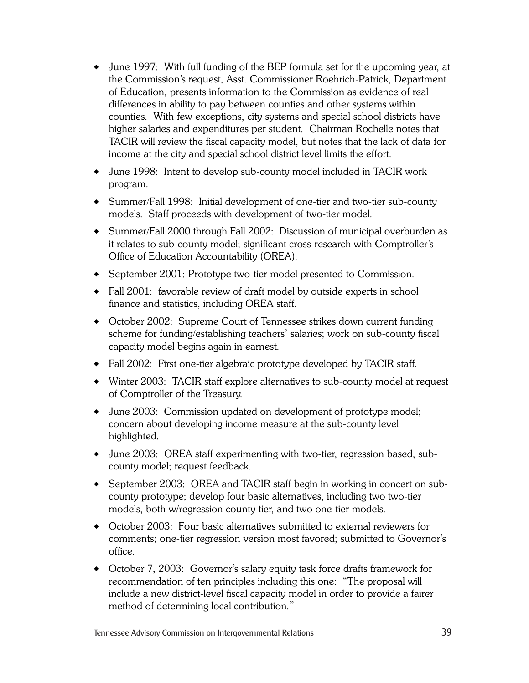- June 1997: With full funding of the BEP formula set for the upcoming year, at the Commission's request, Asst. Commissioner Roehrich-Patrick, Department of Education, presents information to the Commission as evidence of real differences in ability to pay between counties and other systems within counties. With few exceptions, city systems and special school districts have higher salaries and expenditures per student. Chairman Rochelle notes that TACIR will review the fiscal capacity model, but notes that the lack of data for income at the city and special school district level limits the effort.
- June 1998: Intent to develop sub-county model included in TACIR work program.
- Summer/Fall 1998: Initial development of one-tier and two-tier sub-county models. Staff proceeds with development of two-tier model.
- Summer/Fall 2000 through Fall 2002: Discussion of municipal overburden as it relates to sub-county model; significant cross-research with Comptroller's Office of Education Accountability (OREA).
- September 2001: Prototype two-tier model presented to Commission.
- Fall 2001: favorable review of draft model by outside experts in school finance and statistics, including OREA staff.
- October 2002: Supreme Court of Tennessee strikes down current funding scheme for funding/establishing teachers' salaries; work on sub-county fiscal capacity model begins again in earnest.
- Fall 2002: First one-tier algebraic prototype developed by TACIR staff.
- Winter 2003: TACIR staff explore alternatives to sub-county model at request of Comptroller of the Treasury.
- June 2003: Commission updated on development of prototype model; concern about developing income measure at the sub-county level highlighted.
- June 2003: OREA staff experimenting with two-tier, regression based, subcounty model; request feedback.
- September 2003: OREA and TACIR staff begin in working in concert on subcounty prototype; develop four basic alternatives, including two two-tier models, both w/regression county tier, and two one-tier models.
- October 2003: Four basic alternatives submitted to external reviewers for comments; one-tier regression version most favored; submitted to Governor's office.
- October 7, 2003: Governor's salary equity task force drafts framework for recommendation of ten principles including this one: "The proposal will include a new district-level fiscal capacity model in order to provide a fairer method of determining local contribution."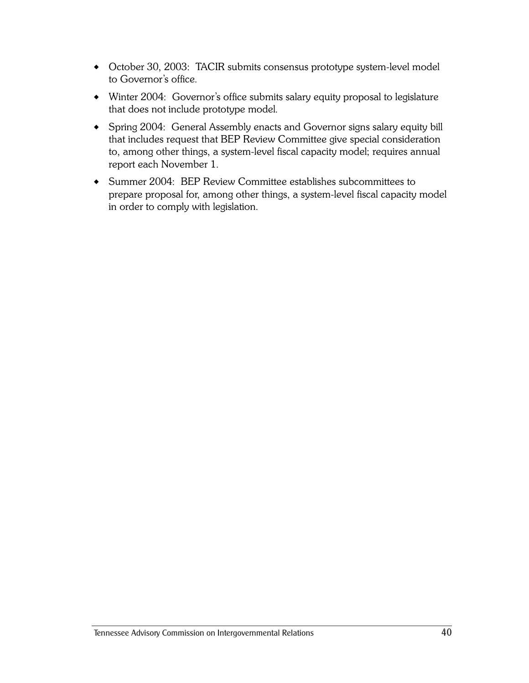- October 30, 2003: TACIR submits consensus prototype system-level model to Governor's office.
- Winter 2004: Governor's office submits salary equity proposal to legislature that does not include prototype model.
- Spring 2004: General Assembly enacts and Governor signs salary equity bill that includes request that BEP Review Committee give special consideration to, among other things, a system-level fiscal capacity model; requires annual report each November 1.
- Summer 2004: BEP Review Committee establishes subcommittees to prepare proposal for, among other things, a system-level fiscal capacity model in order to comply with legislation.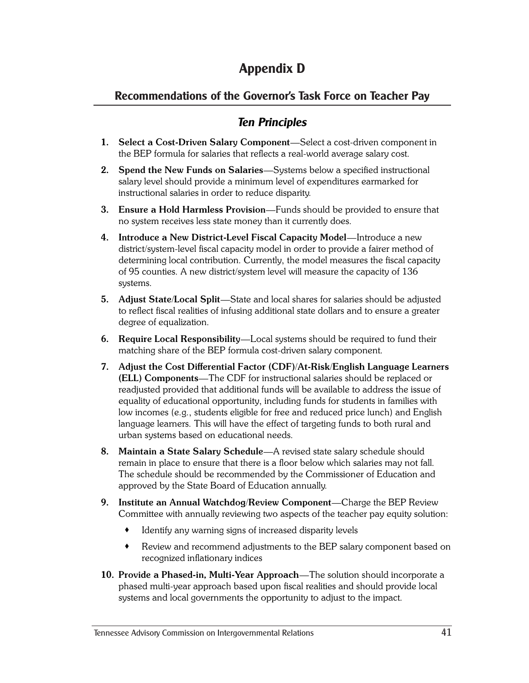# **Appendix D**

#### **Recommendations of the Governor's Task Force on Teacher Pay**

### *Ten Principles*

- **1. Select a Cost-Driven Salary Component**—Select a cost-driven component in the BEP formula for salaries that reflects a real-world average salary cost.
- **2. Spend the New Funds on Salaries**—Systems below a specified instructional salary level should provide a minimum level of expenditures earmarked for instructional salaries in order to reduce disparity.
- **3. Ensure a Hold Harmless Provision**—Funds should be provided to ensure that no system receives less state money than it currently does.
- **4. Introduce a New District-Level Fiscal Capacity Model**—Introduce a new district/system-level fiscal capacity model in order to provide a fairer method of determining local contribution. Currently, the model measures the fiscal capacity of 95 counties. A new district/system level will measure the capacity of 136 systems.
- **5. Adjust State/Local Split**—State and local shares for salaries should be adjusted to reflect fiscal realities of infusing additional state dollars and to ensure a greater degree of equalization.
- **6. Require Local Responsibility**—Local systems should be required to fund their matching share of the BEP formula cost-driven salary component.
- **7. Adjust the Cost Differential Factor (CDF)/At-Risk/English Language Learners (ELL) Components**—The CDF for instructional salaries should be replaced or readjusted provided that additional funds will be available to address the issue of equality of educational opportunity, including funds for students in families with low incomes (e.g., students eligible for free and reduced price lunch) and English language learners. This will have the effect of targeting funds to both rural and urban systems based on educational needs.
- **8. Maintain a State Salary Schedule**—A revised state salary schedule should remain in place to ensure that there is a floor below which salaries may not fall. The schedule should be recommended by the Commissioner of Education and approved by the State Board of Education annually.
- **9. Institute an Annual Watchdog/Review Component**—Charge the BEP Review Committee with annually reviewing two aspects of the teacher pay equity solution:
	- Identify any warning signs of increased disparity levels
	- Review and recommend adjustments to the BEP salary component based on recognized inflationary indices
- **10. Provide a Phased-in, Multi-Year Approach**—The solution should incorporate a phased multi-year approach based upon fiscal realities and should provide local systems and local governments the opportunity to adjust to the impact.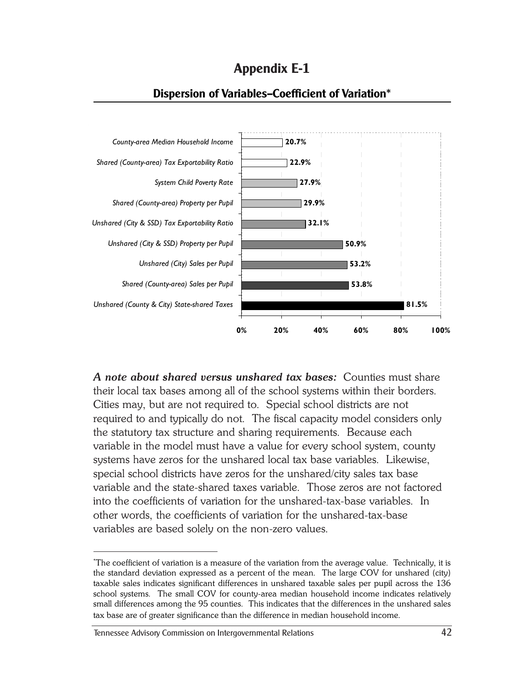**Appendix E-1**



#### **Dispersion of Variables—Coefficient of Variation\***

*A note about shared versus unshared tax bases:* Counties must share their local tax bases among all of the school systems within their borders. Cities may, but are not required to. Special school districts are not required to and typically do not. The fiscal capacity model considers only the statutory tax structure and sharing requirements. Because each variable in the model must have a value for every school system, county systems have zeros for the unshared local tax base variables. Likewise, special school districts have zeros for the unshared/city sales tax base variable and the state-shared taxes variable. Those zeros are not factored into the coefficients of variation for the unshared-tax-base variables. In other words, the coefficients of variation for the unshared-tax-base variables are based solely on the non-zero values.

<sup>\*</sup> The coefficient of variation is a measure of the variation from the average value. Technically, it is the standard deviation expressed as a percent of the mean. The large COV for unshared (city) taxable sales indicates significant differences in unshared taxable sales per pupil across the 136 school systems. The small COV for county-area median household income indicates relatively small differences among the 95 counties. This indicates that the differences in the unshared sales tax base are of greater significance than the difference in median household income.

Tennessee Advisory Commission on Intergovernmental Relations 42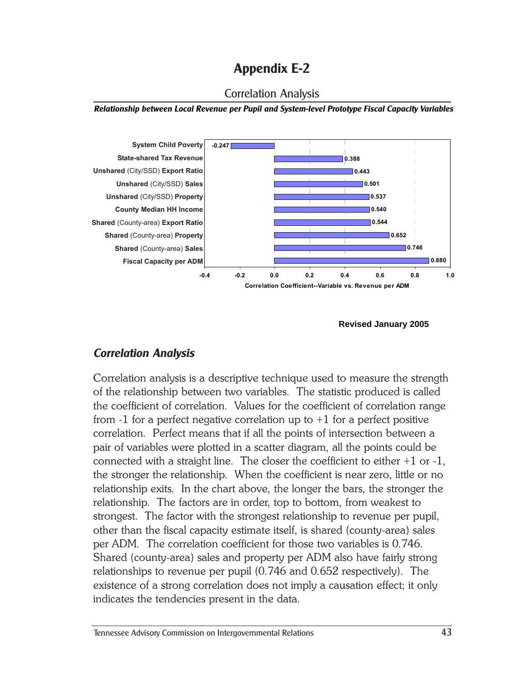

*Relationship between Local Revenue per Pupil and System-level Prototype Fiscal Capacity Variables*



#### **Revised January 2005**

#### *Correlation Analysis*

Correlation analysis is a descriptive technique used to measure the strength of the relationship between two variables. The statistic produced is called the coefficient of correlation. Values for the coefficient of correlation range from  $-1$  for a perfect negative correlation up to  $+1$  for a perfect positive correlation. Perfect means that if all the points of intersection between a pair of variables were plotted in a scatter diagram, all the points could be connected with a straight line. The closer the coefficient to either  $+1$  or  $-1$ , the stronger the relationship. When the coefficient is near zero, little or no relationship exits. In the chart above, the longer the bars, the stronger the relationship. The factors are in order, top to bottom, from weakest to strongest. The factor with the strongest relationship to revenue per pupil, other than the fiscal capacity estimate itself, is shared (county-area) sales per ADM. The correlation coefficient for those two variables is 0.746. Shared (county-area) sales and property per ADM also have fairly strong relationships to revenue per pupil (0.746 and 0.652 respectively). The existence of a strong correlation does not imply a causation effect; it only indicates the tendencies present in the data.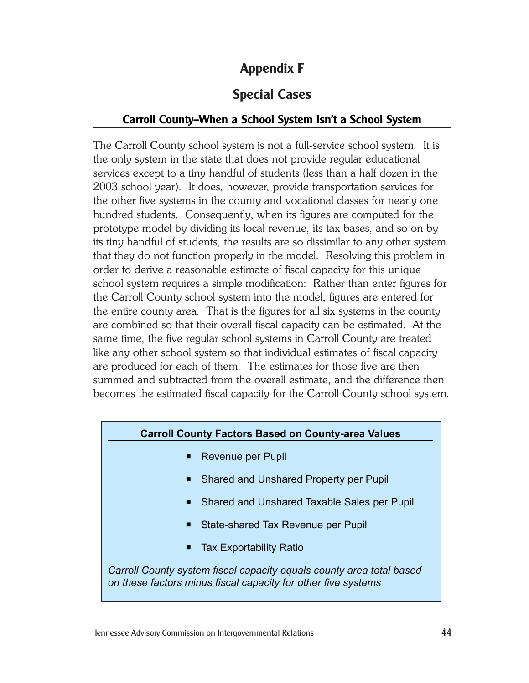# **Appendix F**

# **Special Cases**

#### **Carroll County—When a School System Isn't a School System**

The Carroll County school system is not a full-service school system. It is the only system in the state that does not provide regular educational services except to a tiny handful of students (less than a half dozen in the 2003 school year). It does, however, provide transportation services for the other five systems in the county and vocational classes for nearly one hundred students. Consequently, when its figures are computed for the prototype model by dividing its local revenue, its tax bases, and so on by its tiny handful of students, the results are so dissimilar to any other system that they do not function properly in the model. Resolving this problem in order to derive a reasonable estimate of fiscal capacity for this unique school system requires a simple modification: Rather than enter figures for the Carroll County school system into the model, figures are entered for the entire county area. That is the figures for all six systems in the county are combined so that their overall fiscal capacity can be estimated. At the same time, the five regular school systems in Carroll County are treated like any other school system so that individual estimates of fiscal capacity are produced for each of them. The estimates for those five are then summed and subtracted from the overall estimate, and the difference then becomes the estimated fiscal capacity for the Carroll County school system.

#### **Carroll County Factors Based on County-area Values**

- Revenue per Pupil
- Shared and Unshared Property per Pupil
- Shared and Unshared Taxable Sales per Pupil
- State-shared Tax Revenue per Pupil
- Tax Exportability Ratio

*Carroll County system fiscal capacity equals county area total based on these factors minus fiscal capacity for other five systems*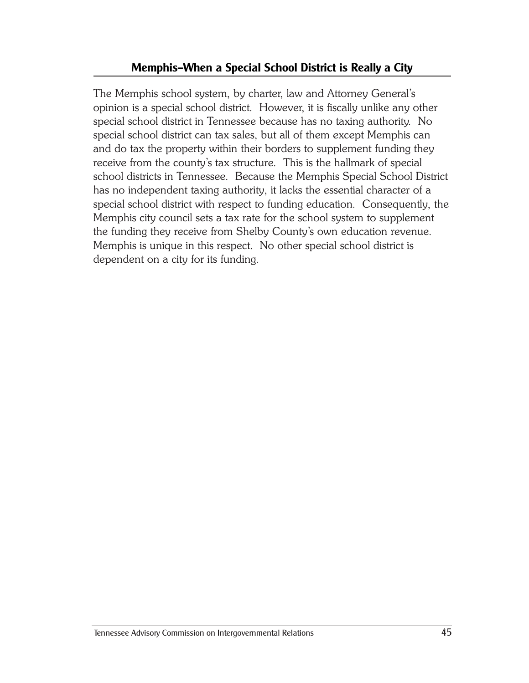#### **Memphis—When a Special School District is Really a City**

The Memphis school system, by charter, law and Attorney General's opinion is a special school district. However, it is fiscally unlike any other special school district in Tennessee because has no taxing authority. No special school district can tax sales, but all of them except Memphis can and do tax the property within their borders to supplement funding they receive from the county's tax structure. This is the hallmark of special school districts in Tennessee. Because the Memphis Special School District has no independent taxing authority, it lacks the essential character of a special school district with respect to funding education. Consequently, the Memphis city council sets a tax rate for the school system to supplement the funding they receive from Shelby County's own education revenue. Memphis is unique in this respect. No other special school district is dependent on a city for its funding.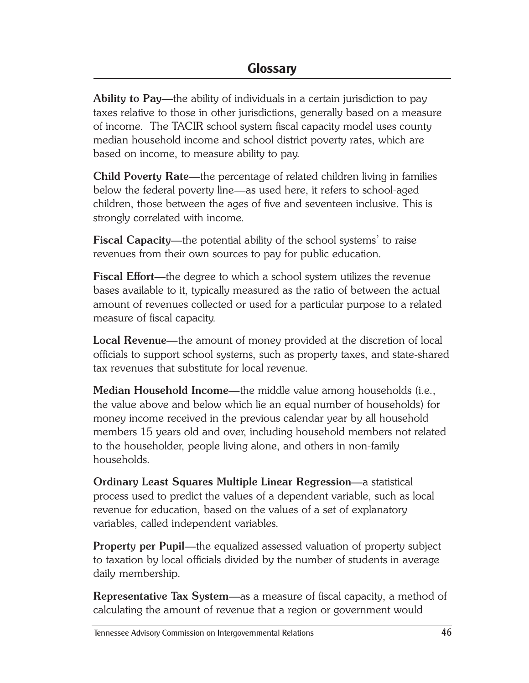**Ability to Pay—**the ability of individuals in a certain jurisdiction to pay taxes relative to those in other jurisdictions, generally based on a measure of income. The TACIR school system fiscal capacity model uses county median household income and school district poverty rates, which are based on income, to measure ability to pay.

**Child Poverty Rate—**the percentage of related children living in families below the federal poverty line—as used here, it refers to school-aged children, those between the ages of five and seventeen inclusive. This is strongly correlated with income.

**Fiscal Capacity—**the potential ability of the school systems' to raise revenues from their own sources to pay for public education.

**Fiscal Effort—**the degree to which a school system utilizes the revenue bases available to it, typically measured as the ratio of between the actual amount of revenues collected or used for a particular purpose to a related measure of fiscal capacity.

**Local Revenue—**the amount of money provided at the discretion of local officials to support school systems, such as property taxes, and state-shared tax revenues that substitute for local revenue.

**Median Household Income—**the middle value among households (i.e., the value above and below which lie an equal number of households) for money income received in the previous calendar year by all household members 15 years old and over, including household members not related to the householder, people living alone, and others in non-family households.

**Ordinary Least Squares Multiple Linear Regression—**a statistical process used to predict the values of a dependent variable, such as local revenue for education, based on the values of a set of explanatory variables, called independent variables.

**Property per Pupil—**the equalized assessed valuation of property subject to taxation by local officials divided by the number of students in average daily membership.

**Representative Tax System—**as a measure of fiscal capacity, a method of calculating the amount of revenue that a region or government would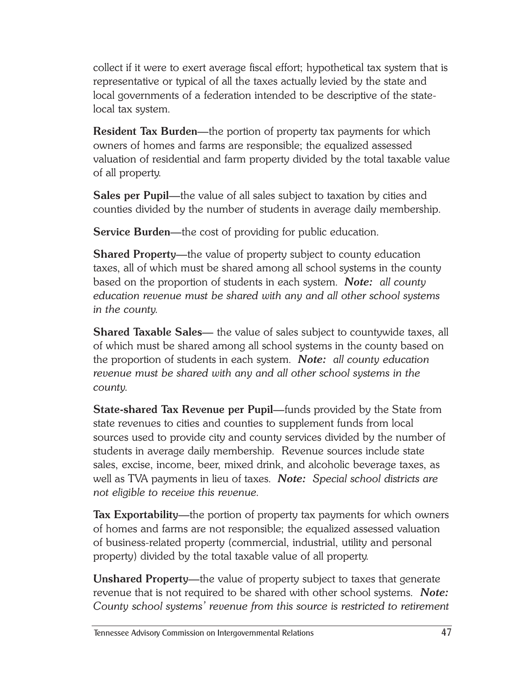collect if it were to exert average fiscal effort; hypothetical tax system that is representative or typical of all the taxes actually levied by the state and local governments of a federation intended to be descriptive of the statelocal tax system.

**Resident Tax Burden—**the portion of property tax payments for which owners of homes and farms are responsible; the equalized assessed valuation of residential and farm property divided by the total taxable value of all property.

**Sales per Pupil—**the value of all sales subject to taxation by cities and counties divided by the number of students in average daily membership.

**Service Burden—**the cost of providing for public education.

**Shared Property—**the value of property subject to county education taxes, all of which must be shared among all school systems in the county based on the proportion of students in each system. *Note: all county education revenue must be shared with any and all other school systems in the county.*

**Shared Taxable Sales—** the value of sales subject to countywide taxes, all of which must be shared among all school systems in the county based on the proportion of students in each system. *Note: all county education revenue must be shared with any and all other school systems in the county.*

**State-shared Tax Revenue per Pupil—**funds provided by the State from state revenues to cities and counties to supplement funds from local sources used to provide city and county services divided by the number of students in average daily membership. Revenue sources include state sales, excise, income, beer, mixed drink, and alcoholic beverage taxes, as well as TVA payments in lieu of taxes. *Note: Special school districts are not eligible to receive this revenue.*

**Tax Exportability—**the portion of property tax payments for which owners of homes and farms are not responsible; the equalized assessed valuation of business-related property (commercial, industrial, utility and personal property) divided by the total taxable value of all property.

**Unshared Property—**the value of property subject to taxes that generate revenue that is not required to be shared with other school systems. *Note: County school systems' revenue from this source is restricted to retirement*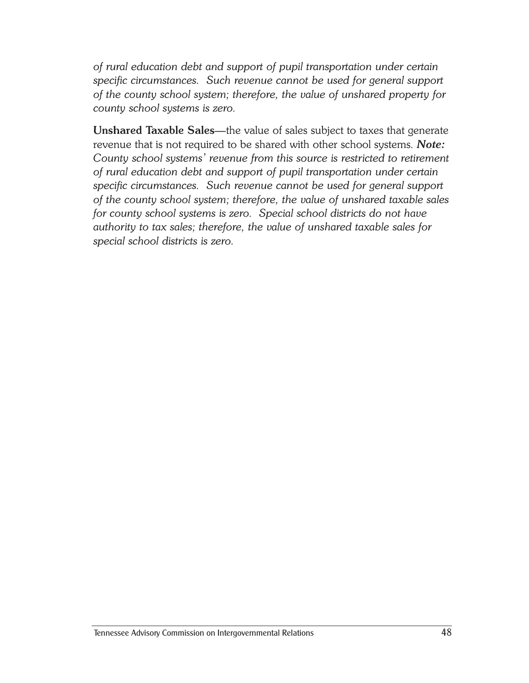*of rural education debt and support of pupil transportation under certain specific circumstances. Such revenue cannot be used for general support of the county school system; therefore, the value of unshared property for county school systems is zero.*

**Unshared Taxable Sales—**the value of sales subject to taxes that generate revenue that is not required to be shared with other school systems. *Note: County school systems' revenue from this source is restricted to retirement of rural education debt and support of pupil transportation under certain specific circumstances. Such revenue cannot be used for general support of the county school system; therefore, the value of unshared taxable sales for county school systems is zero. Special school districts do not have authority to tax sales; therefore, the value of unshared taxable sales for special school districts is zero.*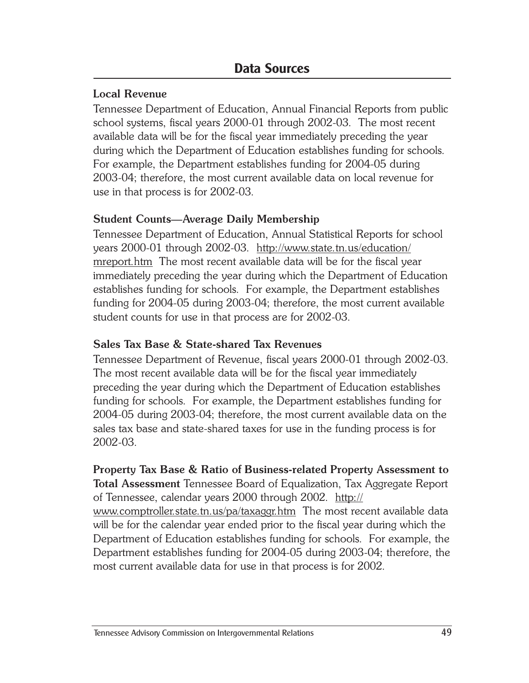#### **Local Revenue**

Tennessee Department of Education, Annual Financial Reports from public school systems, fiscal years 2000-01 through 2002-03. The most recent available data will be for the fiscal year immediately preceding the year during which the Department of Education establishes funding for schools. For example, the Department establishes funding for 2004-05 during 2003-04; therefore, the most current available data on local revenue for use in that process is for 2002-03.

#### **Student Counts—Average Daily Membership**

Tennessee Department of Education, Annual Statistical Reports for school years 2000-01 through 2002-03. http://www.state.tn.us/education/ mreport.htm The most recent available data will be for the fiscal year immediately preceding the year during which the Department of Education establishes funding for schools. For example, the Department establishes funding for 2004-05 during 2003-04; therefore, the most current available student counts for use in that process are for 2002-03.

#### **Sales Tax Base & State-shared Tax Revenues**

Tennessee Department of Revenue, fiscal years 2000-01 through 2002-03. The most recent available data will be for the fiscal year immediately preceding the year during which the Department of Education establishes funding for schools. For example, the Department establishes funding for 2004-05 during 2003-04; therefore, the most current available data on the sales tax base and state-shared taxes for use in the funding process is for 2002-03.

# **Property Tax Base & Ratio of Business-related Property Assessment to Total Assessment** Tennessee Board of Equalization, Tax Aggregate Report

of Tennessee, calendar years 2000 through 2002. http:// www.comptroller.state.tn.us/pa/taxaggr.htm The most recent available data will be for the calendar year ended prior to the fiscal year during which the Department of Education establishes funding for schools. For example, the Department establishes funding for 2004-05 during 2003-04; therefore, the most current available data for use in that process is for 2002.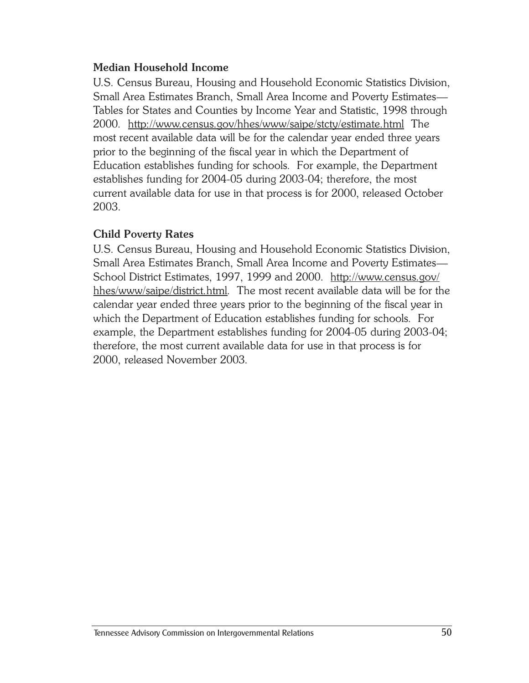#### **Median Household Income**

U.S. Census Bureau, Housing and Household Economic Statistics Division, Small Area Estimates Branch, Small Area Income and Poverty Estimates— Tables for States and Counties by Income Year and Statistic, 1998 through 2000. http://www.census.gov/hhes/www/saipe/stcty/estimate.html The most recent available data will be for the calendar year ended three years prior to the beginning of the fiscal year in which the Department of Education establishes funding for schools. For example, the Department establishes funding for 2004-05 during 2003-04; therefore, the most current available data for use in that process is for 2000, released October 2003.

#### **Child Poverty Rates**

U.S. Census Bureau, Housing and Household Economic Statistics Division, Small Area Estimates Branch, Small Area Income and Poverty Estimates— School District Estimates, 1997, 1999 and 2000. http://www.census.gov/ hhes/www/saipe/district.html. The most recent available data will be for the calendar year ended three years prior to the beginning of the fiscal year in which the Department of Education establishes funding for schools. For example, the Department establishes funding for 2004-05 during 2003-04; therefore, the most current available data for use in that process is for 2000, released November 2003.